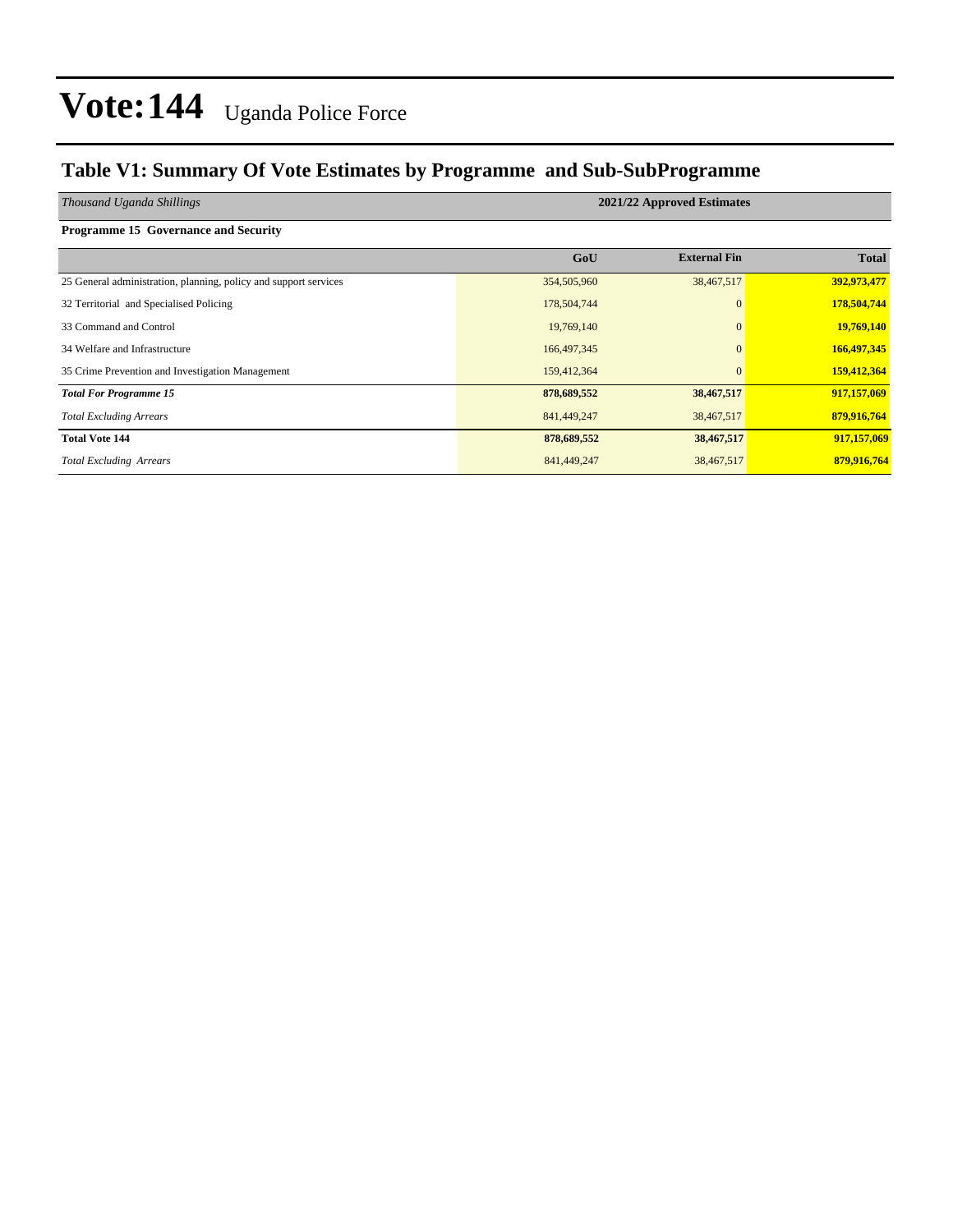#### **Table V1: Summary Of Vote Estimates by Programme and Sub-SubProgramme**

| Thousand Uganda Shillings                                        | 2021/22 Approved Estimates |                     |              |  |  |  |  |  |  |
|------------------------------------------------------------------|----------------------------|---------------------|--------------|--|--|--|--|--|--|
| Programme 15 Governance and Security                             |                            |                     |              |  |  |  |  |  |  |
|                                                                  | GoU                        | <b>External Fin</b> | <b>Total</b> |  |  |  |  |  |  |
| 25 General administration, planning, policy and support services | 354,505,960                | 38,467,517          | 392,973,477  |  |  |  |  |  |  |
| 32 Territorial and Specialised Policing                          | 178,504,744                | $\mathbf{0}$        | 178,504,744  |  |  |  |  |  |  |
| 33 Command and Control                                           | 19,769,140                 | $\mathbf{0}$        | 19,769,140   |  |  |  |  |  |  |
| 34 Welfare and Infrastructure                                    | 166, 497, 345              | $\Omega$            | 166,497,345  |  |  |  |  |  |  |
| 35 Crime Prevention and Investigation Management                 | 159,412,364                | $\mathbf{0}$        | 159,412,364  |  |  |  |  |  |  |
| <b>Total For Programme 15</b>                                    | 878,689,552                | 38,467,517          | 917,157,069  |  |  |  |  |  |  |
| <b>Total Excluding Arrears</b>                                   | 841,449,247                | 38,467,517          | 879,916,764  |  |  |  |  |  |  |
| <b>Total Vote 144</b>                                            | 878,689,552                | 38,467,517          | 917,157,069  |  |  |  |  |  |  |
| <b>Total Excluding Arrears</b>                                   | 841,449,247                | 38,467,517          | 879,916,764  |  |  |  |  |  |  |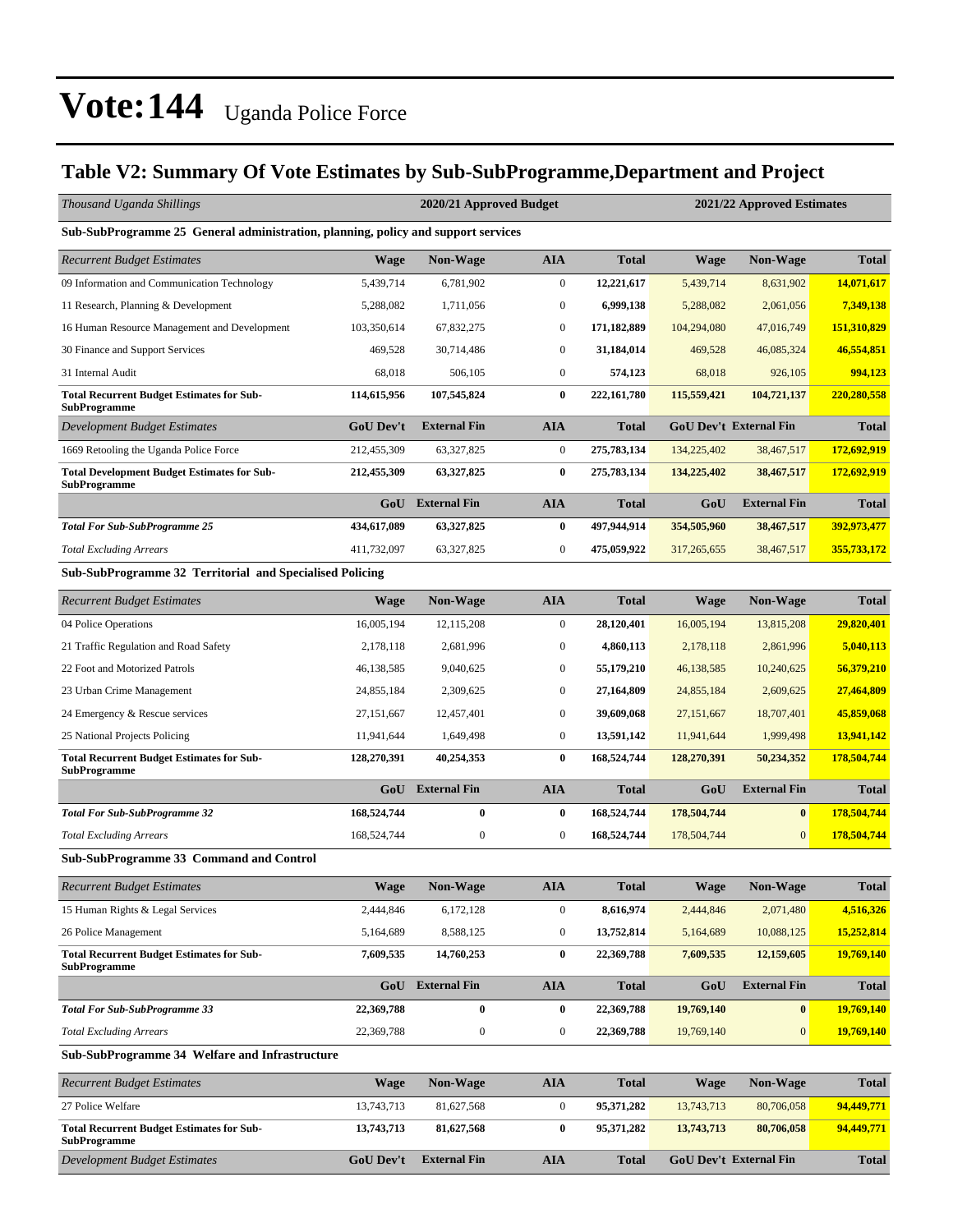#### **Table V2: Summary Of Vote Estimates by Sub-SubProgramme,Department and Project**

| Thousand Uganda Shillings                                                         |                  | 2020/21 Approved Budget |                  |              |             | 2021/22 Approved Estimates    |              |
|-----------------------------------------------------------------------------------|------------------|-------------------------|------------------|--------------|-------------|-------------------------------|--------------|
| Sub-SubProgramme 25 General administration, planning, policy and support services |                  |                         |                  |              |             |                               |              |
| Recurrent Budget Estimates                                                        | <b>Wage</b>      | Non-Wage                | <b>AIA</b>       | <b>Total</b> | <b>Wage</b> | <b>Non-Wage</b>               | <b>Total</b> |
| 09 Information and Communication Technology                                       | 5,439,714        | 6,781,902               | $\boldsymbol{0}$ | 12,221,617   | 5,439,714   | 8,631,902                     | 14,071,617   |
| 11 Research, Planning & Development                                               | 5,288,082        | 1,711,056               | $\boldsymbol{0}$ | 6,999,138    | 5,288,082   | 2,061,056                     | 7,349,138    |
| 16 Human Resource Management and Development                                      | 103,350,614      | 67,832,275              | $\boldsymbol{0}$ | 171,182,889  | 104,294,080 | 47,016,749                    | 151,310,829  |
| 30 Finance and Support Services                                                   | 469,528          | 30,714,486              | $\boldsymbol{0}$ | 31,184,014   | 469,528     | 46,085,324                    | 46,554,851   |
| 31 Internal Audit                                                                 | 68,018           | 506,105                 | $\boldsymbol{0}$ | 574,123      | 68,018      | 926,105                       | 994,123      |
| <b>Total Recurrent Budget Estimates for Sub-</b><br>SubProgramme                  | 114,615,956      | 107,545,824             | $\bf{0}$         | 222,161,780  | 115,559,421 | 104,721,137                   | 220,280,558  |
| Development Budget Estimates                                                      | <b>GoU Dev't</b> | <b>External Fin</b>     | <b>AIA</b>       | Total        |             | <b>GoU Dev't External Fin</b> | <b>Total</b> |
| 1669 Retooling the Uganda Police Force                                            | 212,455,309      | 63,327,825              | $\boldsymbol{0}$ | 275,783,134  | 134,225,402 | 38,467,517                    | 172,692,919  |
| <b>Total Development Budget Estimates for Sub-</b><br><b>SubProgramme</b>         | 212,455,309      | 63,327,825              | 0                | 275,783,134  | 134,225,402 | 38,467,517                    | 172,692,919  |
|                                                                                   | GoU              | <b>External Fin</b>     | <b>AIA</b>       | Total        | GoU         | <b>External Fin</b>           | <b>Total</b> |
| <b>Total For Sub-SubProgramme 25</b>                                              | 434,617,089      | 63,327,825              | $\bf{0}$         | 497,944,914  | 354,505,960 | 38,467,517                    | 392,973,477  |
| <b>Total Excluding Arrears</b>                                                    | 411,732,097      | 63,327,825              | $\boldsymbol{0}$ | 475,059,922  | 317,265,655 | 38,467,517                    | 355,733,172  |
| Sub-SubProgramme 32 Territorial and Specialised Policing                          |                  |                         |                  |              |             |                               |              |
| <b>Recurrent Budget Estimates</b>                                                 | <b>Wage</b>      | <b>Non-Wage</b>         | <b>AIA</b>       | <b>Total</b> | <b>Wage</b> | Non-Wage                      | <b>Total</b> |
| 04 Police Operations                                                              | 16,005,194       | 12, 115, 208            | $\boldsymbol{0}$ | 28,120,401   | 16,005,194  | 13,815,208                    | 29,820,401   |
| 21 Traffic Regulation and Road Safety                                             | 2,178,118        | 2,681,996               | 0                | 4,860,113    | 2,178,118   | 2,861,996                     | 5,040,113    |
| 22 Foot and Motorized Patrols                                                     | 46,138,585       | 9,040,625               | $\boldsymbol{0}$ | 55,179,210   | 46,138,585  | 10,240,625                    | 56,379,210   |
| 23 Urban Crime Management                                                         | 24,855,184       | 2,309,625               | $\boldsymbol{0}$ | 27,164,809   | 24,855,184  | 2,609,625                     | 27,464,809   |
| 24 Emergency & Rescue services                                                    | 27,151,667       | 12,457,401              | $\boldsymbol{0}$ | 39,609,068   | 27,151,667  | 18,707,401                    | 45,859,068   |
| 25 National Projects Policing                                                     | 11,941,644       | 1,649,498               | $\boldsymbol{0}$ | 13,591,142   | 11,941,644  | 1,999,498                     | 13,941,142   |
| <b>Total Recurrent Budget Estimates for Sub-</b>                                  | 128,270,391      | 40,254,353              | $\bf{0}$         | 168,524,744  | 128,270,391 | 50,234,352                    | 178,504,744  |
| SubProgramme                                                                      |                  |                         |                  |              |             |                               |              |
|                                                                                   | GoU              | <b>External Fin</b>     | <b>AIA</b>       | <b>Total</b> | GoU         | <b>External Fin</b>           | <b>Total</b> |
| <b>Total For Sub-SubProgramme 32</b>                                              | 168,524,744      | $\bf{0}$                | $\bf{0}$         | 168,524,744  | 178,504,744 | $\bf{0}$                      | 178,504,744  |
| <b>Total Excluding Arrears</b>                                                    | 168,524,744      | $\boldsymbol{0}$        | $\boldsymbol{0}$ | 168,524,744  | 178,504,744 | $\mathbf{0}$                  | 178,504,744  |
| Sub-SubProgramme 33 Command and Control                                           |                  |                         |                  |              |             |                               |              |
| <b>Recurrent Budget Estimates</b>                                                 | Wage             | <b>Non-Wage</b>         | <b>AIA</b>       | <b>Total</b> | <b>Wage</b> | <b>Non-Wage</b>               | <b>Total</b> |
| 15 Human Rights & Legal Services                                                  | 2,444,846        | 6,172,128               | $\boldsymbol{0}$ | 8,616,974    | 2,444,846   | 2,071,480                     | 4,516,326    |
| 26 Police Management                                                              | 5,164,689        | 8,588,125               | 0                | 13,752,814   | 5,164,689   | 10,088,125                    | 15,252,814   |
| <b>Total Recurrent Budget Estimates for Sub-</b><br>SubProgramme                  | 7,609,535        | 14,760,253              | $\bf{0}$         | 22,369,788   | 7,609,535   | 12,159,605                    | 19,769,140   |
|                                                                                   | GoU              | <b>External Fin</b>     | <b>AIA</b>       | <b>Total</b> | GoU         | <b>External Fin</b>           | <b>Total</b> |
| Total For Sub-SubProgramme 33                                                     | 22,369,788       | $\pmb{0}$               | $\bf{0}$         | 22,369,788   | 19,769,140  | $\bf{0}$                      | 19,769,140   |
| <b>Total Excluding Arrears</b>                                                    | 22,369,788       | $\boldsymbol{0}$        | $\boldsymbol{0}$ | 22,369,788   | 19,769,140  | $\boldsymbol{0}$              | 19,769,140   |
| Sub-SubProgramme 34 Welfare and Infrastructure                                    |                  |                         |                  |              |             |                               |              |
| Recurrent Budget Estimates                                                        | <b>Wage</b>      | <b>Non-Wage</b>         | <b>AIA</b>       | <b>Total</b> | <b>Wage</b> | <b>Non-Wage</b>               | <b>Total</b> |
| 27 Police Welfare                                                                 | 13,743,713       | 81,627,568              | $\boldsymbol{0}$ | 95,371,282   | 13,743,713  | 80,706,058                    | 94,449,771   |
| <b>Total Recurrent Budget Estimates for Sub-</b><br>SubProgramme                  | 13,743,713       | 81,627,568              | $\bf{0}$         | 95,371,282   | 13,743,713  | 80,706,058                    | 94,449,771   |
| Development Budget Estimates                                                      | <b>GoU Dev't</b> | <b>External Fin</b>     | <b>AIA</b>       | <b>Total</b> |             | GoU Dev't External Fin        | <b>Total</b> |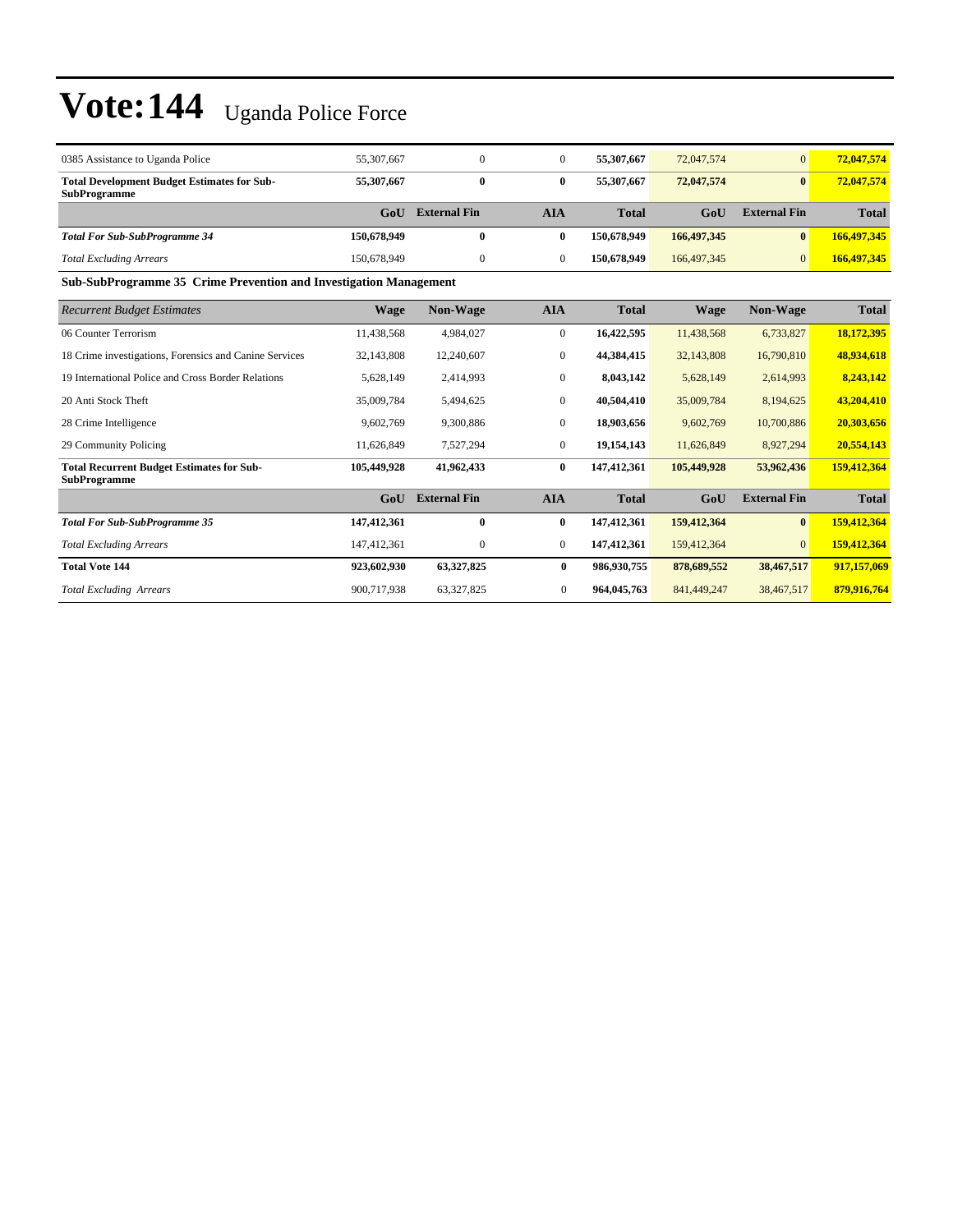| 0385 Assistance to Uganda Police                                          | 55,307,667  |                     | 0   | 55,307,667   | 72,047,574    |                     | 72,047,574   |
|---------------------------------------------------------------------------|-------------|---------------------|-----|--------------|---------------|---------------------|--------------|
| <b>Total Development Budget Estimates for Sub-</b><br><b>SubProgramme</b> | 55,307,667  | 0                   | 0   | 55,307,667   | 72,047,574    |                     | 72,047,574   |
|                                                                           | GoU         | <b>External Fin</b> | AIA | <b>Total</b> | GoU           | <b>External Fin</b> | <b>Total</b> |
| <b>Total For Sub-SubProgramme 34</b>                                      | 150,678,949 | 0                   | 0   | 150,678,949  | 166,497,345   | $\mathbf{0}$        | 166,497,345  |
| <b>Total Excluding Arrears</b>                                            | 150,678,949 |                     | 0   | 150,678,949  | 166, 497, 345 |                     | 166,497,345  |

**Sub-SubProgramme 35 Crime Prevention and Investigation Management**

| <b>Recurrent Budget Estimates</b>                                       | <b>Wage</b> | <b>Non-Wage</b>     | <b>AIA</b>       | <b>Total</b> | <b>Wage</b> | <b>Non-Wage</b>     | <b>Total</b> |
|-------------------------------------------------------------------------|-------------|---------------------|------------------|--------------|-------------|---------------------|--------------|
| 06 Counter Terrorism                                                    | 11,438,568  | 4,984,027           | $\boldsymbol{0}$ | 16,422,595   | 11,438,568  | 6,733,827           | 18,172,395   |
| 18 Crime investigations, Forensics and Canine Services                  | 32,143,808  | 12,240,607          | $\overline{0}$   | 44,384,415   | 32,143,808  | 16,790,810          | 48,934,618   |
| 19 International Police and Cross Border Relations                      | 5,628,149   | 2,414,993           | $\boldsymbol{0}$ | 8,043,142    | 5,628,149   | 2,614,993           | 8,243,142    |
| 20 Anti Stock Theft                                                     | 35,009,784  | 5,494,625           | $\boldsymbol{0}$ | 40,504,410   | 35,009,784  | 8,194,625           | 43,204,410   |
| 28 Crime Intelligence                                                   | 9,602,769   | 9,300,886           | $\boldsymbol{0}$ | 18,903,656   | 9,602,769   | 10,700,886          | 20,303,656   |
| 29 Community Policing                                                   | 11,626,849  | 7,527,294           | $\boldsymbol{0}$ | 19,154,143   | 11,626,849  | 8,927,294           | 20,554,143   |
| <b>Total Recurrent Budget Estimates for Sub-</b><br><b>SubProgramme</b> | 105,449,928 | 41,962,433          | $\bf{0}$         | 147,412,361  | 105,449,928 | 53,962,436          | 159,412,364  |
|                                                                         | GoU         | <b>External Fin</b> | <b>AIA</b>       | <b>Total</b> | GoU         | <b>External Fin</b> | <b>Total</b> |
| <b>Total For Sub-SubProgramme 35</b>                                    | 147,412,361 | $\mathbf{0}$        | $\bf{0}$         | 147,412,361  | 159,412,364 | $\bf{0}$            | 159,412,364  |
| <b>Total Excluding Arrears</b>                                          | 147,412,361 | 0                   | $\bf{0}$         | 147,412,361  | 159,412,364 | $\overline{0}$      | 159,412,364  |
| <b>Total Vote 144</b>                                                   | 923,602,930 | 63,327,825          | $\bf{0}$         | 986,930,755  | 878,689,552 | 38,467,517          | 917,157,069  |
| <b>Total Excluding Arrears</b>                                          | 900,717,938 | 63,327,825          | $\mathbf{0}$     | 964,045,763  | 841,449,247 | 38,467,517          | 879,916,764  |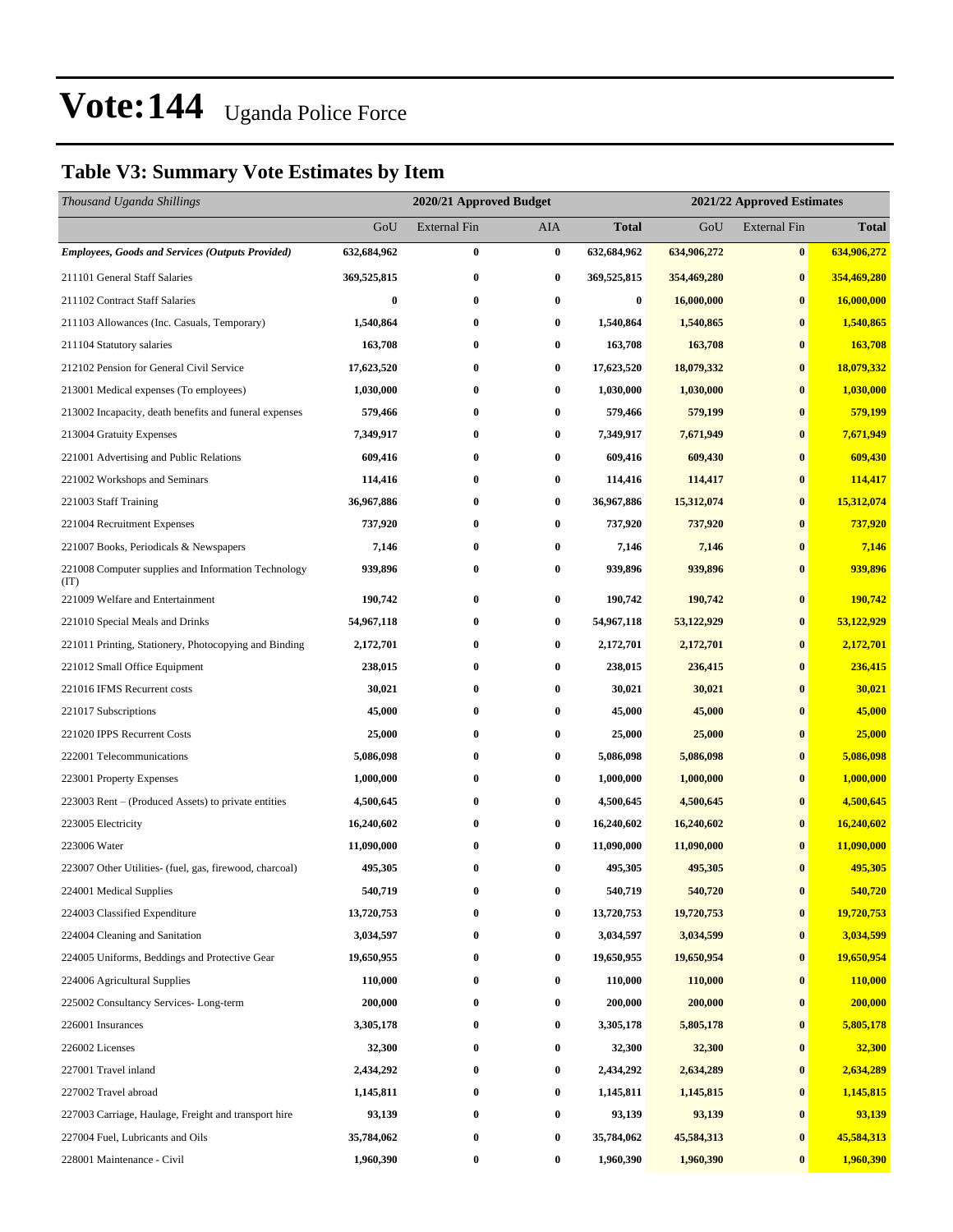#### **Table V3: Summary Vote Estimates by Item**

| Thousand Uganda Shillings                                   |                  | 2020/21 Approved Budget<br>2021/22 Approved Estimates |                  |                  |             |                     |              |
|-------------------------------------------------------------|------------------|-------------------------------------------------------|------------------|------------------|-------------|---------------------|--------------|
|                                                             | GoU              | <b>External Fin</b>                                   | AIA              | <b>Total</b>     | GoU         | <b>External Fin</b> | <b>Total</b> |
| Employees, Goods and Services (Outputs Provided)            | 632,684,962      | $\bf{0}$                                              | $\bf{0}$         | 632,684,962      | 634,906,272 | $\bf{0}$            | 634,906,272  |
| 211101 General Staff Salaries                               | 369,525,815      | $\bf{0}$                                              | $\bf{0}$         | 369,525,815      | 354,469,280 | $\bf{0}$            | 354,469,280  |
| 211102 Contract Staff Salaries                              | $\boldsymbol{0}$ | $\bf{0}$                                              | $\bf{0}$         | $\boldsymbol{0}$ | 16,000,000  | $\bf{0}$            | 16,000,000   |
| 211103 Allowances (Inc. Casuals, Temporary)                 | 1,540,864        | $\bf{0}$                                              | $\bf{0}$         | 1,540,864        | 1,540,865   | $\bf{0}$            | 1,540,865    |
| 211104 Statutory salaries                                   | 163,708          | $\bf{0}$                                              | 0                | 163,708          | 163,708     | $\bf{0}$            | 163,708      |
| 212102 Pension for General Civil Service                    | 17,623,520       | $\bf{0}$                                              | $\bf{0}$         | 17,623,520       | 18,079,332  | $\bf{0}$            | 18,079,332   |
| 213001 Medical expenses (To employees)                      | 1,030,000        | $\bf{0}$                                              | 0                | 1,030,000        | 1,030,000   | $\bf{0}$            | 1,030,000    |
| 213002 Incapacity, death benefits and funeral expenses      | 579,466          | $\bf{0}$                                              | 0                | 579,466          | 579,199     | $\bf{0}$            | 579,199      |
| 213004 Gratuity Expenses                                    | 7,349,917        | $\bf{0}$                                              | $\bf{0}$         | 7,349,917        | 7,671,949   | $\bf{0}$            | 7,671,949    |
| 221001 Advertising and Public Relations                     | 609,416          | $\bf{0}$                                              | 0                | 609,416          | 609,430     | $\bf{0}$            | 609,430      |
| 221002 Workshops and Seminars                               | 114,416          | $\bf{0}$                                              | $\bf{0}$         | 114,416          | 114,417     | $\bf{0}$            | 114,417      |
| 221003 Staff Training                                       | 36,967,886       | $\bf{0}$                                              | $\bf{0}$         | 36,967,886       | 15,312,074  | $\bf{0}$            | 15,312,074   |
| 221004 Recruitment Expenses                                 | 737,920          | $\bf{0}$                                              | $\bf{0}$         | 737,920          | 737,920     | $\bf{0}$            | 737,920      |
| 221007 Books, Periodicals & Newspapers                      | 7,146            | $\bf{0}$                                              | $\bf{0}$         | 7,146            | 7,146       | $\bf{0}$            | 7,146        |
| 221008 Computer supplies and Information Technology<br>(TT) | 939,896          | $\bf{0}$                                              | 0                | 939,896          | 939,896     | $\bf{0}$            | 939,896      |
| 221009 Welfare and Entertainment                            | 190,742          | $\bf{0}$                                              | 0                | 190,742          | 190,742     | $\bf{0}$            | 190,742      |
| 221010 Special Meals and Drinks                             | 54,967,118       | $\bf{0}$                                              | 0                | 54,967,118       | 53,122,929  | $\bf{0}$            | 53,122,929   |
| 221011 Printing, Stationery, Photocopying and Binding       | 2,172,701        | $\bf{0}$                                              | $\bf{0}$         | 2,172,701        | 2,172,701   | $\bf{0}$            | 2,172,701    |
| 221012 Small Office Equipment                               | 238,015          | $\bf{0}$                                              | 0                | 238,015          | 236,415     | $\bf{0}$            | 236,415      |
| 221016 IFMS Recurrent costs                                 | 30,021           | $\bf{0}$                                              | 0                | 30,021           | 30,021      | $\bf{0}$            | 30,021       |
| 221017 Subscriptions                                        | 45,000           | $\bf{0}$                                              | 0                | 45,000           | 45,000      | $\bf{0}$            | 45,000       |
| 221020 IPPS Recurrent Costs                                 | 25,000           | $\bf{0}$                                              | 0                | 25,000           | 25,000      | $\bf{0}$            | 25,000       |
| 222001 Telecommunications                                   | 5,086,098        | $\bf{0}$                                              | $\bf{0}$         | 5,086,098        | 5,086,098   | $\bf{0}$            | 5,086,098    |
| 223001 Property Expenses                                    | 1,000,000        | $\bf{0}$                                              | 0                | 1,000,000        | 1,000,000   | $\bf{0}$            | 1,000,000    |
| 223003 Rent – (Produced Assets) to private entities         | 4,500,645        | $\bf{0}$                                              | 0                | 4,500,645        | 4,500,645   | $\bf{0}$            | 4,500,645    |
| 223005 Electricity                                          | 16,240,602       | $\bf{0}$                                              | 0                | 16,240,602       | 16,240,602  | $\bf{0}$            | 16,240,602   |
| 223006 Water                                                | 11,090,000       | $\bf{0}$                                              | $\bf{0}$         | 11,090,000       | 11,090,000  | $\bf{0}$            | 11,090,000   |
| 223007 Other Utilities- (fuel, gas, firewood, charcoal)     | 495,305          | $\bf{0}$                                              | $\bf{0}$         | 495,305          | 495,305     | $\bf{0}$            | 495,305      |
| 224001 Medical Supplies                                     | 540,719          | $\bf{0}$                                              | 0                | 540,719          | 540,720     | $\bf{0}$            | 540,720      |
| 224003 Classified Expenditure                               | 13,720,753       | $\bf{0}$                                              | 0                | 13,720,753       | 19,720,753  | $\bf{0}$            | 19,720,753   |
| 224004 Cleaning and Sanitation                              | 3,034,597        | $\bf{0}$                                              | $\bf{0}$         | 3,034,597        | 3,034,599   | $\bf{0}$            | 3,034,599    |
| 224005 Uniforms, Beddings and Protective Gear               | 19,650,955       | $\bf{0}$                                              | $\boldsymbol{0}$ | 19,650,955       | 19,650,954  | $\bf{0}$            | 19,650,954   |
| 224006 Agricultural Supplies                                | 110,000          | $\bf{0}$                                              | $\bf{0}$         | 110,000          | 110,000     | $\bf{0}$            | 110,000      |
| 225002 Consultancy Services-Long-term                       | 200,000          | $\bf{0}$                                              | $\bf{0}$         | 200,000          | 200,000     | $\bf{0}$            | 200,000      |
| 226001 Insurances                                           | 3,305,178        | $\bf{0}$                                              | 0                | 3,305,178        | 5,805,178   | $\bf{0}$            | 5,805,178    |
| 226002 Licenses                                             | 32,300           | $\bf{0}$                                              | $\bf{0}$         | 32,300           | 32,300      | $\bf{0}$            | 32,300       |
| 227001 Travel inland                                        | 2,434,292        | $\bf{0}$                                              | 0                | 2,434,292        | 2,634,289   | $\bf{0}$            | 2,634,289    |
| 227002 Travel abroad                                        | 1,145,811        | $\bf{0}$                                              | $\bf{0}$         | 1,145,811        | 1,145,815   | $\bf{0}$            | 1,145,815    |
| 227003 Carriage, Haulage, Freight and transport hire        | 93,139           | $\bf{0}$                                              | $\bf{0}$         | 93,139           | 93,139      | $\bf{0}$            | 93,139       |
| 227004 Fuel, Lubricants and Oils                            | 35,784,062       | $\bf{0}$                                              | $\bf{0}$         | 35,784,062       | 45,584,313  | $\boldsymbol{0}$    | 45,584,313   |
| 228001 Maintenance - Civil                                  | 1,960,390        | $\bf{0}$                                              | $\boldsymbol{0}$ | 1,960,390        | 1,960,390   | $\bf{0}$            | 1,960,390    |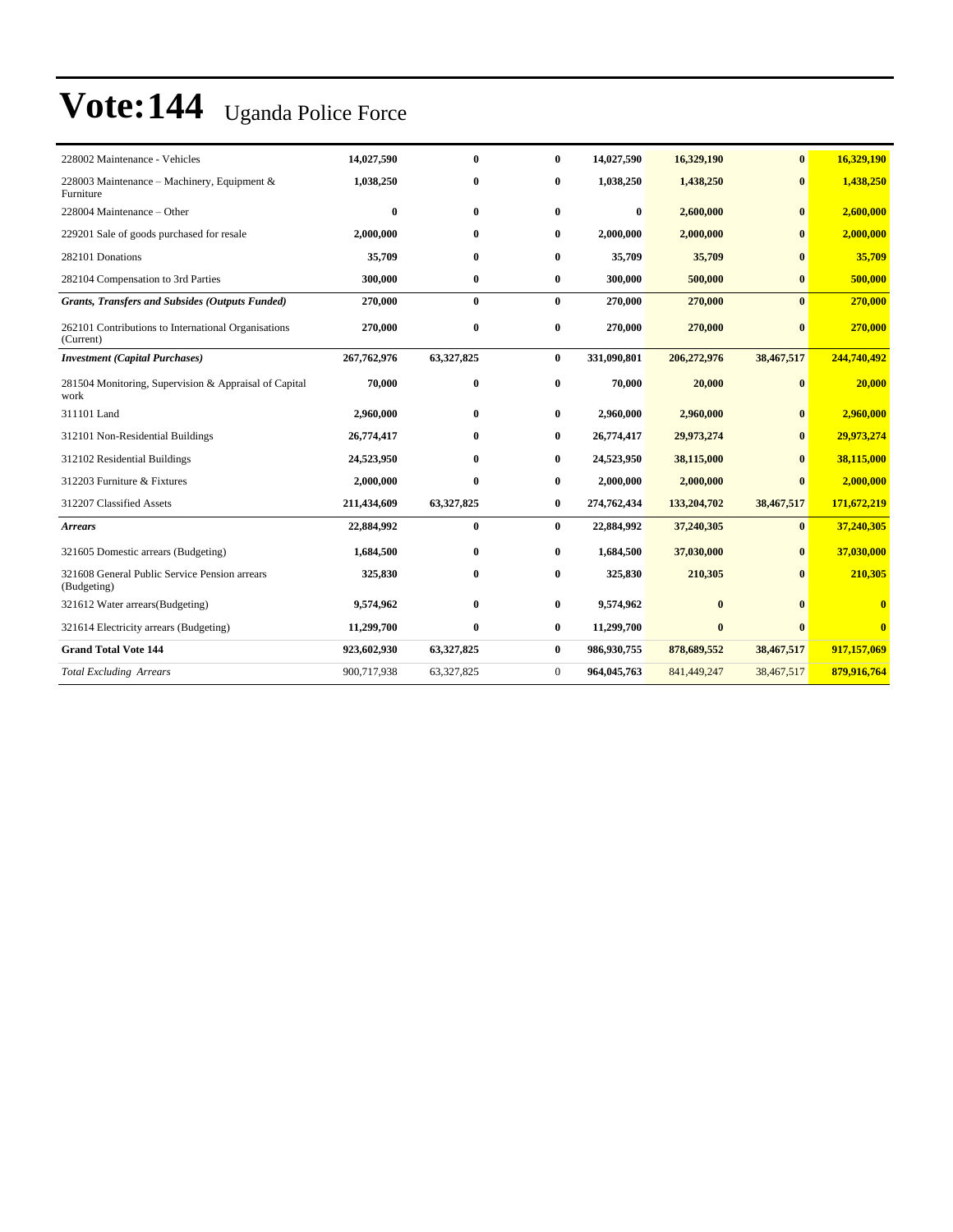| 228002 Maintenance - Vehicles                                    | 14,027,590   | $\bf{0}$     | $\bf{0}$     | 14,027,590  | 16,329,190   | $\bf{0}$     | 16,329,190              |
|------------------------------------------------------------------|--------------|--------------|--------------|-------------|--------------|--------------|-------------------------|
| 228003 Maintenance - Machinery, Equipment &<br>Furniture         | 1,038,250    | $\bf{0}$     | $\mathbf{0}$ | 1,038,250   | 1,438,250    | $\mathbf{0}$ | 1,438,250               |
| 228004 Maintenance - Other                                       | $\mathbf{0}$ | $\mathbf{0}$ | $\mathbf{0}$ | $\bf{0}$    | 2,600,000    | $\mathbf{0}$ | 2,600,000               |
| 229201 Sale of goods purchased for resale                        | 2,000,000    | $\bf{0}$     | $\mathbf{0}$ | 2,000,000   | 2,000,000    | $\mathbf{0}$ | 2,000,000               |
| 282101 Donations                                                 | 35,709       | $\bf{0}$     | $\mathbf{0}$ | 35,709      | 35,709       | $\mathbf{0}$ | 35,709                  |
| 282104 Compensation to 3rd Parties                               | 300,000      | $\bf{0}$     | $\bf{0}$     | 300,000     | 500,000      | $\bf{0}$     | 500,000                 |
| <b>Grants, Transfers and Subsides (Outputs Funded)</b>           | 270,000      | $\bf{0}$     | $\bf{0}$     | 270,000     | 270,000      | $\mathbf{0}$ | 270,000                 |
| 262101 Contributions to International Organisations<br>(Current) | 270,000      | $\bf{0}$     | $\bf{0}$     | 270,000     | 270,000      | $\mathbf{0}$ | 270,000                 |
| <b>Investment</b> (Capital Purchases)                            | 267,762,976  | 63,327,825   | $\bf{0}$     | 331,090,801 | 206,272,976  | 38,467,517   | 244,740,492             |
| 281504 Monitoring, Supervision & Appraisal of Capital<br>work    | 70,000       | $\bf{0}$     | $\bf{0}$     | 70,000      | 20,000       | $\bf{0}$     | 20,000                  |
| 311101 Land                                                      | 2,960,000    | $\bf{0}$     | $\bf{0}$     | 2,960,000   | 2,960,000    | $\mathbf{0}$ | 2,960,000               |
| 312101 Non-Residential Buildings                                 | 26,774,417   | $\bf{0}$     | $\bf{0}$     | 26,774,417  | 29,973,274   | $\mathbf{0}$ | 29,973,274              |
| 312102 Residential Buildings                                     | 24,523,950   | $\mathbf{0}$ | $\bf{0}$     | 24,523,950  | 38,115,000   | $\mathbf{0}$ | 38,115,000              |
| 312203 Furniture & Fixtures                                      | 2,000,000    | $\bf{0}$     | $\bf{0}$     | 2,000,000   | 2,000,000    | $\mathbf{0}$ | 2,000,000               |
| 312207 Classified Assets                                         | 211,434,609  | 63,327,825   | $\bf{0}$     | 274,762,434 | 133,204,702  | 38,467,517   | 171,672,219             |
| <b>Arrears</b>                                                   | 22,884,992   | $\bf{0}$     | $\mathbf{0}$ | 22,884,992  | 37,240,305   | $\mathbf{0}$ | 37,240,305              |
| 321605 Domestic arrears (Budgeting)                              | 1,684,500    | $\bf{0}$     | $\bf{0}$     | 1,684,500   | 37,030,000   | $\mathbf{0}$ | 37,030,000              |
| 321608 General Public Service Pension arrears<br>(Budgeting)     | 325,830      | $\bf{0}$     | 0            | 325,830     | 210,305      | 0            | 210,305                 |
| 321612 Water arrears (Budgeting)                                 | 9,574,962    | $\bf{0}$     | $\bf{0}$     | 9,574,962   | $\mathbf{0}$ | $\mathbf{0}$ | $\overline{\mathbf{0}}$ |
| 321614 Electricity arrears (Budgeting)                           | 11,299,700   | $\bf{0}$     | $\bf{0}$     | 11,299,700  | $\bf{0}$     | $\mathbf{0}$ | $\mathbf{0}$            |
| <b>Grand Total Vote 144</b>                                      | 923,602,930  | 63,327,825   | $\bf{0}$     | 986,930,755 | 878,689,552  | 38,467,517   | 917,157,069             |
| <b>Total Excluding Arrears</b>                                   | 900,717,938  | 63,327,825   | $\mathbf{0}$ | 964,045,763 | 841,449,247  | 38,467,517   | 879,916,764             |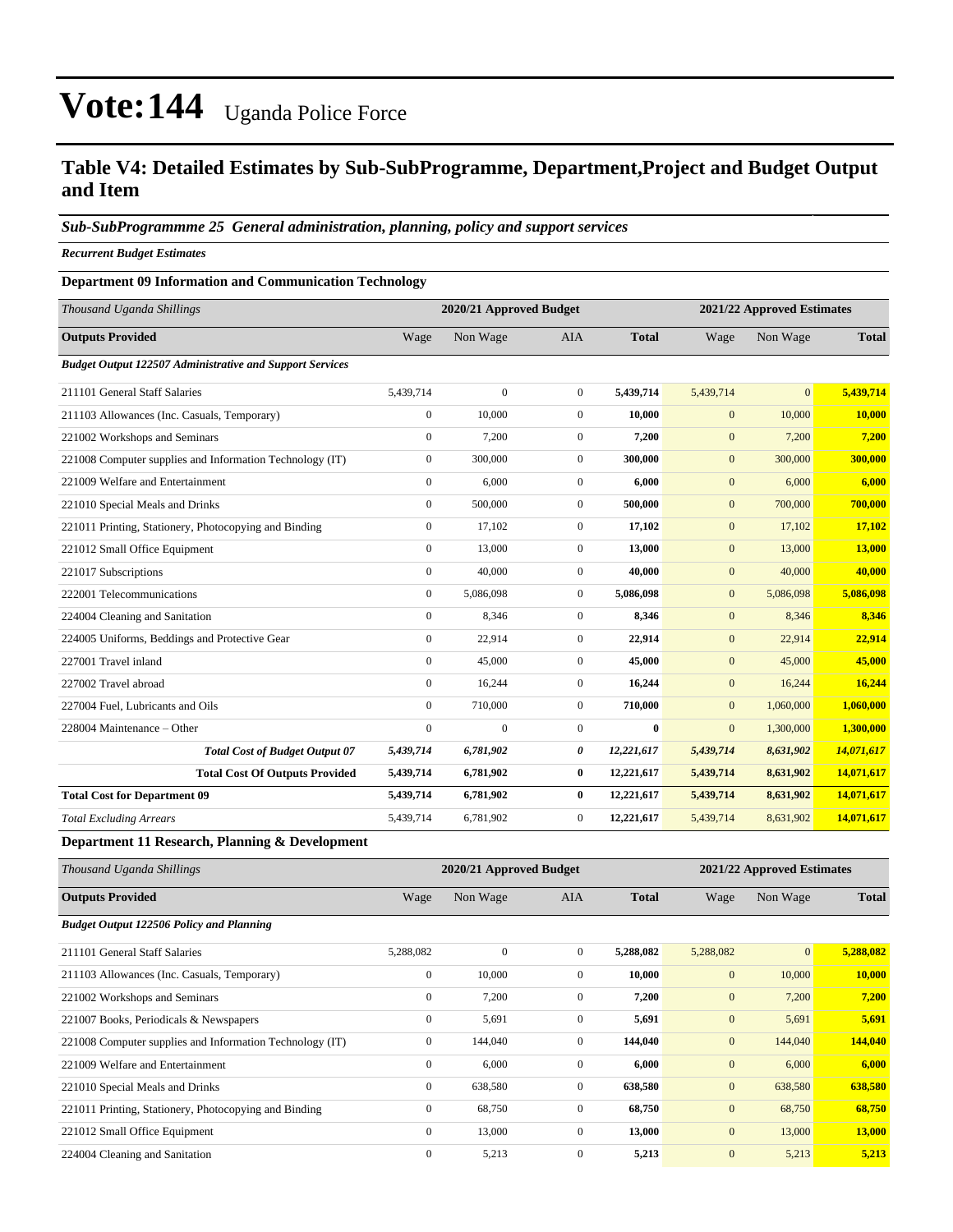#### **Table V4: Detailed Estimates by Sub-SubProgramme, Department,Project and Budget Output and Item**

#### *Sub-SubProgrammme 25 General administration, planning, policy and support services*

*Recurrent Budget Estimates*

#### **Department 09 Information and Communication Technology**

| Thousand Uganda Shillings                                       |                  | 2020/21 Approved Budget |                |              |                  | 2021/22 Approved Estimates |              |  |
|-----------------------------------------------------------------|------------------|-------------------------|----------------|--------------|------------------|----------------------------|--------------|--|
| <b>Outputs Provided</b>                                         | Wage             | Non Wage                | <b>AIA</b>     | <b>Total</b> | Wage             | Non Wage                   | <b>Total</b> |  |
| <b>Budget Output 122507 Administrative and Support Services</b> |                  |                         |                |              |                  |                            |              |  |
| 211101 General Staff Salaries                                   | 5,439,714        | $\boldsymbol{0}$        | $\mathbf{0}$   | 5,439,714    | 5,439,714        | $\overline{0}$             | 5,439,714    |  |
| 211103 Allowances (Inc. Casuals, Temporary)                     | $\mathbf{0}$     | 10,000                  | $\overline{0}$ | 10.000       | $\mathbf{0}$     | 10,000                     | 10,000       |  |
| 221002 Workshops and Seminars                                   | $\mathbf{0}$     | 7,200                   | $\overline{0}$ | 7,200        | $\mathbf{0}$     | 7,200                      | 7,200        |  |
| 221008 Computer supplies and Information Technology (IT)        | $\boldsymbol{0}$ | 300,000                 | $\overline{0}$ | 300,000      | $\mathbf{0}$     | 300,000                    | 300,000      |  |
| 221009 Welfare and Entertainment                                | $\mathbf{0}$     | 6,000                   | $\overline{0}$ | 6.000        | $\mathbf{0}$     | 6,000                      | 6,000        |  |
| 221010 Special Meals and Drinks                                 | $\mathbf{0}$     | 500,000                 | $\overline{0}$ | 500,000      | $\mathbf{0}$     | 700,000                    | 700,000      |  |
| 221011 Printing, Stationery, Photocopying and Binding           | $\mathbf{0}$     | 17,102                  | $\overline{0}$ | 17,102       | $\mathbf{0}$     | 17,102                     | 17,102       |  |
| 221012 Small Office Equipment                                   | $\Omega$         | 13,000                  | $\overline{0}$ | 13,000       | $\mathbf{0}$     | 13,000                     | 13,000       |  |
| 221017 Subscriptions                                            | $\mathbf{0}$     | 40,000                  | $\overline{0}$ | 40,000       | $\mathbf{0}$     | 40,000                     | 40,000       |  |
| 222001 Telecommunications                                       | $\mathbf{0}$     | 5,086,098               | $\overline{0}$ | 5,086,098    | $\mathbf{0}$     | 5,086,098                  | 5,086,098    |  |
| 224004 Cleaning and Sanitation                                  | $\mathbf{0}$     | 8,346                   | $\overline{0}$ | 8,346        | $\overline{0}$   | 8,346                      | 8,346        |  |
| 224005 Uniforms, Beddings and Protective Gear                   | $\mathbf{0}$     | 22,914                  | $\mathbf{0}$   | 22,914       | $\mathbf{0}$     | 22,914                     | 22,914       |  |
| 227001 Travel inland                                            | $\mathbf{0}$     | 45,000                  | $\overline{0}$ | 45,000       | $\mathbf{0}$     | 45,000                     | 45,000       |  |
| 227002 Travel abroad                                            | $\mathbf{0}$     | 16,244                  | $\overline{0}$ | 16,244       | $\mathbf{0}$     | 16,244                     | 16,244       |  |
| 227004 Fuel, Lubricants and Oils                                | $\mathbf{0}$     | 710,000                 | $\overline{0}$ | 710,000      | $\boldsymbol{0}$ | 1,060,000                  | 1,060,000    |  |
| 228004 Maintenance - Other                                      | $\mathbf{0}$     | $\mathbf{0}$            | $\overline{0}$ | $\bf{0}$     | $\mathbf{0}$     | 1,300,000                  | 1,300,000    |  |
| <b>Total Cost of Budget Output 07</b>                           | 5,439,714        | 6,781,902               | 0              | 12,221,617   | 5,439,714        | 8,631,902                  | 14,071,617   |  |
| <b>Total Cost Of Outputs Provided</b>                           | 5,439,714        | 6,781,902               | $\bf{0}$       | 12,221,617   | 5,439,714        | 8,631,902                  | 14,071,617   |  |
| <b>Total Cost for Department 09</b>                             | 5,439,714        | 6,781,902               | $\bf{0}$       | 12,221,617   | 5,439,714        | 8,631,902                  | 14,071,617   |  |
| <b>Total Excluding Arrears</b>                                  | 5,439,714        | 6,781,902               | $\overline{0}$ | 12,221,617   | 5,439,714        | 8,631,902                  | 14,071,617   |  |

**Department 11 Research, Planning & Development** 

| Thousand Uganda Shillings                                |                  | 2020/21 Approved Budget |                |              | 2021/22 Approved Estimates |              |              |
|----------------------------------------------------------|------------------|-------------------------|----------------|--------------|----------------------------|--------------|--------------|
| <b>Outputs Provided</b>                                  | Wage             | Non Wage                | AIA            | <b>Total</b> | Wage                       | Non Wage     | <b>Total</b> |
| <b>Budget Output 122506 Policy and Planning</b>          |                  |                         |                |              |                            |              |              |
| 211101 General Staff Salaries                            | 5,288,082        | $\mathbf{0}$            | $\overline{0}$ | 5,288,082    | 5,288,082                  | $\mathbf{0}$ | 5,288,082    |
| 211103 Allowances (Inc. Casuals, Temporary)              | $\boldsymbol{0}$ | 10,000                  | $\mathbf{0}$   | 10,000       | $\mathbf{0}$               | 10,000       | 10,000       |
| 221002 Workshops and Seminars                            | $\boldsymbol{0}$ | 7,200                   | $\mathbf{0}$   | 7,200        | $\mathbf{0}$               | 7,200        | 7,200        |
| 221007 Books, Periodicals & Newspapers                   | $\mathbf{0}$     | 5,691                   | $\mathbf{0}$   | 5,691        | $\mathbf{0}$               | 5,691        | 5,691        |
| 221008 Computer supplies and Information Technology (IT) | $\mathbf{0}$     | 144,040                 | $\overline{0}$ | 144,040      | $\mathbf{0}$               | 144,040      | 144,040      |
| 221009 Welfare and Entertainment                         | $\mathbf{0}$     | 6,000                   | $\mathbf{0}$   | 6,000        | $\mathbf{0}$               | 6,000        | 6,000        |
| 221010 Special Meals and Drinks                          | $\mathbf{0}$     | 638,580                 | $\overline{0}$ | 638,580      | $\mathbf{0}$               | 638,580      | 638,580      |
| 221011 Printing, Stationery, Photocopying and Binding    | $\mathbf{0}$     | 68,750                  | $\overline{0}$ | 68,750       | $\mathbf{0}$               | 68,750       | 68,750       |
| 221012 Small Office Equipment                            | $\mathbf{0}$     | 13,000                  | $\Omega$       | 13,000       | $\mathbf{0}$               | 13,000       | 13,000       |
| 224004 Cleaning and Sanitation                           | $\mathbf{0}$     | 5,213                   | $\mathbf{0}$   | 5,213        | $\mathbf{0}$               | 5,213        | 5,213        |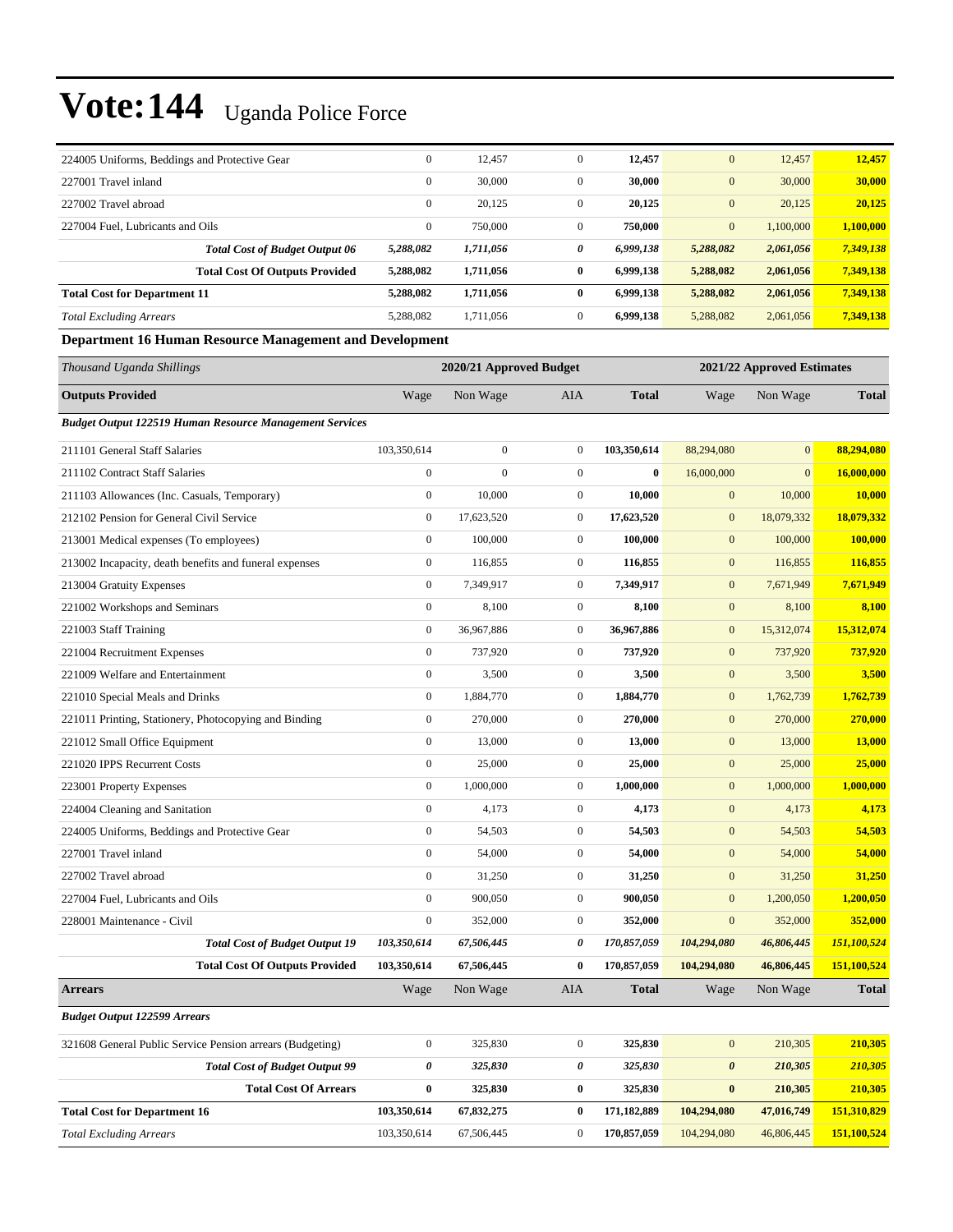| 224005 Uniforms, Beddings and Protective Gear                  | $\boldsymbol{0}$ | 12,457                  | $\mathbf{0}$     | 12,457       | $\mathbf{0}$          | 12,457                     | 12,457       |
|----------------------------------------------------------------|------------------|-------------------------|------------------|--------------|-----------------------|----------------------------|--------------|
| 227001 Travel inland                                           | $\mathbf{0}$     | 30,000                  | $\boldsymbol{0}$ | 30,000       | $\mathbf{0}$          | 30,000                     | 30,000       |
| 227002 Travel abroad                                           | $\boldsymbol{0}$ | 20,125                  | $\overline{0}$   | 20,125       | $\mathbf{0}$          | 20,125                     | 20,125       |
| 227004 Fuel, Lubricants and Oils                               | $\boldsymbol{0}$ | 750,000                 | $\mathbf{0}$     | 750,000      | $\mathbf{0}$          | 1,100,000                  | 1,100,000    |
| <b>Total Cost of Budget Output 06</b>                          | 5,288,082        | 1,711,056               | 0                | 6,999,138    | 5,288,082             | 2,061,056                  | 7,349,138    |
| <b>Total Cost Of Outputs Provided</b>                          | 5,288,082        | 1,711,056               | $\bf{0}$         | 6,999,138    | 5,288,082             | 2,061,056                  | 7,349,138    |
| <b>Total Cost for Department 11</b>                            | 5,288,082        | 1,711,056               | $\bf{0}$         | 6,999,138    | 5,288,082             | 2,061,056                  | 7,349,138    |
| <b>Total Excluding Arrears</b>                                 | 5,288,082        | 1,711,056               | $\overline{0}$   | 6,999,138    | 5,288,082             | 2,061,056                  | 7,349,138    |
| Department 16 Human Resource Management and Development        |                  |                         |                  |              |                       |                            |              |
| Thousand Uganda Shillings                                      |                  | 2020/21 Approved Budget |                  |              |                       | 2021/22 Approved Estimates |              |
| <b>Outputs Provided</b>                                        | Wage             | Non Wage                | AIA              | <b>Total</b> | Wage                  | Non Wage                   | <b>Total</b> |
| <b>Budget Output 122519 Human Resource Management Services</b> |                  |                         |                  |              |                       |                            |              |
| 211101 General Staff Salaries                                  | 103,350,614      | $\mathbf{0}$            | $\mathbf{0}$     | 103,350,614  | 88,294,080            | $\overline{0}$             | 88,294,080   |
| 211102 Contract Staff Salaries                                 | $\boldsymbol{0}$ | $\mathbf{0}$            | $\mathbf{0}$     | $\mathbf{0}$ | 16,000,000            | $\overline{0}$             | 16,000,000   |
| 211103 Allowances (Inc. Casuals, Temporary)                    | $\boldsymbol{0}$ | 10,000                  | $\mathbf{0}$     | 10,000       | $\mathbf{0}$          | 10,000                     | 10,000       |
| 212102 Pension for General Civil Service                       | $\boldsymbol{0}$ | 17,623,520              | $\mathbf{0}$     | 17,623,520   | $\mathbf{0}$          | 18,079,332                 | 18,079,332   |
| 213001 Medical expenses (To employees)                         | $\boldsymbol{0}$ | 100,000                 | $\overline{0}$   | 100,000      | $\mathbf{0}$          | 100,000                    | 100,000      |
| 213002 Incapacity, death benefits and funeral expenses         | $\boldsymbol{0}$ | 116,855                 | $\mathbf{0}$     | 116,855      | $\mathbf{0}$          | 116,855                    | 116,855      |
| 213004 Gratuity Expenses                                       | $\boldsymbol{0}$ | 7,349,917               | $\mathbf{0}$     | 7,349,917    | $\mathbf{0}$          | 7,671,949                  | 7,671,949    |
| 221002 Workshops and Seminars                                  | $\boldsymbol{0}$ | 8,100                   | $\overline{0}$   | 8,100        | $\mathbf{0}$          | 8,100                      | 8,100        |
| 221003 Staff Training                                          | $\boldsymbol{0}$ | 36,967,886              | $\mathbf{0}$     | 36,967,886   | $\mathbf{0}$          | 15,312,074                 | 15,312,074   |
| 221004 Recruitment Expenses                                    | $\boldsymbol{0}$ | 737,920                 | $\overline{0}$   | 737,920      | $\boldsymbol{0}$      | 737,920                    | 737,920      |
| 221009 Welfare and Entertainment                               | $\boldsymbol{0}$ | 3,500                   | $\mathbf{0}$     | 3,500        | $\mathbf{0}$          | 3,500                      | 3,500        |
| 221010 Special Meals and Drinks                                | $\boldsymbol{0}$ | 1,884,770               | $\mathbf{0}$     | 1,884,770    | $\mathbf{0}$          | 1,762,739                  | 1,762,739    |
| 221011 Printing, Stationery, Photocopying and Binding          | $\boldsymbol{0}$ | 270,000                 | $\mathbf{0}$     | 270,000      | $\mathbf{0}$          | 270,000                    | 270,000      |
| 221012 Small Office Equipment                                  | $\boldsymbol{0}$ | 13,000                  | $\mathbf{0}$     | 13,000       | $\mathbf{0}$          | 13,000                     | 13,000       |
| 221020 IPPS Recurrent Costs                                    | $\boldsymbol{0}$ | 25,000                  | $\overline{0}$   | 25,000       | $\boldsymbol{0}$      | 25,000                     | 25,000       |
| 223001 Property Expenses                                       | $\boldsymbol{0}$ | 1,000,000               | $\mathbf{0}$     | 1,000,000    | $\mathbf{0}$          | 1,000,000                  | 1,000,000    |
| 224004 Cleaning and Sanitation                                 | $\boldsymbol{0}$ | 4,173                   | $\mathbf{0}$     | 4,173        | $\mathbf{0}$          | 4,173                      | 4,173        |
| 224005 Uniforms, Beddings and Protective Gear                  | $\boldsymbol{0}$ | 54,503                  | $\mathbf{0}$     | 54,503       | $\mathbf{0}$          | 54,503                     | 54,503       |
| 227001 Travel inland                                           | $\boldsymbol{0}$ | 54,000                  | $\boldsymbol{0}$ | 54,000       | $\mathbf{0}$          | 54,000                     | 54,000       |
| 227002 Travel abroad                                           | $\boldsymbol{0}$ | 31,250                  | $\boldsymbol{0}$ | 31,250       | $\mathbf{0}$          | 31,250                     | 31,250       |
| 227004 Fuel, Lubricants and Oils                               | $\boldsymbol{0}$ | 900,050                 | $\boldsymbol{0}$ | 900,050      | $\boldsymbol{0}$      | 1,200,050                  | 1,200,050    |
| 228001 Maintenance - Civil                                     | $\boldsymbol{0}$ | 352,000                 | $\boldsymbol{0}$ | 352,000      | $\mathbf{0}$          | 352,000                    | 352,000      |
| <b>Total Cost of Budget Output 19</b>                          | 103,350,614      | 67,506,445              | 0                | 170,857,059  | 104,294,080           | 46,806,445                 | 151,100,524  |
| <b>Total Cost Of Outputs Provided</b>                          | 103,350,614      | 67,506,445              | $\bf{0}$         | 170,857,059  | 104,294,080           | 46,806,445                 | 151,100,524  |
| <b>Arrears</b>                                                 | Wage             | Non Wage                | AIA              | <b>Total</b> | Wage                  | Non Wage                   | <b>Total</b> |
| <b>Budget Output 122599 Arrears</b>                            |                  |                         |                  |              |                       |                            |              |
| 321608 General Public Service Pension arrears (Budgeting)      | $\boldsymbol{0}$ | 325,830                 | $\boldsymbol{0}$ | 325,830      | $\mathbf{0}$          | 210,305                    | 210,305      |
| <b>Total Cost of Budget Output 99</b>                          | 0                | 325,830                 | 0                | 325,830      | $\boldsymbol{\theta}$ | 210,305                    | 210,305      |
| <b>Total Cost Of Arrears</b>                                   | $\bf{0}$         | 325,830                 | $\bf{0}$         | 325,830      | $\bf{0}$              | 210,305                    | 210,305      |
| <b>Total Cost for Department 16</b>                            | 103,350,614      | 67,832,275              | $\bf{0}$         | 171,182,889  | 104,294,080           | 47,016,749                 | 151,310,829  |

*Total Excluding Arrears* 103,350,614 67,506,445 0 **170,857,059** 104,294,080 46,806,445 **151,100,524**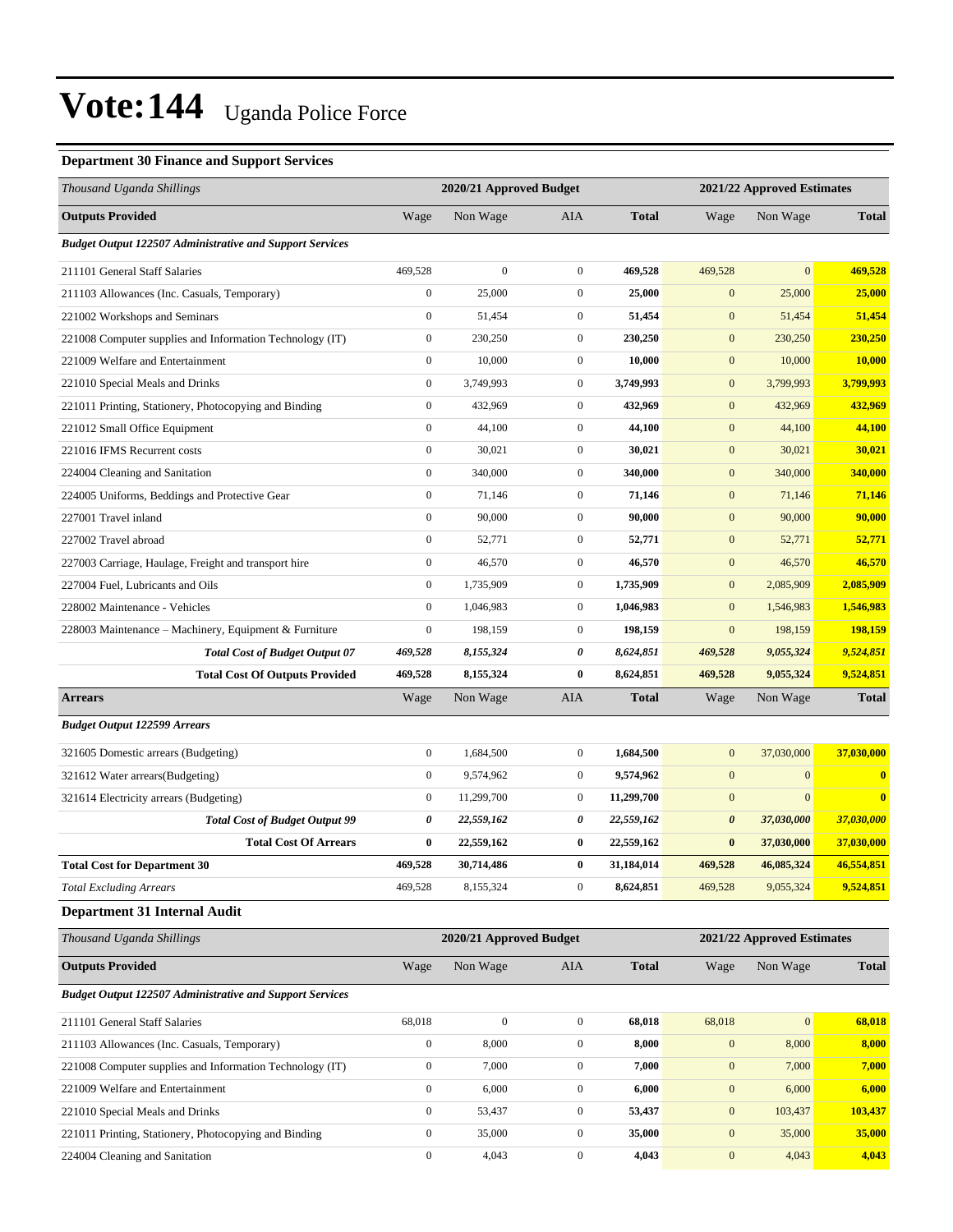#### **Department 30 Finance and Support Services**

| Thousand Uganda Shillings                                       |                  | 2020/21 Approved Budget |                  |              |                       | 2021/22 Approved Estimates |                         |
|-----------------------------------------------------------------|------------------|-------------------------|------------------|--------------|-----------------------|----------------------------|-------------------------|
| <b>Outputs Provided</b>                                         | Wage             | Non Wage                | AIA              | <b>Total</b> | Wage                  | Non Wage                   | <b>Total</b>            |
| <b>Budget Output 122507 Administrative and Support Services</b> |                  |                         |                  |              |                       |                            |                         |
| 211101 General Staff Salaries                                   | 469,528          | $\boldsymbol{0}$        | $\boldsymbol{0}$ | 469,528      | 469,528               | $\mathbf{0}$               | 469,528                 |
| 211103 Allowances (Inc. Casuals, Temporary)                     | $\boldsymbol{0}$ | 25,000                  | $\boldsymbol{0}$ | 25,000       | $\mathbf{0}$          | 25,000                     | 25,000                  |
| 221002 Workshops and Seminars                                   | $\boldsymbol{0}$ | 51,454                  | $\boldsymbol{0}$ | 51,454       | $\mathbf{0}$          | 51,454                     | 51,454                  |
| 221008 Computer supplies and Information Technology (IT)        | $\boldsymbol{0}$ | 230,250                 | $\boldsymbol{0}$ | 230,250      | $\mathbf{0}$          | 230,250                    | 230,250                 |
| 221009 Welfare and Entertainment                                | $\mathbf{0}$     | 10,000                  | $\boldsymbol{0}$ | 10,000       | $\mathbf{0}$          | 10,000                     | 10,000                  |
| 221010 Special Meals and Drinks                                 | $\boldsymbol{0}$ | 3,749,993               | $\boldsymbol{0}$ | 3,749,993    | $\mathbf{0}$          | 3,799,993                  | 3,799,993               |
| 221011 Printing, Stationery, Photocopying and Binding           | $\boldsymbol{0}$ | 432,969                 | $\boldsymbol{0}$ | 432,969      | $\mathbf{0}$          | 432,969                    | 432,969                 |
| 221012 Small Office Equipment                                   | $\boldsymbol{0}$ | 44,100                  | $\boldsymbol{0}$ | 44,100       | $\mathbf{0}$          | 44,100                     | 44,100                  |
| 221016 IFMS Recurrent costs                                     | $\boldsymbol{0}$ | 30,021                  | $\boldsymbol{0}$ | 30,021       | $\mathbf{0}$          | 30,021                     | 30,021                  |
| 224004 Cleaning and Sanitation                                  | $\boldsymbol{0}$ | 340,000                 | $\boldsymbol{0}$ | 340,000      | $\mathbf{0}$          | 340,000                    | 340,000                 |
| 224005 Uniforms, Beddings and Protective Gear                   | $\boldsymbol{0}$ | 71,146                  | $\boldsymbol{0}$ | 71,146       | $\mathbf{0}$          | 71,146                     | 71,146                  |
| 227001 Travel inland                                            | $\boldsymbol{0}$ | 90,000                  | $\boldsymbol{0}$ | 90,000       | $\mathbf{0}$          | 90,000                     | 90,000                  |
| 227002 Travel abroad                                            | $\boldsymbol{0}$ | 52,771                  | $\boldsymbol{0}$ | 52,771       | $\mathbf{0}$          | 52,771                     | 52,771                  |
| 227003 Carriage, Haulage, Freight and transport hire            | $\boldsymbol{0}$ | 46,570                  | $\boldsymbol{0}$ | 46,570       | $\mathbf{0}$          | 46,570                     | 46,570                  |
| 227004 Fuel, Lubricants and Oils                                | $\boldsymbol{0}$ | 1,735,909               | $\boldsymbol{0}$ | 1,735,909    | $\mathbf{0}$          | 2,085,909                  | 2,085,909               |
| 228002 Maintenance - Vehicles                                   | $\boldsymbol{0}$ | 1,046,983               | $\boldsymbol{0}$ | 1,046,983    | $\mathbf{0}$          | 1,546,983                  | 1,546,983               |
| 228003 Maintenance - Machinery, Equipment & Furniture           | $\boldsymbol{0}$ | 198,159                 | $\boldsymbol{0}$ | 198,159      | $\mathbf{0}$          | 198,159                    | 198,159                 |
| <b>Total Cost of Budget Output 07</b>                           | 469,528          | 8,155,324               | 0                | 8,624,851    | 469,528               | 9,055,324                  | 9,524,851               |
| <b>Total Cost Of Outputs Provided</b>                           | 469,528          | 8,155,324               | 0                | 8,624,851    | 469,528               | 9,055,324                  | 9,524,851               |
| <b>Arrears</b>                                                  | Wage             | Non Wage                | <b>AIA</b>       | <b>Total</b> | Wage                  | Non Wage                   | <b>Total</b>            |
| <b>Budget Output 122599 Arrears</b>                             |                  |                         |                  |              |                       |                            |                         |
| 321605 Domestic arrears (Budgeting)                             | $\boldsymbol{0}$ | 1,684,500               | $\boldsymbol{0}$ | 1,684,500    | $\mathbf{0}$          | 37,030,000                 | 37,030,000              |
| 321612 Water arrears(Budgeting)                                 | $\boldsymbol{0}$ | 9,574,962               | $\boldsymbol{0}$ | 9,574,962    | $\mathbf{0}$          | $\boldsymbol{0}$           | $\mathbf{0}$            |
| 321614 Electricity arrears (Budgeting)                          | $\boldsymbol{0}$ | 11,299,700              | $\boldsymbol{0}$ | 11,299,700   | $\mathbf{0}$          | $\mathbf{0}$               | $\overline{\mathbf{0}}$ |
| <b>Total Cost of Budget Output 99</b>                           | 0                | 22,559,162              | 0                | 22,559,162   | $\boldsymbol{\theta}$ | 37,030,000                 | 37,030,000              |
| <b>Total Cost Of Arrears</b>                                    | $\bf{0}$         | 22,559,162              | 0                | 22,559,162   | $\bf{0}$              | 37,030,000                 | 37,030,000              |
| <b>Total Cost for Department 30</b>                             | 469,528          | 30,714,486              | 0                | 31,184,014   | 469,528               | 46,085,324                 | 46,554,851              |
| <b>Total Excluding Arrears</b>                                  | 469,528          | 8,155,324               | $\boldsymbol{0}$ | 8,624,851    | 469,528               | 9,055,324                  | 9,524,851               |
| Department 31 Internal Audit                                    |                  |                         |                  |              |                       |                            |                         |
| Thousand Uganda Shillings                                       |                  | 2020/21 Approved Budget |                  |              |                       | 2021/22 Approved Estimates |                         |
| <b>Outputs Provided</b>                                         | Wage             | Non Wage                | AIA              | <b>Total</b> | Wage                  | Non Wage                   | <b>Total</b>            |
| <b>Budget Output 122507 Administrative and Support Services</b> |                  |                         |                  |              |                       |                            |                         |
| 211101 General Staff Salaries                                   | 68,018           | $\boldsymbol{0}$        | $\boldsymbol{0}$ | 68,018       | 68,018                | $\mathbf{0}$               | 68,018                  |
| 211103 Allowances (Inc. Casuals, Temporary)                     | $\boldsymbol{0}$ | 8,000                   | $\boldsymbol{0}$ | 8,000        | $\boldsymbol{0}$      | 8,000                      | 8,000                   |
| 221008 Computer supplies and Information Technology (IT)        | $\boldsymbol{0}$ | 7,000                   | $\boldsymbol{0}$ | 7,000        | $\boldsymbol{0}$      | 7,000                      | 7,000                   |
| 221009 Welfare and Entertainment                                | $\boldsymbol{0}$ | 6,000                   | $\boldsymbol{0}$ | 6,000        | $\mathbf{0}$          | 6,000                      | 6,000                   |
| 221010 Special Meals and Drinks                                 | $\boldsymbol{0}$ | 53,437                  | $\boldsymbol{0}$ | 53,437       | $\mathbf{0}$          | 103,437                    | 103,437                 |
| 221011 Printing, Stationery, Photocopying and Binding           | $\boldsymbol{0}$ | 35,000                  | $\boldsymbol{0}$ | 35,000       | $\mathbf{0}$          | 35,000                     | 35,000                  |
| 224004 Cleaning and Sanitation                                  | $\boldsymbol{0}$ | 4,043                   | $\boldsymbol{0}$ | 4,043        | $\boldsymbol{0}$      | 4,043                      | 4,043                   |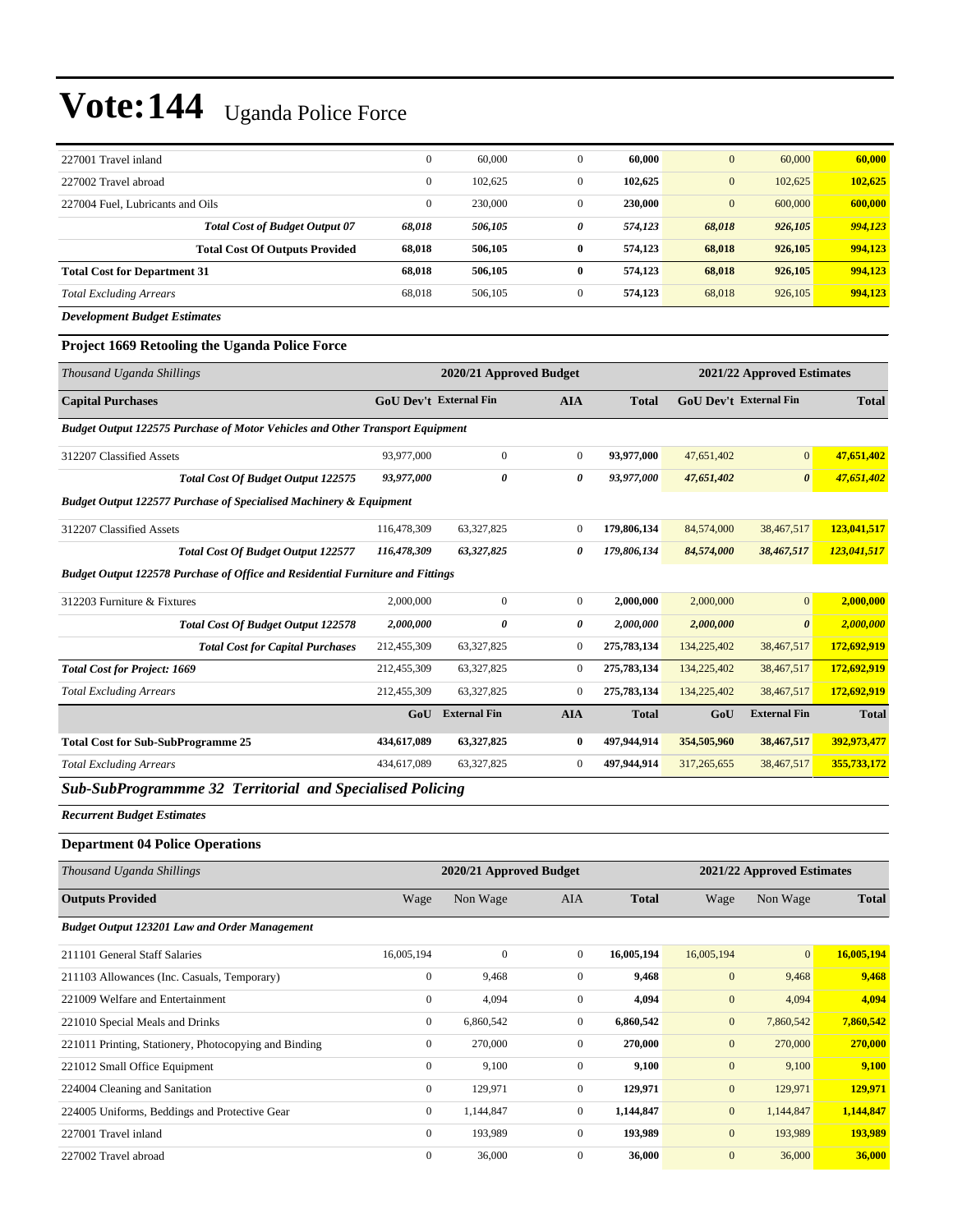| 227001 Travel inland                  | $\mathbf{0}$ | 60,000  |              | 60.000  | $\mathbf{0}$     | 60,000  | 60,000  |
|---------------------------------------|--------------|---------|--------------|---------|------------------|---------|---------|
| 227002 Travel abroad                  | $\mathbf{0}$ | 102.625 |              | 102.625 | $\mathbf{0}$     | 102.625 | 102,625 |
| 227004 Fuel, Lubricants and Oils      | $\mathbf{0}$ | 230,000 |              | 230,000 | $\boldsymbol{0}$ | 600,000 | 600,000 |
| <b>Total Cost of Budget Output 07</b> | 68.018       | 506,105 | 0            | 574.123 | 68,018           | 926,105 | 994,123 |
| <b>Total Cost Of Outputs Provided</b> | 68.018       | 506,105 | 0            | 574,123 | 68.018           | 926,105 | 994,123 |
| <b>Total Cost for Department 31</b>   | 68.018       | 506,105 | 0            | 574,123 | 68.018           | 926,105 | 994,123 |
| <b>Total Excluding Arrears</b>        | 68.018       | 506,105 | $\mathbf{0}$ | 574,123 | 68,018           | 926,105 | 994,123 |

*Development Budget Estimates*

#### **Project 1669 Retooling the Uganda Police Force**

| Thousand Uganda Shillings                                                             |                               | 2020/21 Approved Budget<br>2021/22 Approved Estimates |                |              |             |                               |              |
|---------------------------------------------------------------------------------------|-------------------------------|-------------------------------------------------------|----------------|--------------|-------------|-------------------------------|--------------|
| <b>Capital Purchases</b>                                                              | <b>GoU Dev't External Fin</b> |                                                       | <b>AIA</b>     | <b>Total</b> |             | <b>GoU</b> Dev't External Fin | <b>Total</b> |
| <b>Budget Output 122575 Purchase of Motor Vehicles and Other Transport Equipment</b>  |                               |                                                       |                |              |             |                               |              |
| 312207 Classified Assets                                                              | 93,977,000                    | $\mathbf{0}$                                          | $\overline{0}$ | 93,977,000   | 47,651,402  | $\overline{0}$                | 47,651,402   |
| <b>Total Cost Of Budget Output 122575</b>                                             | 93,977,000                    | 0                                                     | 0              | 93,977,000   | 47,651,402  | $\boldsymbol{\theta}$         | 47,651,402   |
| <b>Budget Output 122577 Purchase of Specialised Machinery &amp; Equipment</b>         |                               |                                                       |                |              |             |                               |              |
| 312207 Classified Assets                                                              | 116,478,309                   | 63,327,825                                            | $\mathbf{0}$   | 179,806,134  | 84,574,000  | 38,467,517                    | 123,041,517  |
| <b>Total Cost Of Budget Output 122577</b>                                             | 116,478,309                   | 63,327,825                                            | 0              | 179,806,134  | 84,574,000  | 38,467,517                    | 123,041,517  |
| <b>Budget Output 122578 Purchase of Office and Residential Furniture and Fittings</b> |                               |                                                       |                |              |             |                               |              |
| 312203 Furniture & Fixtures                                                           | 2,000,000                     | $\Omega$                                              | $\Omega$       | 2,000,000    | 2,000,000   | $\overline{0}$                | 2,000,000    |
| <b>Total Cost Of Budget Output 122578</b>                                             | 2,000,000                     | 0                                                     | 0              | 2,000,000    | 2,000,000   | $\boldsymbol{\theta}$         | 2,000,000    |
| <b>Total Cost for Capital Purchases</b>                                               | 212,455,309                   | 63,327,825                                            | $\bf{0}$       | 275,783,134  | 134,225,402 | 38,467,517                    | 172,692,919  |
| <b>Total Cost for Project: 1669</b>                                                   | 212,455,309                   | 63,327,825                                            | $\overline{0}$ | 275,783,134  | 134,225,402 | 38,467,517                    | 172,692,919  |
| <b>Total Excluding Arrears</b>                                                        | 212,455,309                   | 63,327,825                                            | $\mathbf{0}$   | 275,783,134  | 134,225,402 | 38,467,517                    | 172,692,919  |
|                                                                                       | GoU                           | <b>External Fin</b>                                   | <b>AIA</b>     | <b>Total</b> | GoU         | <b>External Fin</b>           | <b>Total</b> |
| <b>Total Cost for Sub-SubProgramme 25</b>                                             | 434,617,089                   | 63,327,825                                            | 0              | 497,944,914  | 354,505,960 | 38,467,517                    | 392,973,477  |
| <b>Total Excluding Arrears</b>                                                        | 434,617,089                   | 63,327,825                                            | $\mathbf{0}$   | 497,944,914  | 317,265,655 | 38,467,517                    | 355,733,172  |
| -----<br>$\sim$ $\sim$                                                                | .                             |                                                       |                |              |             |                               |              |

*Sub-SubProgrammme 32 Territorial and Specialised Policing*

*Recurrent Budget Estimates*

#### **Department 04 Police Operations**

| Thousand Uganda Shillings                             |                | 2020/21 Approved Budget |                |              | 2021/22 Approved Estimates |                |              |
|-------------------------------------------------------|----------------|-------------------------|----------------|--------------|----------------------------|----------------|--------------|
| <b>Outputs Provided</b>                               | Wage           | Non Wage                | AIA            | <b>Total</b> | Wage                       | Non Wage       | <b>Total</b> |
| <b>Budget Output 123201 Law and Order Management</b>  |                |                         |                |              |                            |                |              |
| 211101 General Staff Salaries                         | 16,005,194     | $\mathbf{0}$            | $\overline{0}$ | 16,005,194   | 16,005,194                 | $\overline{0}$ | 16,005,194   |
| 211103 Allowances (Inc. Casuals, Temporary)           | $\bf{0}$       | 9,468                   | $\overline{0}$ | 9,468        | $\mathbf{0}$               | 9,468          | 9,468        |
| 221009 Welfare and Entertainment                      | $\mathbf{0}$   | 4,094                   | $\overline{0}$ | 4,094        | $\mathbf{0}$               | 4,094          | 4,094        |
| 221010 Special Meals and Drinks                       | $\overline{0}$ | 6,860,542               | $\overline{0}$ | 6,860,542    | $\mathbf{0}$               | 7,860,542      | 7,860,542    |
| 221011 Printing, Stationery, Photocopying and Binding | $\mathbf{0}$   | 270,000                 | $\overline{0}$ | 270,000      | $\mathbf{0}$               | 270,000        | 270,000      |
| 221012 Small Office Equipment                         | $\mathbf{0}$   | 9,100                   | $\overline{0}$ | 9,100        | $\mathbf{0}$               | 9,100          | 9,100        |
| 224004 Cleaning and Sanitation                        | $\overline{0}$ | 129,971                 | $\overline{0}$ | 129,971      | $\mathbf{0}$               | 129,971        | 129,971      |
| 224005 Uniforms, Beddings and Protective Gear         | $\overline{0}$ | 1,144,847               | $\overline{0}$ | 1,144,847    | $\mathbf{0}$               | 1,144,847      | 1,144,847    |
| 227001 Travel inland                                  | $\mathbf{0}$   | 193,989                 | $\overline{0}$ | 193,989      | $\mathbf{0}$               | 193,989        | 193,989      |
| 227002 Travel abroad                                  | $\mathbf{0}$   | 36,000                  | $\overline{0}$ | 36,000       | $\mathbf{0}$               | 36,000         | 36,000       |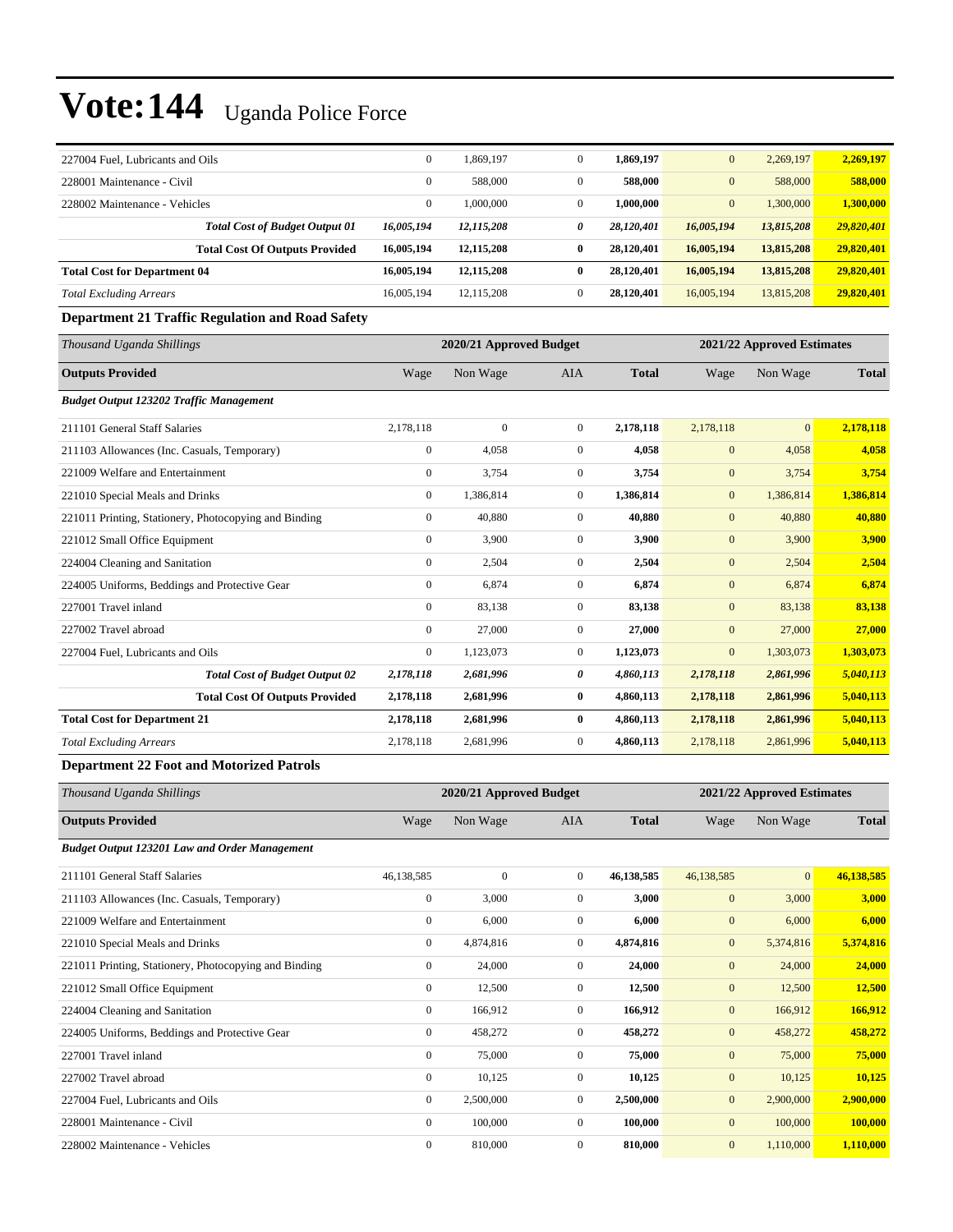| 227004 Fuel, Lubricants and Oils    |                                       | $\mathbf{0}$ | 1.869.197  | $\Omega$ | 1,869,197  | $\mathbf{0}$ | 2.269.197  | 2,269,197  |
|-------------------------------------|---------------------------------------|--------------|------------|----------|------------|--------------|------------|------------|
| 228001 Maintenance - Civil          |                                       | $\mathbf{0}$ | 588,000    | $\Omega$ | 588,000    | $\mathbf{0}$ | 588,000    | 588,000    |
| 228002 Maintenance - Vehicles       |                                       | $\mathbf{0}$ | 000,000.1  |          | 1,000,000  | $\mathbf{0}$ | 1,300,000  | 1,300,000  |
|                                     | <b>Total Cost of Budget Output 01</b> | 16,005,194   | 12,115,208 | 0        | 28.120.401 | 16,005,194   | 13,815,208 | 29,820,401 |
|                                     | <b>Total Cost Of Outputs Provided</b> | 16,005,194   | 12,115,208 | $\bf{0}$ | 28.120.401 | 16,005,194   | 13,815,208 | 29,820,401 |
| <b>Total Cost for Department 04</b> |                                       | 16,005,194   | 12,115,208 | $\bf{0}$ | 28.120.401 | 16,005,194   | 13,815,208 | 29,820,401 |
| <b>Total Excluding Arrears</b>      |                                       | 16,005,194   | 12.115.208 | $\Omega$ | 28.120.401 | 16,005,194   | 13,815,208 | 29,820,401 |

#### **Department 21 Traffic Regulation and Road Safety**

| Thousand Uganda Shillings                             |              | 2020/21 Approved Budget |                |              |              | 2021/22 Approved Estimates |              |  |
|-------------------------------------------------------|--------------|-------------------------|----------------|--------------|--------------|----------------------------|--------------|--|
| <b>Outputs Provided</b>                               | Wage         | Non Wage                | <b>AIA</b>     | <b>Total</b> | Wage         | Non Wage                   | <b>Total</b> |  |
| <b>Budget Output 123202 Traffic Management</b>        |              |                         |                |              |              |                            |              |  |
| 211101 General Staff Salaries                         | 2,178,118    | $\overline{0}$          | $\overline{0}$ | 2,178,118    | 2,178,118    | $\mathbf{0}$               | 2,178,118    |  |
| 211103 Allowances (Inc. Casuals, Temporary)           | $\mathbf{0}$ | 4,058                   | $\overline{0}$ | 4,058        | $\mathbf{0}$ | 4,058                      | 4,058        |  |
| 221009 Welfare and Entertainment                      | $\mathbf{0}$ | 3,754                   | $\overline{0}$ | 3.754        | $\mathbf{0}$ | 3,754                      | 3,754        |  |
| 221010 Special Meals and Drinks                       | $\Omega$     | 1,386,814               | $\overline{0}$ | 1,386,814    | $\mathbf{0}$ | 1,386,814                  | 1,386,814    |  |
| 221011 Printing, Stationery, Photocopying and Binding | $\mathbf{0}$ | 40,880                  | $\overline{0}$ | 40.880       | $\mathbf{0}$ | 40,880                     | 40,880       |  |
| 221012 Small Office Equipment                         | $\mathbf{0}$ | 3,900                   | $\Omega$       | 3,900        | $\mathbf{0}$ | 3,900                      | 3,900        |  |
| 224004 Cleaning and Sanitation                        | $\mathbf{0}$ | 2,504                   | $\overline{0}$ | 2,504        | $\mathbf{0}$ | 2,504                      | 2,504        |  |
| 224005 Uniforms, Beddings and Protective Gear         | $\mathbf{0}$ | 6,874                   | $\overline{0}$ | 6,874        | $\mathbf{0}$ | 6,874                      | 6,874        |  |
| 227001 Travel inland                                  | $\mathbf{0}$ | 83,138                  | $\overline{0}$ | 83,138       | $\mathbf{0}$ | 83,138                     | 83,138       |  |
| 227002 Travel abroad                                  | $\mathbf{0}$ | 27,000                  | $\overline{0}$ | 27,000       | $\mathbf{0}$ | 27,000                     | 27,000       |  |
| 227004 Fuel, Lubricants and Oils                      | $\mathbf{0}$ | 1,123,073               | 0              | 1,123,073    | $\mathbf{0}$ | 1,303,073                  | 1,303,073    |  |
| <b>Total Cost of Budget Output 02</b>                 | 2,178,118    | 2,681,996               | 0              | 4,860,113    | 2,178,118    | 2,861,996                  | 5,040,113    |  |
| <b>Total Cost Of Outputs Provided</b>                 | 2,178,118    | 2,681,996               | 0              | 4,860,113    | 2,178,118    | 2,861,996                  | 5,040,113    |  |
| <b>Total Cost for Department 21</b>                   | 2,178,118    | 2,681,996               | 0              | 4,860,113    | 2,178,118    | 2,861,996                  | 5,040,113    |  |
| <b>Total Excluding Arrears</b>                        | 2,178,118    | 2,681,996               | 0              | 4,860,113    | 2,178,118    | 2,861,996                  | 5,040,113    |  |

#### **Department 22 Foot and Motorized Patrols**

| Thousand Uganda Shillings                             |                  | 2020/21 Approved Budget |                |              | 2021/22 Approved Estimates |                |              |
|-------------------------------------------------------|------------------|-------------------------|----------------|--------------|----------------------------|----------------|--------------|
| <b>Outputs Provided</b>                               | Wage             | Non Wage                | <b>AIA</b>     | <b>Total</b> | Wage                       | Non Wage       | <b>Total</b> |
| <b>Budget Output 123201 Law and Order Management</b>  |                  |                         |                |              |                            |                |              |
| 211101 General Staff Salaries                         | 46,138,585       | $\mathbf{0}$            | $\mathbf{0}$   | 46,138,585   | 46,138,585                 | $\overline{0}$ | 46,138,585   |
| 211103 Allowances (Inc. Casuals, Temporary)           | $\boldsymbol{0}$ | 3,000                   | $\mathbf{0}$   | 3,000        | $\mathbf{0}$               | 3,000          | 3,000        |
| 221009 Welfare and Entertainment                      | $\mathbf{0}$     | 6,000                   | $\mathbf{0}$   | 6,000        | $\mathbf{0}$               | 6,000          | 6,000        |
| 221010 Special Meals and Drinks                       | $\mathbf{0}$     | 4,874,816               | $\mathbf{0}$   | 4,874,816    | $\mathbf{0}$               | 5,374,816      | 5,374,816    |
| 221011 Printing, Stationery, Photocopying and Binding | $\mathbf{0}$     | 24,000                  | $\mathbf{0}$   | 24,000       | $\mathbf{0}$               | 24,000         | 24,000       |
| 221012 Small Office Equipment                         | $\boldsymbol{0}$ | 12,500                  | $\overline{0}$ | 12,500       | $\mathbf{0}$               | 12,500         | 12,500       |
| 224004 Cleaning and Sanitation                        | $\mathbf{0}$     | 166,912                 | $\mathbf{0}$   | 166,912      | $\mathbf{0}$               | 166,912        | 166,912      |
| 224005 Uniforms, Beddings and Protective Gear         | $\mathbf{0}$     | 458,272                 | $\mathbf{0}$   | 458,272      | $\mathbf{0}$               | 458,272        | 458,272      |
| 227001 Travel inland                                  | $\boldsymbol{0}$ | 75,000                  | $\mathbf{0}$   | 75,000       | $\mathbf{0}$               | 75,000         | 75,000       |
| 227002 Travel abroad                                  | $\mathbf{0}$     | 10,125                  | $\overline{0}$ | 10,125       | $\mathbf{0}$               | 10,125         | 10,125       |
| 227004 Fuel, Lubricants and Oils                      | $\mathbf{0}$     | 2,500,000               | $\mathbf{0}$   | 2,500,000    | $\mathbf{0}$               | 2,900,000      | 2,900,000    |
| 228001 Maintenance - Civil                            | $\mathbf{0}$     | 100,000                 | $\mathbf{0}$   | 100,000      | $\mathbf{0}$               | 100,000        | 100,000      |
| 228002 Maintenance - Vehicles                         | $\mathbf{0}$     | 810,000                 | $\mathbf{0}$   | 810,000      | $\mathbf{0}$               | 1,110,000      | 1,110,000    |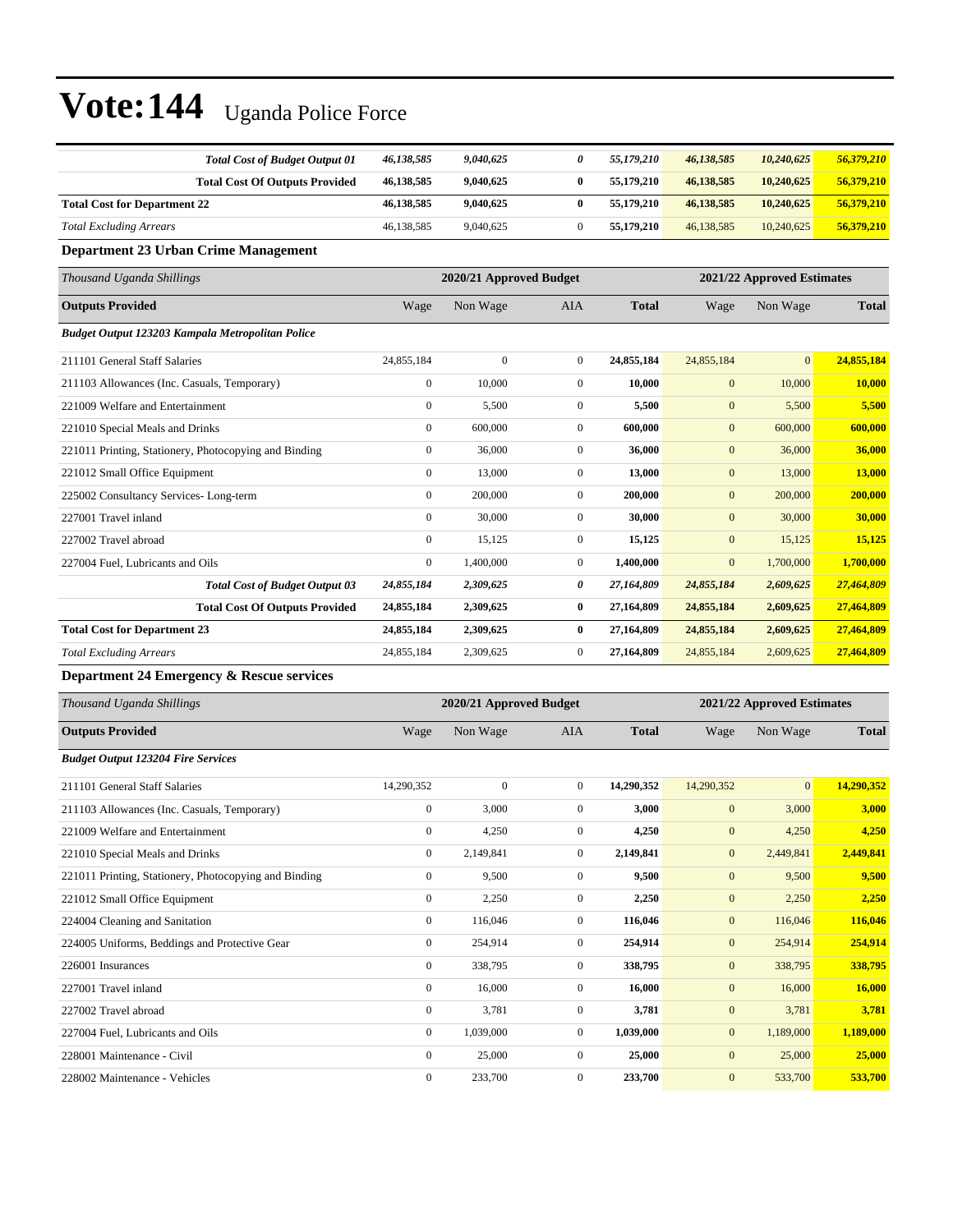| <b>Total Cost of Budget Output 01</b>                 | 46,138,585       | 9,040,625               | 0              | 55,179,210   | 46,138,585                 | 10,240,625 | 56,379,210   |
|-------------------------------------------------------|------------------|-------------------------|----------------|--------------|----------------------------|------------|--------------|
| <b>Total Cost Of Outputs Provided</b>                 | 46,138,585       | 9,040,625               | $\bf{0}$       | 55,179,210   | 46,138,585                 | 10,240,625 | 56,379,210   |
| <b>Total Cost for Department 22</b>                   | 46,138,585       | 9,040,625               | $\bf{0}$       | 55,179,210   | 46,138,585                 | 10,240,625 | 56,379,210   |
| <b>Total Excluding Arrears</b>                        | 46,138,585       | 9,040,625               | $\mathbf{0}$   | 55,179,210   | 46,138,585                 | 10,240,625 | 56,379,210   |
| <b>Department 23 Urban Crime Management</b>           |                  |                         |                |              |                            |            |              |
| Thousand Uganda Shillings                             |                  | 2020/21 Approved Budget |                |              | 2021/22 Approved Estimates |            |              |
| <b>Outputs Provided</b>                               | Wage             | Non Wage                | <b>AIA</b>     | <b>Total</b> | Wage                       | Non Wage   | <b>Total</b> |
| Budget Output 123203 Kampala Metropolitan Police      |                  |                         |                |              |                            |            |              |
| 211101 General Staff Salaries                         | 24,855,184       | $\overline{0}$          | $\overline{0}$ | 24,855,184   | 24,855,184                 | $\Omega$   | 24,855,184   |
| 211103 Allowances (Inc. Casuals, Temporary)           | $\boldsymbol{0}$ | 10,000                  | $\overline{0}$ | 10.000       | $\mathbf{0}$               | 10,000     | 10,000       |
| 221009 Welfare and Entertainment                      | $\mathbf{0}$     | 5,500                   | $\overline{0}$ | 5,500        | $\mathbf{0}$               | 5,500      | 5,500        |
| 221010 Special Meals and Drinks                       | $\mathbf{0}$     | 600,000                 | $\overline{0}$ | 600.000      | $\mathbf{0}$               | 600,000    | 600,000      |
| 221011 Printing, Stationery, Photocopying and Binding | $\overline{0}$   | 36,000                  | $\overline{0}$ | 36,000       | $\mathbf{0}$               | 36,000     | 36,000       |
| 221012 Small Office Equipment                         | $\mathbf{0}$     | 13,000                  | $\overline{0}$ | 13,000       | $\mathbf{0}$               | 13,000     | 13,000       |
| 225002 Consultancy Services-Long-term                 | $\mathbf{0}$     | 200,000                 | $\overline{0}$ | 200,000      | $\mathbf{0}$               | 200,000    | 200,000      |
| 227001 Travel inland                                  | $\Omega$         | 30,000                  | $\overline{0}$ | 30,000       | $\mathbf{0}$               | 30,000     | 30,000       |
| 227002 Travel abroad                                  | $\mathbf{0}$     | 15,125                  | $\mathbf{0}$   | 15,125       | $\mathbf{0}$               | 15,125     | 15,125       |
| 227004 Fuel. Lubricants and Oils                      | $\overline{0}$   | 1,400,000               | $\overline{0}$ | 1,400,000    | $\mathbf{0}$               | 1,700,000  | 1,700,000    |
| <b>Total Cost of Budget Output 03</b>                 | 24,855,184       | 2,309,625               | 0              | 27,164,809   | 24,855,184                 | 2,609,625  | 27,464,809   |
| <b>Total Cost Of Outputs Provided</b>                 | 24,855,184       | 2,309,625               | $\bf{0}$       | 27,164,809   | 24,855,184                 | 2,609,625  | 27,464,809   |
| <b>Total Cost for Department 23</b>                   | 24,855,184       | 2,309,625               | $\bf{0}$       | 27,164,809   | 24,855,184                 | 2,609,625  | 27,464,809   |
| <b>Total Excluding Arrears</b>                        | 24,855,184       | 2,309,625               | $\mathbf{0}$   | 27,164,809   | 24,855,184                 | 2,609,625  | 27,464,809   |
| Department 24 Emergency & Rescue services             |                  |                         |                |              |                            |            |              |

| Thousand Uganda Shillings                             |                  | 2020/21 Approved Budget |                |              | 2021/22 Approved Estimates |                |              |  |
|-------------------------------------------------------|------------------|-------------------------|----------------|--------------|----------------------------|----------------|--------------|--|
| <b>Outputs Provided</b>                               | Wage             | Non Wage                | <b>AIA</b>     | <b>Total</b> | Wage                       | Non Wage       | <b>Total</b> |  |
| <b>Budget Output 123204 Fire Services</b>             |                  |                         |                |              |                            |                |              |  |
| 211101 General Staff Salaries                         | 14,290,352       | $\mathbf{0}$            | $\overline{0}$ | 14,290,352   | 14,290,352                 | $\overline{0}$ | 14,290,352   |  |
| 211103 Allowances (Inc. Casuals, Temporary)           | $\bf{0}$         | 3,000                   | 0              | 3,000        | $\mathbf{0}$               | 3,000          | 3,000        |  |
| 221009 Welfare and Entertainment                      | $\mathbf{0}$     | 4,250                   | $\overline{0}$ | 4,250        | $\mathbf{0}$               | 4,250          | 4,250        |  |
| 221010 Special Meals and Drinks                       | $\mathbf{0}$     | 2,149,841               | $\overline{0}$ | 2,149,841    | $\mathbf{0}$               | 2,449,841      | 2,449,841    |  |
| 221011 Printing, Stationery, Photocopying and Binding | $\mathbf{0}$     | 9,500                   | $\overline{0}$ | 9,500        | $\mathbf{0}$               | 9,500          | 9,500        |  |
| 221012 Small Office Equipment                         | $\mathbf{0}$     | 2,250                   | 0              | 2,250        | $\mathbf{0}$               | 2,250          | 2,250        |  |
| 224004 Cleaning and Sanitation                        | $\mathbf{0}$     | 116,046                 | $\overline{0}$ | 116,046      | $\mathbf{0}$               | 116,046        | 116,046      |  |
| 224005 Uniforms, Beddings and Protective Gear         | $\boldsymbol{0}$ | 254,914                 | $\mathbf{0}$   | 254,914      | $\mathbf{0}$               | 254,914        | 254,914      |  |
| 226001 Insurances                                     | $\mathbf{0}$     | 338,795                 | $\overline{0}$ | 338,795      | $\mathbf{0}$               | 338,795        | 338,795      |  |
| 227001 Travel inland                                  | $\mathbf{0}$     | 16,000                  | $\overline{0}$ | 16,000       | $\mathbf{0}$               | 16,000         | 16,000       |  |
| 227002 Travel abroad                                  | $\mathbf{0}$     | 3,781                   | $\overline{0}$ | 3,781        | $\mathbf{0}$               | 3,781          | 3,781        |  |
| 227004 Fuel, Lubricants and Oils                      | $\mathbf{0}$     | 1,039,000               | $\overline{0}$ | 1,039,000    | $\boldsymbol{0}$           | 1,189,000      | 1,189,000    |  |
| 228001 Maintenance - Civil                            | $\mathbf{0}$     | 25,000                  | $\overline{0}$ | 25,000       | $\mathbf{0}$               | 25,000         | 25,000       |  |
| 228002 Maintenance - Vehicles                         | $\mathbf{0}$     | 233,700                 | $\overline{0}$ | 233,700      | $\mathbf{0}$               | 533,700        | 533,700      |  |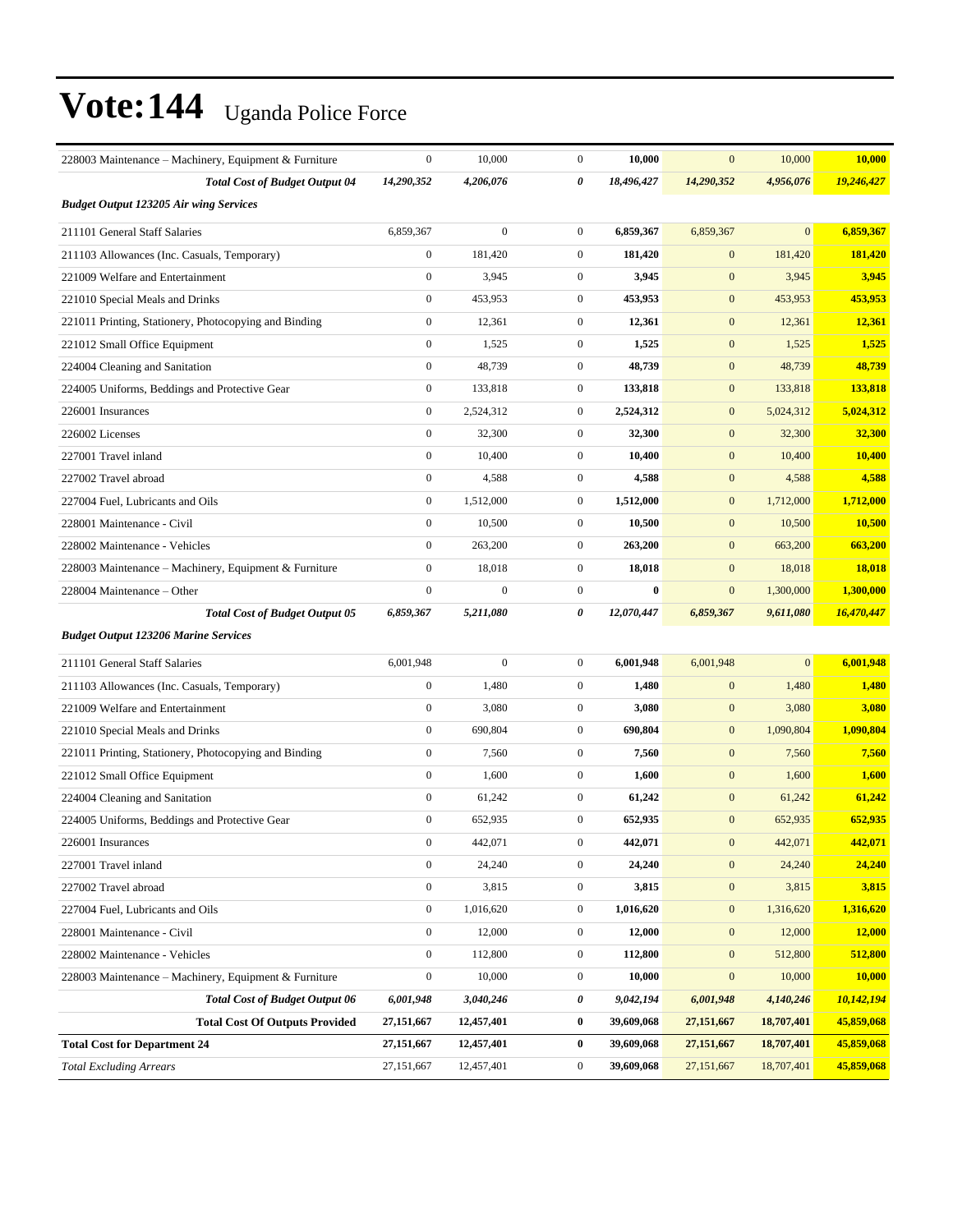| 228003 Maintenance – Machinery, Equipment & Furniture | $\boldsymbol{0}$ | 10,000           | $\mathbf{0}$     | 10,000     | $\mathbf{0}$     | 10,000         | 10,000     |
|-------------------------------------------------------|------------------|------------------|------------------|------------|------------------|----------------|------------|
| <b>Total Cost of Budget Output 04</b>                 | 14,290,352       | 4,206,076        | 0                | 18,496,427 | 14,290,352       | 4,956,076      | 19,246,427 |
| <b>Budget Output 123205 Air wing Services</b>         |                  |                  |                  |            |                  |                |            |
| 211101 General Staff Salaries                         | 6,859,367        | $\overline{0}$   | $\overline{0}$   | 6,859,367  | 6,859,367        | $\overline{0}$ | 6,859,367  |
| 211103 Allowances (Inc. Casuals, Temporary)           | $\boldsymbol{0}$ | 181,420          | $\mathbf{0}$     | 181,420    | $\mathbf{0}$     | 181,420        | 181,420    |
| 221009 Welfare and Entertainment                      | $\boldsymbol{0}$ | 3,945            | $\mathbf{0}$     | 3,945      | $\mathbf{0}$     | 3,945          | 3,945      |
| 221010 Special Meals and Drinks                       | $\boldsymbol{0}$ | 453,953          | $\mathbf{0}$     | 453,953    | $\mathbf{0}$     | 453,953        | 453,953    |
| 221011 Printing, Stationery, Photocopying and Binding | $\mathbf{0}$     | 12,361           | $\mathbf{0}$     | 12,361     | $\mathbf{0}$     | 12,361         | 12,361     |
| 221012 Small Office Equipment                         | $\boldsymbol{0}$ | 1,525            | $\overline{0}$   | 1,525      | $\mathbf{0}$     | 1,525          | 1,525      |
| 224004 Cleaning and Sanitation                        | $\mathbf{0}$     | 48,739           | $\mathbf{0}$     | 48,739     | $\mathbf{0}$     | 48,739         | 48,739     |
| 224005 Uniforms, Beddings and Protective Gear         | $\mathbf{0}$     | 133,818          | $\mathbf{0}$     | 133,818    | $\mathbf{0}$     | 133,818        | 133,818    |
| 226001 Insurances                                     | $\boldsymbol{0}$ | 2,524,312        | $\mathbf{0}$     | 2,524,312  | $\boldsymbol{0}$ | 5,024,312      | 5,024,312  |
| 226002 Licenses                                       | $\mathbf{0}$     | 32,300           | $\mathbf{0}$     | 32,300     | $\mathbf{0}$     | 32,300         | 32,300     |
| 227001 Travel inland                                  | $\mathbf{0}$     | 10,400           | $\overline{0}$   | 10,400     | $\mathbf{0}$     | 10,400         | 10,400     |
| 227002 Travel abroad                                  | $\mathbf{0}$     | 4,588            | $\mathbf{0}$     | 4,588      | $\mathbf{0}$     | 4,588          | 4,588      |
| 227004 Fuel, Lubricants and Oils                      | $\mathbf{0}$     | 1,512,000        | $\mathbf{0}$     | 1,512,000  | $\mathbf{0}$     | 1,712,000      | 1,712,000  |
| 228001 Maintenance - Civil                            | $\boldsymbol{0}$ | 10,500           | $\mathbf{0}$     | 10,500     | $\boldsymbol{0}$ | 10,500         | 10,500     |
| 228002 Maintenance - Vehicles                         | $\mathbf{0}$     | 263,200          | $\mathbf{0}$     | 263,200    | $\mathbf{0}$     | 663,200        | 663,200    |
| 228003 Maintenance – Machinery, Equipment & Furniture | $\boldsymbol{0}$ | 18,018           | $\overline{0}$   | 18,018     | $\mathbf{0}$     | 18,018         | 18,018     |
| 228004 Maintenance – Other                            | $\mathbf{0}$     | $\boldsymbol{0}$ | $\overline{0}$   | $\bf{0}$   | $\boldsymbol{0}$ | 1,300,000      | 1,300,000  |
| <b>Total Cost of Budget Output 05</b>                 | 6,859,367        | 5,211,080        | 0                | 12,070,447 | 6,859,367        | 9,611,080      | 16,470,447 |
| <b>Budget Output 123206 Marine Services</b>           |                  |                  |                  |            |                  |                |            |
| 211101 General Staff Salaries                         | 6,001,948        | $\boldsymbol{0}$ | $\mathbf{0}$     | 6,001,948  | 6,001,948        | $\mathbf{0}$   | 6,001,948  |
| 211103 Allowances (Inc. Casuals, Temporary)           | $\boldsymbol{0}$ | 1,480            | $\mathbf{0}$     | 1,480      | $\mathbf{0}$     | 1,480          | 1,480      |
| 221009 Welfare and Entertainment                      | $\mathbf{0}$     | 3,080            | $\mathbf{0}$     | 3,080      | $\boldsymbol{0}$ | 3,080          | 3,080      |
| 221010 Special Meals and Drinks                       | $\mathbf{0}$     | 690,804          | $\mathbf{0}$     | 690,804    | $\mathbf{0}$     | 1,090,804      | 1,090,804  |
| 221011 Printing, Stationery, Photocopying and Binding | $\mathbf{0}$     | 7,560            | $\mathbf{0}$     | 7,560      | $\mathbf{0}$     | 7,560          | 7,560      |
| 221012 Small Office Equipment                         | $\boldsymbol{0}$ | 1,600            | $\mathbf{0}$     | 1,600      | $\mathbf{0}$     | 1,600          | 1,600      |
| 224004 Cleaning and Sanitation                        | $\mathbf{0}$     | 61,242           | $\mathbf{0}$     | 61,242     | $\mathbf{0}$     | 61,242         | 61,242     |
| 224005 Uniforms, Beddings and Protective Gear         | $\boldsymbol{0}$ | 652,935          | $\overline{0}$   | 652,935    | $\mathbf{0}$     | 652,935        | 652,935    |
| 226001 Insurances                                     | $\boldsymbol{0}$ | 442,071          | $\boldsymbol{0}$ | 442,071    | $\mathbf{0}$     | 442,071        | 442,071    |
| 227001 Travel inland                                  | $\boldsymbol{0}$ | 24,240           | $\boldsymbol{0}$ | 24,240     | $\mathbf{0}$     | 24,240         | 24,240     |
| 227002 Travel abroad                                  | $\boldsymbol{0}$ | 3,815            | $\boldsymbol{0}$ | 3,815      | $\boldsymbol{0}$ | 3,815          | 3,815      |
| 227004 Fuel, Lubricants and Oils                      | $\boldsymbol{0}$ | 1,016,620        | $\boldsymbol{0}$ | 1,016,620  | $\boldsymbol{0}$ | 1,316,620      | 1,316,620  |
| 228001 Maintenance - Civil                            | $\boldsymbol{0}$ | 12,000           | $\mathbf{0}$     | 12,000     | $\boldsymbol{0}$ | 12,000         | 12,000     |
| 228002 Maintenance - Vehicles                         | $\boldsymbol{0}$ | 112,800          | $\boldsymbol{0}$ | 112,800    | $\mathbf{0}$     | 512,800        | 512,800    |
| 228003 Maintenance – Machinery, Equipment & Furniture | $\boldsymbol{0}$ | 10,000           | $\boldsymbol{0}$ | 10,000     | $\boldsymbol{0}$ | 10,000         | 10,000     |
| <b>Total Cost of Budget Output 06</b>                 | 6,001,948        | 3,040,246        | 0                | 9,042,194  | 6,001,948        | 4,140,246      | 10,142,194 |
| <b>Total Cost Of Outputs Provided</b>                 | 27,151,667       | 12,457,401       | $\bf{0}$         | 39,609,068 | 27, 151, 667     | 18,707,401     | 45,859,068 |
| <b>Total Cost for Department 24</b>                   | 27,151,667       | 12,457,401       | 0                | 39,609,068 | 27,151,667       | 18,707,401     | 45,859,068 |
| <b>Total Excluding Arrears</b>                        | 27,151,667       | 12,457,401       | $\boldsymbol{0}$ | 39,609,068 | 27,151,667       | 18,707,401     | 45,859,068 |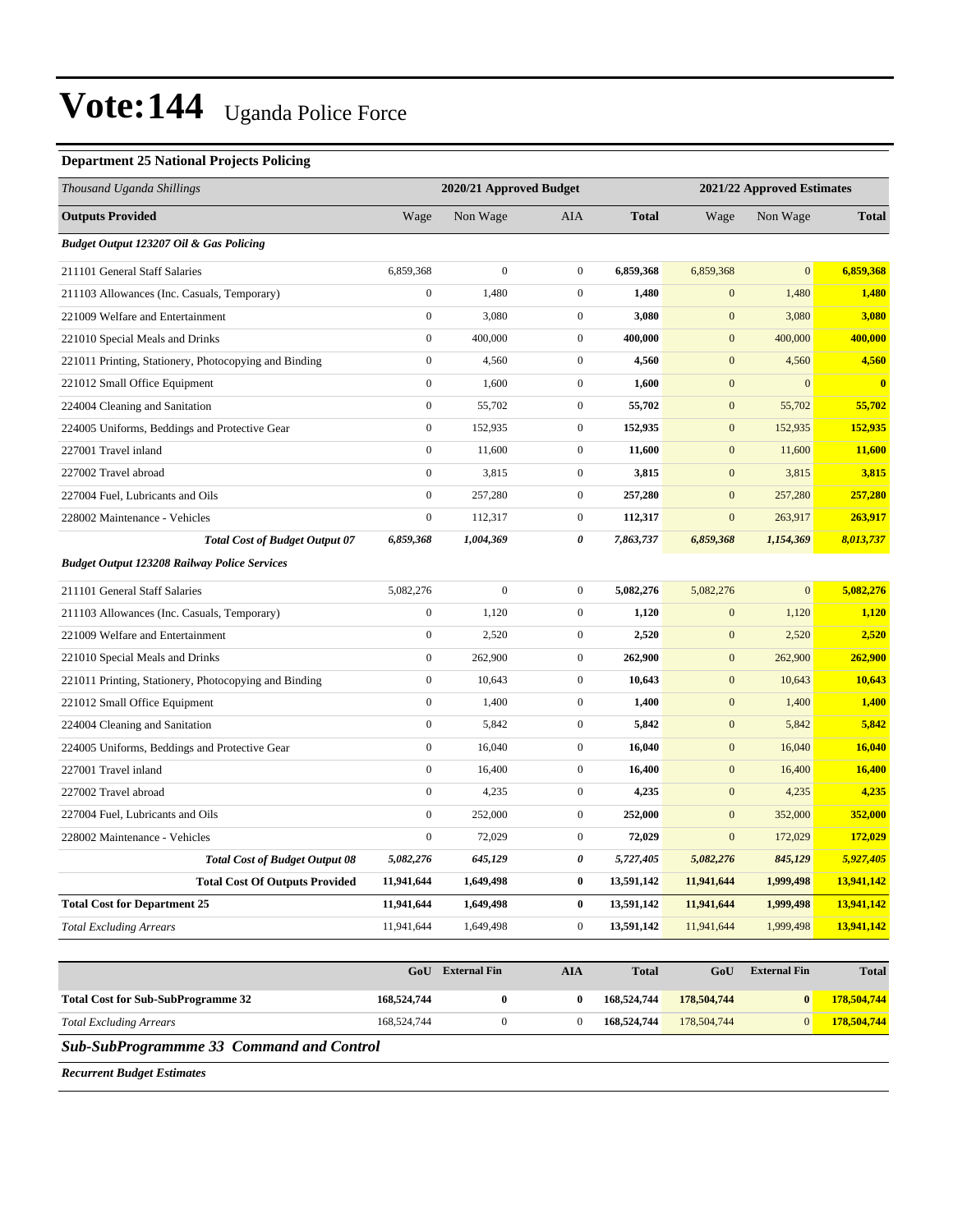#### **Department 25 National Projects Policing**

| Thousand Uganda Shillings                             |                  | 2020/21 Approved Budget |                  |              |                  | 2021/22 Approved Estimates |               |
|-------------------------------------------------------|------------------|-------------------------|------------------|--------------|------------------|----------------------------|---------------|
| <b>Outputs Provided</b>                               | Wage             | Non Wage                | AIA              | <b>Total</b> | Wage             | Non Wage                   | <b>Total</b>  |
| Budget Output 123207 Oil & Gas Policing               |                  |                         |                  |              |                  |                            |               |
| 211101 General Staff Salaries                         | 6,859,368        | $\boldsymbol{0}$        | $\mathbf{0}$     | 6,859,368    | 6,859,368        | $\mathbf{0}$               | 6,859,368     |
| 211103 Allowances (Inc. Casuals, Temporary)           | $\boldsymbol{0}$ | 1,480                   | $\boldsymbol{0}$ | 1,480        | $\mathbf{0}$     | 1,480                      | 1,480         |
| 221009 Welfare and Entertainment                      | $\boldsymbol{0}$ | 3,080                   | $\mathbf{0}$     | 3,080        | $\mathbf{0}$     | 3,080                      | 3,080         |
| 221010 Special Meals and Drinks                       | $\boldsymbol{0}$ | 400,000                 | $\mathbf{0}$     | 400,000      | $\mathbf{0}$     | 400,000                    | 400,000       |
| 221011 Printing, Stationery, Photocopying and Binding | $\boldsymbol{0}$ | 4,560                   | $\mathbf{0}$     | 4,560        | $\mathbf{0}$     | 4,560                      | 4,560         |
| 221012 Small Office Equipment                         | $\boldsymbol{0}$ | 1,600                   | $\mathbf{0}$     | 1,600        | $\mathbf{0}$     | $\mathbf{0}$               | $\bf{0}$      |
| 224004 Cleaning and Sanitation                        | $\boldsymbol{0}$ | 55,702                  | $\mathbf{0}$     | 55,702       | $\mathbf{0}$     | 55,702                     | 55,702        |
| 224005 Uniforms, Beddings and Protective Gear         | $\boldsymbol{0}$ | 152,935                 | $\mathbf{0}$     | 152,935      | $\mathbf{0}$     | 152,935                    | 152,935       |
| 227001 Travel inland                                  | $\boldsymbol{0}$ | 11,600                  | $\mathbf{0}$     | 11,600       | $\mathbf{0}$     | 11,600                     | 11,600        |
| 227002 Travel abroad                                  | $\boldsymbol{0}$ | 3,815                   | $\mathbf{0}$     | 3,815        | $\mathbf{0}$     | 3,815                      | 3,815         |
| 227004 Fuel, Lubricants and Oils                      | $\boldsymbol{0}$ | 257,280                 | $\mathbf{0}$     | 257,280      | $\mathbf{0}$     | 257,280                    | 257,280       |
| 228002 Maintenance - Vehicles                         | $\boldsymbol{0}$ | 112,317                 | $\mathbf{0}$     | 112,317      | $\mathbf{0}$     | 263,917                    | 263,917       |
| <b>Total Cost of Budget Output 07</b>                 | 6,859,368        | 1,004,369               | 0                | 7,863,737    | 6,859,368        | 1,154,369                  | 8,013,737     |
| <b>Budget Output 123208 Railway Police Services</b>   |                  |                         |                  |              |                  |                            |               |
| 211101 General Staff Salaries                         | 5,082,276        | $\mathbf{0}$            | $\mathbf{0}$     | 5,082,276    | 5,082,276        | $\mathbf{0}$               | 5,082,276     |
| 211103 Allowances (Inc. Casuals, Temporary)           | $\boldsymbol{0}$ | 1,120                   | $\mathbf{0}$     | 1,120        | $\boldsymbol{0}$ | 1,120                      | 1,120         |
| 221009 Welfare and Entertainment                      | $\boldsymbol{0}$ | 2,520                   | $\mathbf{0}$     | 2,520        | $\mathbf{0}$     | 2,520                      | 2,520         |
| 221010 Special Meals and Drinks                       | $\boldsymbol{0}$ | 262,900                 | $\mathbf{0}$     | 262,900      | $\mathbf{0}$     | 262,900                    | 262,900       |
| 221011 Printing, Stationery, Photocopying and Binding | $\boldsymbol{0}$ | 10,643                  | $\mathbf{0}$     | 10,643       | $\mathbf{0}$     | 10,643                     | 10,643        |
| 221012 Small Office Equipment                         | $\boldsymbol{0}$ | 1,400                   | $\mathbf{0}$     | 1,400        | $\mathbf{0}$     | 1,400                      | 1,400         |
| 224004 Cleaning and Sanitation                        | $\boldsymbol{0}$ | 5,842                   | $\mathbf{0}$     | 5,842        | $\mathbf{0}$     | 5,842                      | 5,842         |
| 224005 Uniforms, Beddings and Protective Gear         | $\boldsymbol{0}$ | 16,040                  | $\mathbf{0}$     | 16,040       | $\mathbf{0}$     | 16,040                     | 16,040        |
| 227001 Travel inland                                  | $\boldsymbol{0}$ | 16,400                  | $\mathbf{0}$     | 16,400       | $\mathbf{0}$     | 16,400                     | <b>16,400</b> |
| 227002 Travel abroad                                  | $\boldsymbol{0}$ | 4,235                   | $\mathbf{0}$     | 4,235        | $\mathbf{0}$     | 4,235                      | 4,235         |
| 227004 Fuel, Lubricants and Oils                      | $\mathbf{0}$     | 252,000                 | $\mathbf{0}$     | 252,000      | $\mathbf{0}$     | 352,000                    | 352,000       |
| 228002 Maintenance - Vehicles                         | $\boldsymbol{0}$ | 72,029                  | $\mathbf{0}$     | 72,029       | $\mathbf{0}$     | 172,029                    | 172,029       |
| <b>Total Cost of Budget Output 08</b>                 | 5,082,276        | 645,129                 | 0                | 5,727,405    | 5,082,276        | 845,129                    | 5,927,405     |
| <b>Total Cost Of Outputs Provided</b>                 | 11,941,644       | 1,649,498               | $\bf{0}$         | 13,591,142   | 11,941,644       | 1,999,498                  | 13,941,142    |
| <b>Total Cost for Department 25</b>                   | 11,941,644       | 1,649,498               | $\boldsymbol{0}$ | 13,591,142   | 11,941,644       | 1,999,498                  | 13,941,142    |
| <b>Total Excluding Arrears</b>                        | 11,941,644       | 1,649,498               | $\boldsymbol{0}$ | 13,591,142   | 11,941,644       | 1,999,498                  | 13,941,142    |
|                                                       |                  |                         |                  |              |                  |                            |               |
|                                                       |                  | <b>GoU</b> External Fin | <b>AIA</b>       | <b>Total</b> | GoU              | <b>External Fin</b>        | <b>Total</b>  |
| <b>Total Cost for Sub-SubProgramme 32</b>             | 168,524,744      | $\boldsymbol{0}$        | $\bf{0}$         | 168,524,744  | 178,504,744      | $\boldsymbol{0}$           | 178,504,744   |
| <b>Total Excluding Arrears</b>                        | 168,524,744      | $\boldsymbol{0}$        | $\boldsymbol{0}$ | 168,524,744  | 178,504,744      | $\boldsymbol{0}$           | 178,504,744   |
| <b>Sub-SubProgrammme 33 Command and Control</b>       |                  |                         |                  |              |                  |                            |               |
|                                                       |                  |                         |                  |              |                  |                            |               |

*Recurrent Budget Estimates*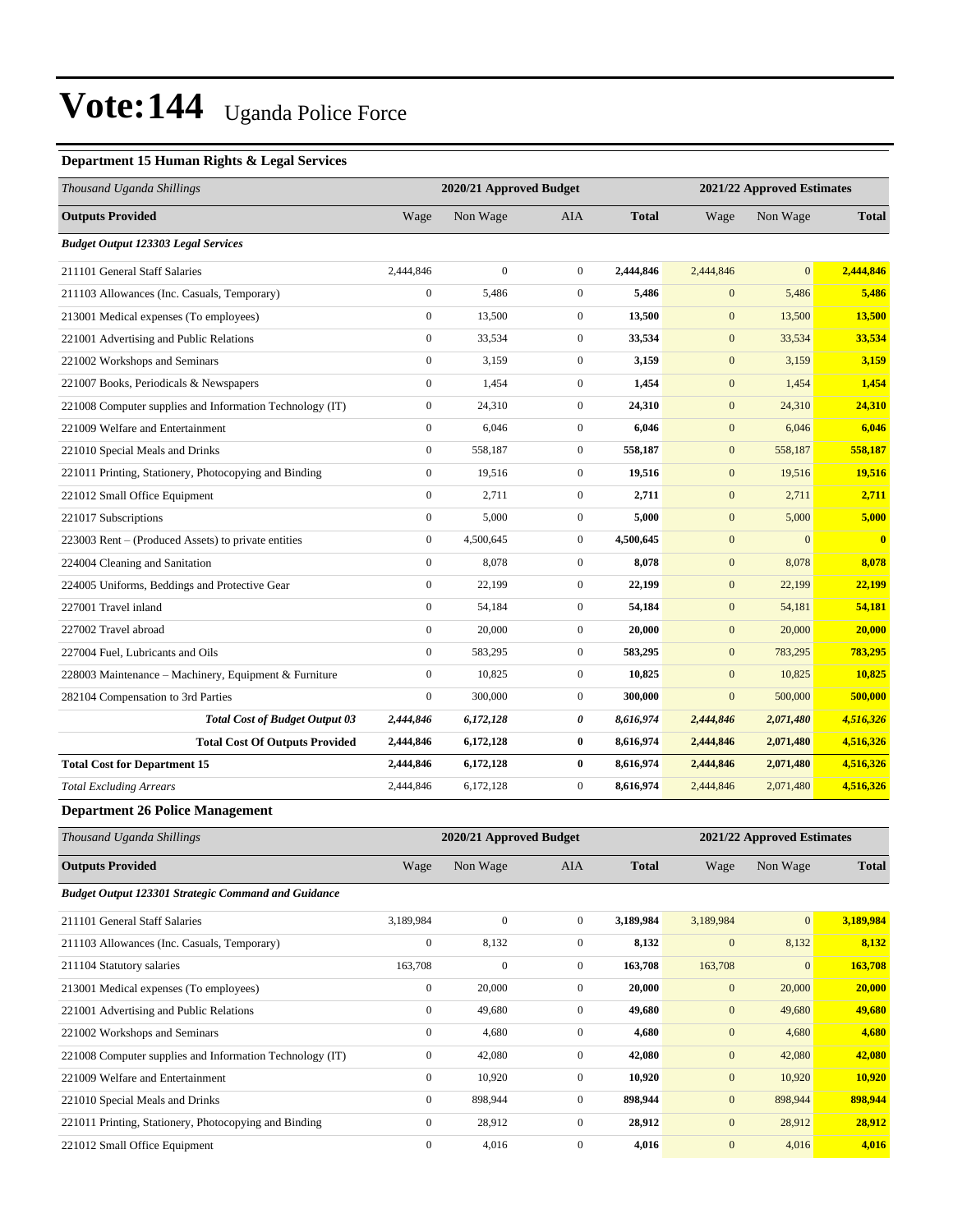#### **Department 15 Human Rights & Legal Services**

| Thousand Uganda Shillings                                |                  | 2020/21 Approved Budget |                  |              |              | 2021/22 Approved Estimates |                         |  |
|----------------------------------------------------------|------------------|-------------------------|------------------|--------------|--------------|----------------------------|-------------------------|--|
| <b>Outputs Provided</b>                                  | Wage             | Non Wage                | AIA              | <b>Total</b> | Wage         | Non Wage                   | <b>Total</b>            |  |
| <b>Budget Output 123303 Legal Services</b>               |                  |                         |                  |              |              |                            |                         |  |
| 211101 General Staff Salaries                            | 2,444,846        | $\overline{0}$          | $\overline{0}$   | 2,444,846    | 2,444,846    | $\overline{0}$             | 2,444,846               |  |
| 211103 Allowances (Inc. Casuals, Temporary)              | $\boldsymbol{0}$ | 5,486                   | $\overline{0}$   | 5,486        | $\mathbf{0}$ | 5,486                      | 5,486                   |  |
| 213001 Medical expenses (To employees)                   | $\mathbf{0}$     | 13,500                  | $\boldsymbol{0}$ | 13,500       | $\mathbf{0}$ | 13,500                     | 13,500                  |  |
| 221001 Advertising and Public Relations                  | $\mathbf{0}$     | 33,534                  | $\overline{0}$   | 33,534       | $\mathbf{0}$ | 33,534                     | 33,534                  |  |
| 221002 Workshops and Seminars                            | $\mathbf{0}$     | 3,159                   | $\overline{0}$   | 3,159        | $\mathbf{0}$ | 3,159                      | 3,159                   |  |
| 221007 Books, Periodicals & Newspapers                   | $\mathbf{0}$     | 1,454                   | $\overline{0}$   | 1,454        | $\mathbf{0}$ | 1,454                      | 1.454                   |  |
| 221008 Computer supplies and Information Technology (IT) | $\boldsymbol{0}$ | 24,310                  | $\boldsymbol{0}$ | 24,310       | $\mathbf{0}$ | 24,310                     | 24,310                  |  |
| 221009 Welfare and Entertainment                         | $\mathbf{0}$     | 6,046                   | $\overline{0}$   | 6,046        | $\mathbf{0}$ | 6,046                      | 6,046                   |  |
| 221010 Special Meals and Drinks                          | $\mathbf{0}$     | 558,187                 | $\overline{0}$   | 558,187      | $\mathbf{0}$ | 558,187                    | 558,187                 |  |
| 221011 Printing, Stationery, Photocopying and Binding    | $\mathbf{0}$     | 19,516                  | $\overline{0}$   | 19,516       | $\mathbf{0}$ | 19,516                     | 19,516                  |  |
| 221012 Small Office Equipment                            | $\mathbf{0}$     | 2,711                   | $\overline{0}$   | 2,711        | $\mathbf{0}$ | 2,711                      | 2,711                   |  |
| 221017 Subscriptions                                     | $\mathbf{0}$     | 5,000                   | $\boldsymbol{0}$ | 5,000        | $\mathbf{0}$ | 5,000                      | 5,000                   |  |
| 223003 Rent – (Produced Assets) to private entities      | $\mathbf{0}$     | 4,500,645               | $\overline{0}$   | 4,500,645    | $\mathbf{0}$ | $\mathbf{0}$               | $\overline{\mathbf{0}}$ |  |
| 224004 Cleaning and Sanitation                           | $\mathbf{0}$     | 8,078                   | $\mathbf{0}$     | 8,078        | $\mathbf{0}$ | 8,078                      | 8,078                   |  |
| 224005 Uniforms, Beddings and Protective Gear            | $\mathbf{0}$     | 22,199                  | $\overline{0}$   | 22,199       | $\mathbf{0}$ | 22,199                     | 22,199                  |  |
| 227001 Travel inland                                     | $\mathbf{0}$     | 54.184                  | $\overline{0}$   | 54,184       | $\mathbf{0}$ | 54,181                     | 54,181                  |  |
| 227002 Travel abroad                                     | $\boldsymbol{0}$ | 20,000                  | $\boldsymbol{0}$ | 20,000       | $\mathbf{0}$ | 20,000                     | 20,000                  |  |
| 227004 Fuel, Lubricants and Oils                         | $\mathbf{0}$     | 583,295                 | $\boldsymbol{0}$ | 583,295      | $\mathbf{0}$ | 783,295                    | 783,295                 |  |
| 228003 Maintenance - Machinery, Equipment & Furniture    | $\mathbf{0}$     | 10,825                  | $\overline{0}$   | 10,825       | $\mathbf{0}$ | 10,825                     | 10,825                  |  |
| 282104 Compensation to 3rd Parties                       | $\mathbf{0}$     | 300,000                 | $\boldsymbol{0}$ | 300,000      | $\mathbf{0}$ | 500,000                    | 500,000                 |  |
| <b>Total Cost of Budget Output 03</b>                    | 2,444,846        | 6,172,128               | 0                | 8,616,974    | 2,444,846    | 2,071,480                  | 4,516,326               |  |
| <b>Total Cost Of Outputs Provided</b>                    | 2,444,846        | 6,172,128               | $\bf{0}$         | 8,616,974    | 2,444,846    | 2,071,480                  | 4,516,326               |  |
| <b>Total Cost for Department 15</b>                      | 2,444,846        | 6,172,128               | $\bf{0}$         | 8,616,974    | 2,444,846    | 2,071,480                  | 4,516,326               |  |
| <b>Total Excluding Arrears</b>                           | 2,444,846        | 6,172,128               | $\overline{0}$   | 8.616.974    | 2,444,846    | 2,071,480                  | 4,516,326               |  |

#### **Department 26 Police Management**

| Thousand Uganda Shillings                                |                  | 2020/21 Approved Budget |                |              | 2021/22 Approved Estimates |              |              |  |
|----------------------------------------------------------|------------------|-------------------------|----------------|--------------|----------------------------|--------------|--------------|--|
| <b>Outputs Provided</b>                                  | Wage             | Non Wage                | AIA            | <b>Total</b> | Wage                       | Non Wage     | <b>Total</b> |  |
| Budget Output 123301 Strategic Command and Guidance      |                  |                         |                |              |                            |              |              |  |
| 211101 General Staff Salaries                            | 3,189,984        | $\mathbf{0}$            | $\overline{0}$ | 3,189,984    | 3,189,984                  | $\mathbf{0}$ | 3,189,984    |  |
| 211103 Allowances (Inc. Casuals, Temporary)              | $\mathbf{0}$     | 8,132                   | $\mathbf{0}$   | 8,132        | $\mathbf{0}$               | 8,132        | 8,132        |  |
| 211104 Statutory salaries                                | 163,708          | $\mathbf{0}$            | $\mathbf{0}$   | 163,708      | 163,708                    | $\mathbf{0}$ | 163,708      |  |
| 213001 Medical expenses (To employees)                   | $\mathbf{0}$     | 20,000                  | $\overline{0}$ | 20,000       | $\mathbf{0}$               | 20,000       | 20,000       |  |
| 221001 Advertising and Public Relations                  | $\mathbf{0}$     | 49,680                  | $\overline{0}$ | 49,680       | $\mathbf{0}$               | 49,680       | 49,680       |  |
| 221002 Workshops and Seminars                            | $\boldsymbol{0}$ | 4,680                   | $\mathbf{0}$   | 4,680        | $\mathbf{0}$               | 4,680        | 4,680        |  |
| 221008 Computer supplies and Information Technology (IT) | $\mathbf{0}$     | 42,080                  | $\overline{0}$ | 42,080       | $\mathbf{0}$               | 42,080       | 42,080       |  |
| 221009 Welfare and Entertainment                         | $\mathbf{0}$     | 10,920                  | $\overline{0}$ | 10,920       | $\mathbf{0}$               | 10,920       | 10,920       |  |
| 221010 Special Meals and Drinks                          | $\mathbf{0}$     | 898,944                 | $\overline{0}$ | 898,944      | $\mathbf{0}$               | 898,944      | 898,944      |  |
| 221011 Printing, Stationery, Photocopying and Binding    | $\mathbf{0}$     | 28,912                  | $\mathbf{0}$   | 28,912       | $\mathbf{0}$               | 28,912       | 28,912       |  |
| 221012 Small Office Equipment                            | $\mathbf{0}$     | 4,016                   | $\mathbf{0}$   | 4,016        | $\mathbf{0}$               | 4,016        | 4,016        |  |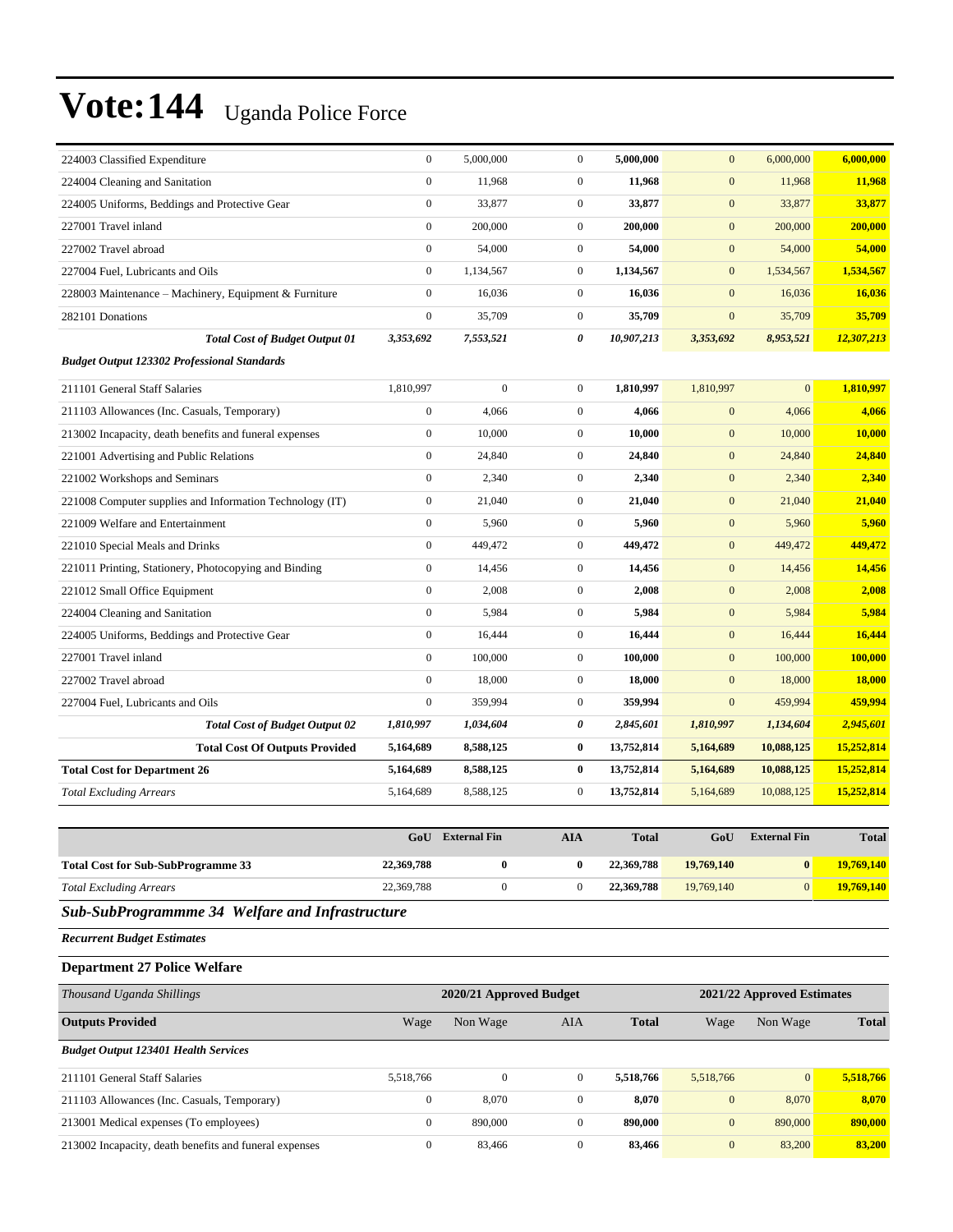| 224003 Classified Expenditure                            | $\boldsymbol{0}$ | 5,000,000    | $\boldsymbol{0}$ | 5,000,000  | $\mathbf{0}$     | 6,000,000    | 6,000,000     |
|----------------------------------------------------------|------------------|--------------|------------------|------------|------------------|--------------|---------------|
| 224004 Cleaning and Sanitation                           | $\mathbf{0}$     | 11,968       | $\boldsymbol{0}$ | 11,968     | $\mathbf{0}$     | 11,968       | 11,968        |
| 224005 Uniforms, Beddings and Protective Gear            | $\mathbf{0}$     | 33,877       | $\overline{0}$   | 33,877     | $\mathbf{0}$     | 33,877       | 33,877        |
| 227001 Travel inland                                     | $\mathbf{0}$     | 200,000      | $\overline{0}$   | 200,000    | $\mathbf{0}$     | 200,000      | 200,000       |
| 227002 Travel abroad                                     | $\mathbf{0}$     | 54,000       | $\mathbf{0}$     | 54,000     | $\mathbf{0}$     | 54,000       | 54,000        |
| 227004 Fuel, Lubricants and Oils                         | $\boldsymbol{0}$ | 1,134,567    | $\overline{0}$   | 1,134,567  | $\mathbf{0}$     | 1,534,567    | 1,534,567     |
| 228003 Maintenance - Machinery, Equipment & Furniture    | $\mathbf{0}$     | 16,036       | $\overline{0}$   | 16,036     | $\mathbf{0}$     | 16,036       | 16,036        |
| 282101 Donations                                         | $\mathbf{0}$     | 35,709       | $\mathbf{0}$     | 35,709     | $\mathbf{0}$     | 35,709       | 35,709        |
| <b>Total Cost of Budget Output 01</b>                    | 3,353,692        | 7,553,521    | 0                | 10,907,213 | 3,353,692        | 8,953,521    | 12,307,213    |
| <b>Budget Output 123302 Professional Standards</b>       |                  |              |                  |            |                  |              |               |
| 211101 General Staff Salaries                            | 1,810,997        | $\mathbf{0}$ | $\overline{0}$   | 1,810,997  | 1,810,997        | $\mathbf{0}$ | 1,810,997     |
| 211103 Allowances (Inc. Casuals, Temporary)              | $\boldsymbol{0}$ | 4,066        | $\overline{0}$   | 4,066      | $\mathbf{0}$     | 4,066        | 4,066         |
| 213002 Incapacity, death benefits and funeral expenses   | $\mathbf{0}$     | 10,000       | $\overline{0}$   | 10,000     | $\mathbf{0}$     | 10,000       | 10,000        |
| 221001 Advertising and Public Relations                  | $\mathbf{0}$     | 24,840       | $\overline{0}$   | 24,840     | $\mathbf{0}$     | 24,840       | 24,840        |
| 221002 Workshops and Seminars                            | $\boldsymbol{0}$ | 2,340        | $\overline{0}$   | 2,340      | $\mathbf{0}$     | 2,340        | 2,340         |
| 221008 Computer supplies and Information Technology (IT) | $\boldsymbol{0}$ | 21,040       | $\overline{0}$   | 21,040     | $\boldsymbol{0}$ | 21,040       | 21,040        |
| 221009 Welfare and Entertainment                         | $\boldsymbol{0}$ | 5,960        | $\mathbf{0}$     | 5,960      | $\mathbf{0}$     | 5,960        | 5,960         |
| 221010 Special Meals and Drinks                          | $\mathbf{0}$     | 449,472      | $\overline{0}$   | 449,472    | $\mathbf{0}$     | 449,472      | 449,472       |
| 221011 Printing, Stationery, Photocopying and Binding    | $\mathbf{0}$     | 14,456       | $\overline{0}$   | 14,456     | $\mathbf{0}$     | 14,456       | 14,456        |
| 221012 Small Office Equipment                            | $\mathbf{0}$     | 2,008        | $\overline{0}$   | 2,008      | $\mathbf{0}$     | 2,008        | 2,008         |
| 224004 Cleaning and Sanitation                           | $\mathbf{0}$     | 5,984        | $\overline{0}$   | 5.984      | $\mathbf{0}$     | 5,984        | 5,984         |
| 224005 Uniforms, Beddings and Protective Gear            | $\mathbf{0}$     | 16,444       | $\overline{0}$   | 16,444     | $\boldsymbol{0}$ | 16,444       | 16,444        |
| 227001 Travel inland                                     | $\mathbf{0}$     | 100,000      | $\mathbf{0}$     | 100,000    | $\mathbf{0}$     | 100,000      | 100,000       |
| 227002 Travel abroad                                     | $\mathbf{0}$     | 18,000       | $\overline{0}$   | 18,000     | $\mathbf{0}$     | 18,000       | <b>18,000</b> |
| 227004 Fuel, Lubricants and Oils                         | $\mathbf{0}$     | 359,994      | $\overline{0}$   | 359,994    | $\mathbf{0}$     | 459,994      | 459,994       |
| <b>Total Cost of Budget Output 02</b>                    | 1,810,997        | 1,034,604    | 0                | 2,845,601  | 1,810,997        | 1,134,604    | 2,945,601     |
| <b>Total Cost Of Outputs Provided</b>                    | 5,164,689        | 8,588,125    | $\bf{0}$         | 13,752,814 | 5,164,689        | 10,088,125   | 15,252,814    |
| <b>Total Cost for Department 26</b>                      | 5,164,689        | 8,588,125    | $\bf{0}$         | 13,752,814 | 5,164,689        | 10,088,125   | 15,252,814    |
| <b>Total Excluding Arrears</b>                           | 5,164,689        | 8,588,125    | $\boldsymbol{0}$ | 13,752,814 | 5,164,689        | 10,088,125   | 15,252,814    |

|                                           | GoU        | <b>External Fin</b> | AIA | <b>Total</b> | GoU        | <b>External Fin</b> | <b>Total</b>      |
|-------------------------------------------|------------|---------------------|-----|--------------|------------|---------------------|-------------------|
| <b>Total Cost for Sub-SubProgramme 33</b> | 22,369,788 |                     |     | 22,369,788   | 19,769,140 | 0                   | <b>19,769,140</b> |
| <b>Total Excluding Arrears</b>            | 22,369,788 |                     |     | 22,369,788   | 19,769,140 |                     | 19,769,140        |

#### *Sub-SubProgrammme 34 Welfare and Infrastructure*

*Recurrent Budget Estimates*

#### **Department 27 Police Welfare**

| Thousand Uganda Shillings                              | 2020/21 Approved Budget |              |                  |              |              | 2021/22 Approved Estimates |              |  |
|--------------------------------------------------------|-------------------------|--------------|------------------|--------------|--------------|----------------------------|--------------|--|
| <b>Outputs Provided</b>                                | Wage                    | Non Wage     | AIA              | <b>Total</b> | Wage         | Non Wage                   | <b>Total</b> |  |
| <b>Budget Output 123401 Health Services</b>            |                         |              |                  |              |              |                            |              |  |
| 211101 General Staff Salaries                          | 5.518.766               | $\mathbf{0}$ | $\Omega$         | 5.518.766    | 5.518.766    | $\overline{0}$             | 5.518.766    |  |
| 211103 Allowances (Inc. Casuals, Temporary)            | $\mathbf{0}$            | 8,070        | $\boldsymbol{0}$ | 8,070        | $\mathbf{0}$ | 8,070                      | 8,070        |  |
| 213001 Medical expenses (To employees)                 | $\mathbf{0}$            | 890,000      | $\Omega$         | 890,000      | $\mathbf{0}$ | 890,000                    | 890,000      |  |
| 213002 Incapacity, death benefits and funeral expenses | $\Omega$                | 83,466       | $\Omega$         | 83,466       | $\mathbf{0}$ | 83,200                     | 83,200       |  |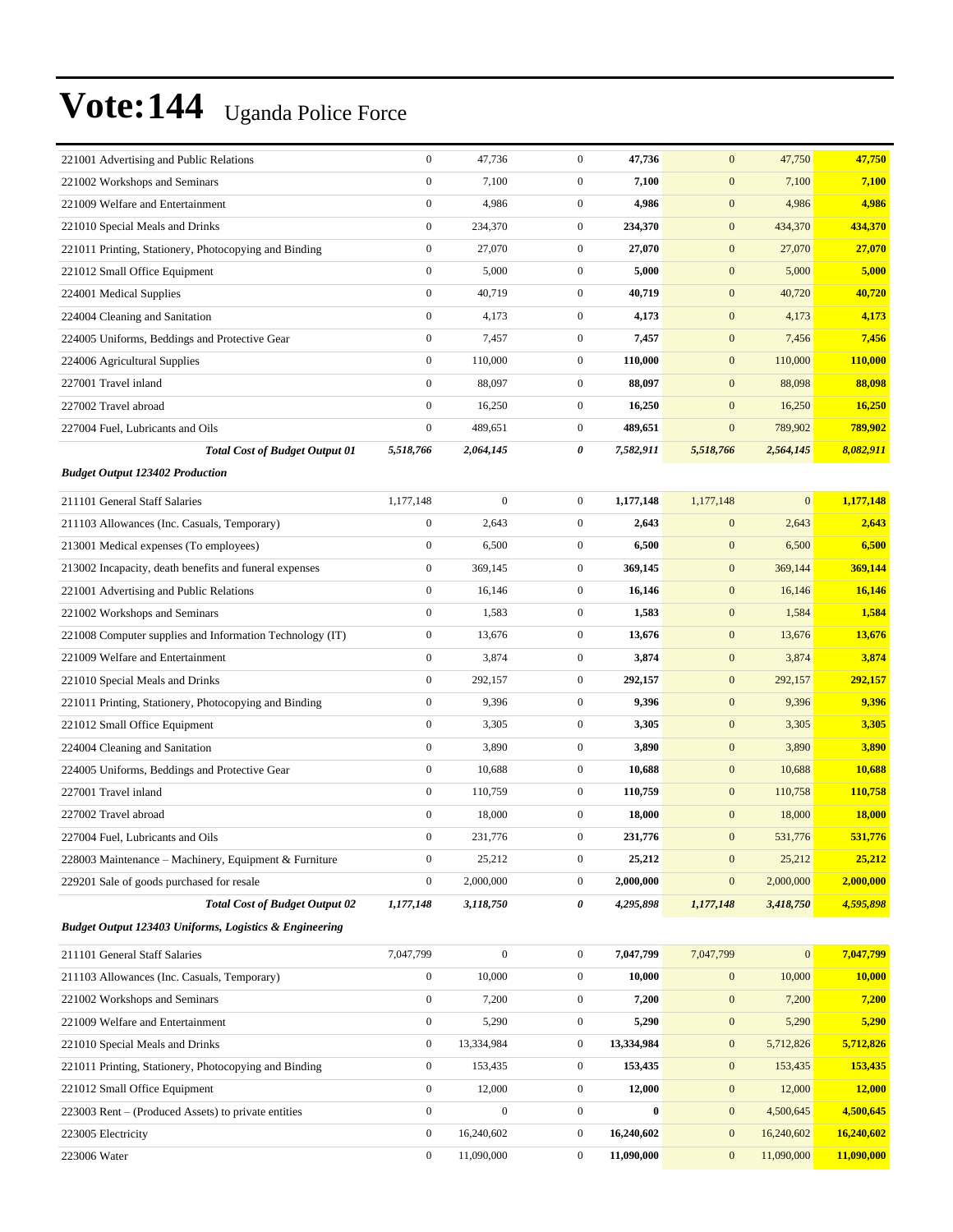| 221001 Advertising and Public Relations                  | $\boldsymbol{0}$ | 47,736           | $\boldsymbol{0}$ | 47,736     | $\boldsymbol{0}$ | 47,750       | 47,750         |
|----------------------------------------------------------|------------------|------------------|------------------|------------|------------------|--------------|----------------|
| 221002 Workshops and Seminars                            | $\boldsymbol{0}$ | 7,100            | $\boldsymbol{0}$ | 7,100      | $\mathbf{0}$     | 7,100        | 7,100          |
| 221009 Welfare and Entertainment                         | $\boldsymbol{0}$ | 4,986            | $\mathbf{0}$     | 4,986      | $\boldsymbol{0}$ | 4,986        | 4,986          |
| 221010 Special Meals and Drinks                          | $\boldsymbol{0}$ | 234,370          | $\mathbf{0}$     | 234,370    | $\boldsymbol{0}$ | 434,370      | 434,370        |
| 221011 Printing, Stationery, Photocopying and Binding    | $\boldsymbol{0}$ | 27,070           | $\mathbf{0}$     | 27,070     | $\boldsymbol{0}$ | 27,070       | 27,070         |
| 221012 Small Office Equipment                            | $\boldsymbol{0}$ | 5,000            | $\mathbf{0}$     | 5,000      | $\boldsymbol{0}$ | 5,000        | 5,000          |
| 224001 Medical Supplies                                  | $\boldsymbol{0}$ | 40,719           | $\boldsymbol{0}$ | 40,719     | $\boldsymbol{0}$ | 40,720       | 40,720         |
| 224004 Cleaning and Sanitation                           | $\boldsymbol{0}$ | 4,173            | $\mathbf{0}$     | 4,173      | $\boldsymbol{0}$ | 4,173        | 4,173          |
| 224005 Uniforms, Beddings and Protective Gear            | $\boldsymbol{0}$ | 7,457            | $\boldsymbol{0}$ | 7,457      | $\boldsymbol{0}$ | 7,456        | 7,456          |
| 224006 Agricultural Supplies                             | $\boldsymbol{0}$ | 110,000          | $\mathbf{0}$     | 110,000    | $\boldsymbol{0}$ | 110,000      | 110,000        |
| 227001 Travel inland                                     | $\mathbf{0}$     | 88,097           | $\mathbf{0}$     | 88,097     | $\boldsymbol{0}$ | 88,098       | 88,098         |
| 227002 Travel abroad                                     | $\boldsymbol{0}$ | 16,250           | $\overline{0}$   | 16,250     | $\boldsymbol{0}$ | 16,250       | 16,250         |
| 227004 Fuel, Lubricants and Oils                         | $\mathbf{0}$     | 489,651          | $\mathbf{0}$     | 489,651    | $\mathbf{0}$     | 789,902      | 789,902        |
| <b>Total Cost of Budget Output 01</b>                    | 5,518,766        | 2,064,145        | 0                | 7,582,911  | 5,518,766        | 2,564,145    | 8,082,911      |
| <b>Budget Output 123402 Production</b>                   |                  |                  |                  |            |                  |              |                |
| 211101 General Staff Salaries                            | 1,177,148        | $\boldsymbol{0}$ | $\mathbf{0}$     | 1,177,148  | 1,177,148        | $\mathbf{0}$ | 1,177,148      |
| 211103 Allowances (Inc. Casuals, Temporary)              | $\boldsymbol{0}$ | 2,643            | $\boldsymbol{0}$ | 2,643      | $\boldsymbol{0}$ | 2,643        | 2,643          |
| 213001 Medical expenses (To employees)                   | $\boldsymbol{0}$ | 6,500            | $\overline{0}$   | 6,500      | $\boldsymbol{0}$ | 6,500        | 6,500          |
| 213002 Incapacity, death benefits and funeral expenses   | $\boldsymbol{0}$ | 369,145          | $\boldsymbol{0}$ | 369,145    | $\boldsymbol{0}$ | 369,144      | 369,144        |
| 221001 Advertising and Public Relations                  | $\boldsymbol{0}$ | 16,146           | $\overline{0}$   | 16,146     | $\boldsymbol{0}$ | 16,146       | 16,146         |
| 221002 Workshops and Seminars                            | $\boldsymbol{0}$ | 1,583            | $\mathbf{0}$     | 1,583      | $\boldsymbol{0}$ | 1,584        | 1,584          |
| 221008 Computer supplies and Information Technology (IT) | $\boldsymbol{0}$ | 13,676           | $\mathbf{0}$     | 13,676     | $\boldsymbol{0}$ | 13,676       | 13,676         |
| 221009 Welfare and Entertainment                         | $\boldsymbol{0}$ | 3,874            | $\boldsymbol{0}$ | 3,874      | $\boldsymbol{0}$ | 3,874        | 3,874          |
| 221010 Special Meals and Drinks                          | $\boldsymbol{0}$ | 292,157          | $\boldsymbol{0}$ | 292,157    | $\mathbf{0}$     | 292,157      | 292,157        |
| 221011 Printing, Stationery, Photocopying and Binding    | $\boldsymbol{0}$ | 9,396            | $\overline{0}$   | 9,396      | $\boldsymbol{0}$ | 9,396        | 9,396          |
| 221012 Small Office Equipment                            | $\mathbf{0}$     | 3,305            | $\mathbf{0}$     | 3,305      | $\boldsymbol{0}$ | 3,305        | 3,305          |
| 224004 Cleaning and Sanitation                           | $\boldsymbol{0}$ | 3,890            | $\mathbf{0}$     | 3,890      | $\boldsymbol{0}$ | 3,890        | 3,890          |
| 224005 Uniforms, Beddings and Protective Gear            | $\boldsymbol{0}$ | 10,688           | $\boldsymbol{0}$ | 10,688     | $\boldsymbol{0}$ | 10,688       | 10,688         |
| 227001 Travel inland                                     | $\boldsymbol{0}$ | 110,759          | $\boldsymbol{0}$ | 110,759    | $\mathbf{0}$     | 110,758      | 110,758        |
| 227002 Travel abroad                                     | $\boldsymbol{0}$ | 18,000           | $\boldsymbol{0}$ | 18,000     | $\boldsymbol{0}$ | 18,000       | 18,000         |
| 227004 Fuel, Lubricants and Oils                         | $\boldsymbol{0}$ | 231,776          | $\boldsymbol{0}$ | 231,776    | $\boldsymbol{0}$ | 531,776      | <b>531,776</b> |
| 228003 Maintenance – Machinery, Equipment & Furniture    | $\boldsymbol{0}$ | 25,212           | $\mathbf{0}$     | 25,212     | $\boldsymbol{0}$ | 25,212       | 25,212         |
| 229201 Sale of goods purchased for resale                | $\boldsymbol{0}$ | 2,000,000        | $\boldsymbol{0}$ | 2,000,000  | $\boldsymbol{0}$ | 2,000,000    | 2,000,000      |
| <b>Total Cost of Budget Output 02</b>                    | 1,177,148        | 3,118,750        | 0                | 4,295,898  | 1,177,148        | 3,418,750    | 4,595,898      |
| Budget Output 123403 Uniforms, Logistics & Engineering   |                  |                  |                  |            |                  |              |                |
|                                                          |                  |                  |                  |            |                  |              |                |
| 211101 General Staff Salaries                            | 7,047,799        | $\boldsymbol{0}$ | $\boldsymbol{0}$ | 7,047,799  | 7,047,799        | $\mathbf{0}$ | 7,047,799      |
| 211103 Allowances (Inc. Casuals, Temporary)              | $\boldsymbol{0}$ | 10,000           | $\boldsymbol{0}$ | 10,000     | $\mathbf{0}$     | 10,000       | 10,000         |
| 221002 Workshops and Seminars                            | $\mathbf{0}$     | 7,200            | $\boldsymbol{0}$ | 7,200      | $\boldsymbol{0}$ | 7,200        | 7,200          |
| 221009 Welfare and Entertainment                         | $\boldsymbol{0}$ | 5,290            | $\boldsymbol{0}$ | 5,290      | $\boldsymbol{0}$ | 5,290        | 5,290          |
| 221010 Special Meals and Drinks                          | $\boldsymbol{0}$ | 13,334,984       | $\boldsymbol{0}$ | 13,334,984 | $\mathbf{0}$     | 5,712,826    | 5,712,826      |
| 221011 Printing, Stationery, Photocopying and Binding    | $\boldsymbol{0}$ | 153,435          | $\boldsymbol{0}$ | 153,435    | $\boldsymbol{0}$ | 153,435      | 153,435        |
| 221012 Small Office Equipment                            | $\boldsymbol{0}$ | 12,000           | $\boldsymbol{0}$ | 12,000     | $\boldsymbol{0}$ | 12,000       | 12,000         |
| 223003 Rent – (Produced Assets) to private entities      | $\boldsymbol{0}$ | $\boldsymbol{0}$ | $\boldsymbol{0}$ | $\bf{0}$   | $\boldsymbol{0}$ | 4,500,645    | 4,500,645      |
| 223005 Electricity                                       | $\boldsymbol{0}$ | 16,240,602       | $\boldsymbol{0}$ | 16,240,602 | $\boldsymbol{0}$ | 16,240,602   | 16,240,602     |
| 223006 Water                                             | $\boldsymbol{0}$ | 11,090,000       | $\boldsymbol{0}$ | 11,090,000 | $\boldsymbol{0}$ | 11,090,000   | 11,090,000     |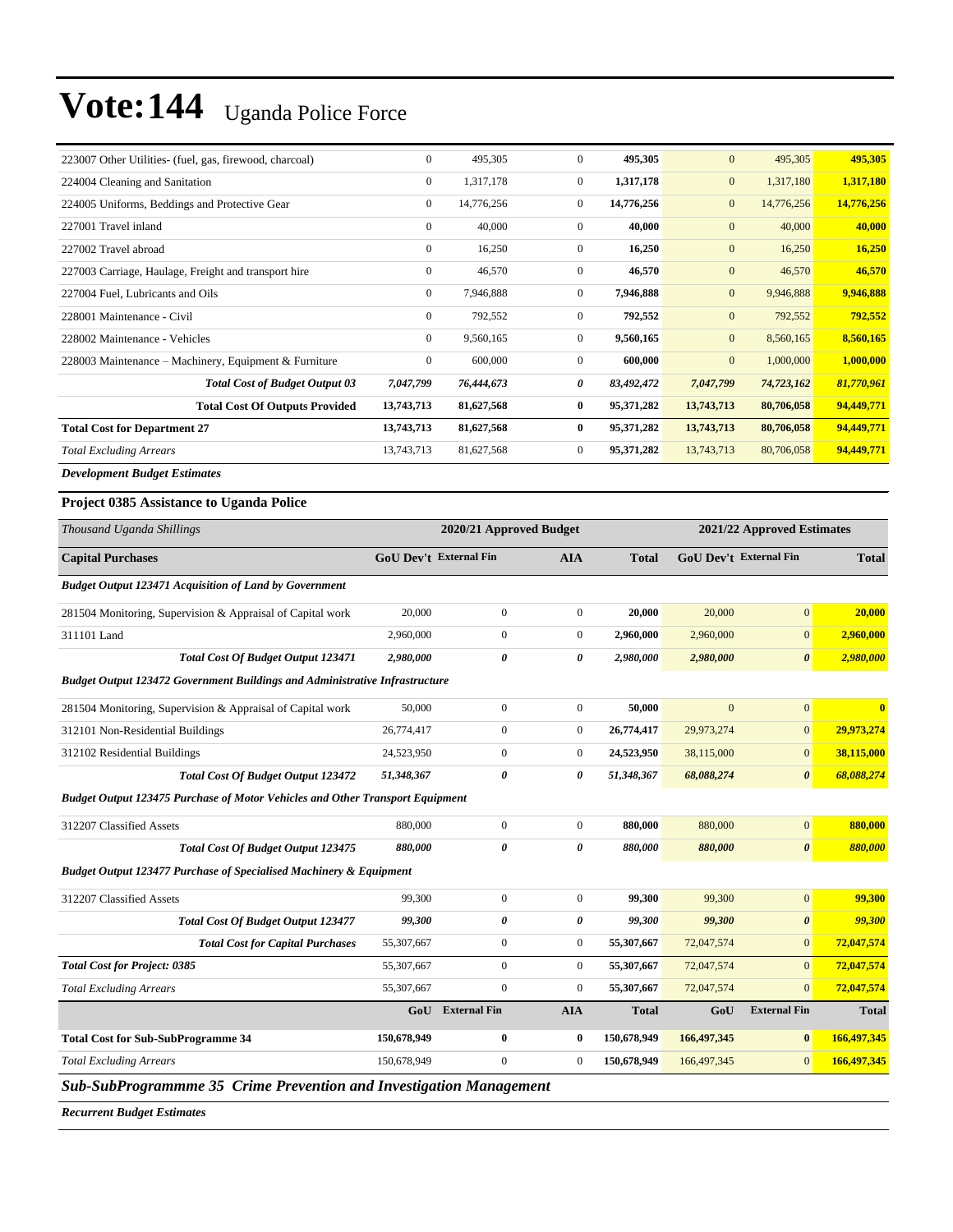| 223007 Other Utilities- (fuel, gas, firewood, charcoal) | $\overline{0}$   | 495,305    | $\Omega$       | 495,305    | $\mathbf{0}$   | 495,305    | 495,305    |
|---------------------------------------------------------|------------------|------------|----------------|------------|----------------|------------|------------|
| 224004 Cleaning and Sanitation                          | $\boldsymbol{0}$ | 1,317,178  | $\overline{0}$ | 1,317,178  | $\mathbf{0}$   | 1,317,180  | 1,317,180  |
| 224005 Uniforms, Beddings and Protective Gear           | $\overline{0}$   | 14,776,256 | $\mathbf{0}$   | 14,776,256 | $\mathbf{0}$   | 14,776,256 | 14,776,256 |
| 227001 Travel inland                                    | $\overline{0}$   | 40,000     | $\mathbf{0}$   | 40,000     | $\mathbf{0}$   | 40,000     | 40,000     |
| 227002 Travel abroad                                    | $\overline{0}$   | 16,250     | $\mathbf{0}$   | 16,250     | $\mathbf{0}$   | 16,250     | 16,250     |
| 227003 Carriage, Haulage, Freight and transport hire    | $\mathbf{0}$     | 46,570     | $\overline{0}$ | 46,570     | $\mathbf{0}$   | 46,570     | 46,570     |
| 227004 Fuel, Lubricants and Oils                        | $\boldsymbol{0}$ | 7,946,888  | $\mathbf{0}$   | 7,946,888  | $\mathbf{0}$   | 9,946,888  | 9,946,888  |
| 228001 Maintenance - Civil                              | $\overline{0}$   | 792,552    | $\mathbf{0}$   | 792,552    | $\mathbf{0}$   | 792,552    | 792,552    |
| 228002 Maintenance - Vehicles                           | $\overline{0}$   | 9,560,165  | $\mathbf{0}$   | 9,560,165  | $\mathbf{0}$   | 8,560,165  | 8,560,165  |
| 228003 Maintenance – Machinery, Equipment & Furniture   | $\overline{0}$   | 600,000    | $\mathbf{0}$   | 600,000    | $\overline{0}$ | 1,000,000  | 1,000,000  |
| <b>Total Cost of Budget Output 03</b>                   | 7,047,799        | 76,444,673 | 0              | 83,492,472 | 7,047,799      | 74,723,162 | 81,770,961 |
| <b>Total Cost Of Outputs Provided</b>                   | 13,743,713       | 81,627,568 | $\bf{0}$       | 95,371,282 | 13,743,713     | 80,706,058 | 94,449,771 |
| <b>Total Cost for Department 27</b>                     | 13,743,713       | 81,627,568 | $\mathbf{0}$   | 95,371,282 | 13,743,713     | 80,706,058 | 94,449,771 |
| <b>Total Excluding Arrears</b>                          | 13,743,713       | 81,627,568 | $\mathbf{0}$   | 95,371,282 | 13,743,713     | 80,706,058 | 94,449,771 |
| <b>Development Budget Estimates</b>                     |                  |            |                |            |                |            |            |

#### **Project 0385 Assistance to Uganda Police**

| Thousand Uganda Shillings                                                            | 2020/21 Approved Budget       |                       |                  | 2021/22 Approved Estimates |                               |                       |              |
|--------------------------------------------------------------------------------------|-------------------------------|-----------------------|------------------|----------------------------|-------------------------------|-----------------------|--------------|
| <b>Capital Purchases</b>                                                             | <b>GoU Dev't External Fin</b> |                       | <b>AIA</b>       | <b>Total</b>               | <b>GoU Dev't External Fin</b> |                       | <b>Total</b> |
| <b>Budget Output 123471 Acquisition of Land by Government</b>                        |                               |                       |                  |                            |                               |                       |              |
| 281504 Monitoring, Supervision & Appraisal of Capital work                           | 20,000                        | $\mathbf{0}$          | $\mathbf{0}$     | 20,000                     | 20,000                        | $\overline{0}$        | 20,000       |
| 311101 Land                                                                          | 2,960,000                     | $\mathbf{0}$          | $\mathbf{0}$     | 2,960,000                  | 2,960,000                     | $\overline{0}$        | 2,960,000    |
| <b>Total Cost Of Budget Output 123471</b>                                            | 2,980,000                     | $\pmb{\theta}$        | 0                | 2,980,000                  | 2,980,000                     | $\boldsymbol{\theta}$ | 2,980,000    |
| <b>Budget Output 123472 Government Buildings and Administrative Infrastructure</b>   |                               |                       |                  |                            |                               |                       |              |
| 281504 Monitoring, Supervision & Appraisal of Capital work                           | 50,000                        | $\mathbf{0}$          | $\overline{0}$   | 50,000                     | $\mathbf{0}$                  | $\mathbf{0}$          | $\mathbf{0}$ |
| 312101 Non-Residential Buildings                                                     | 26,774,417                    | $\boldsymbol{0}$      | $\mathbf{0}$     | 26,774,417                 | 29,973,274                    | $\mathbf{0}$          | 29,973,274   |
| 312102 Residential Buildings                                                         | 24,523,950                    | $\mathbf{0}$          | $\overline{0}$   | 24,523,950                 | 38,115,000                    | $\mathbf{0}$          | 38,115,000   |
| <b>Total Cost Of Budget Output 123472</b>                                            | 51,348,367                    | $\boldsymbol{\theta}$ | 0                | 51,348,367                 | 68,088,274                    | $\boldsymbol{\theta}$ | 68,088,274   |
| <b>Budget Output 123475 Purchase of Motor Vehicles and Other Transport Equipment</b> |                               |                       |                  |                            |                               |                       |              |
| 312207 Classified Assets                                                             | 880,000                       | $\mathbf{0}$          | $\mathbf{0}$     | 880,000                    | 880,000                       | $\boldsymbol{0}$      | 880,000      |
| <b>Total Cost Of Budget Output 123475</b>                                            | 880,000                       | $\boldsymbol{\theta}$ | $\theta$         | 880,000                    | 880,000                       | $\boldsymbol{\theta}$ | 880,000      |
| <b>Budget Output 123477 Purchase of Specialised Machinery &amp; Equipment</b>        |                               |                       |                  |                            |                               |                       |              |
| 312207 Classified Assets                                                             | 99,300                        | $\mathbf{0}$          | $\mathbf{0}$     | 99,300                     | 99,300                        | $\mathbf{0}$          | 99,300       |
| <b>Total Cost Of Budget Output 123477</b>                                            | 99,300                        | 0                     | 0                | 99,300                     | 99,300                        | $\boldsymbol{\theta}$ | 99,300       |
| <b>Total Cost for Capital Purchases</b>                                              | 55,307,667                    | $\boldsymbol{0}$      | $\boldsymbol{0}$ | 55,307,667                 | 72,047,574                    | $\overline{0}$        | 72,047,574   |
| <b>Total Cost for Project: 0385</b>                                                  | 55,307,667                    | $\mathbf{0}$          | $\mathbf{0}$     | 55,307,667                 | 72,047,574                    | $\mathbf{0}$          | 72,047,574   |
| <b>Total Excluding Arrears</b>                                                       | 55,307,667                    | $\mathbf{0}$          | $\mathbf{0}$     | 55,307,667                 | 72,047,574                    | $\mathbf{0}$          | 72,047,574   |
|                                                                                      | GoU                           | <b>External Fin</b>   | <b>AIA</b>       | <b>Total</b>               | GoU                           | <b>External Fin</b>   | <b>Total</b> |
| <b>Total Cost for Sub-SubProgramme 34</b>                                            | 150,678,949                   | $\bf{0}$              | $\bf{0}$         | 150,678,949                | 166,497,345                   | $\bf{0}$              | 166,497,345  |
| <b>Total Excluding Arrears</b>                                                       | 150.678.949                   | $\mathbf{0}$          | $\mathbf{0}$     | 150,678,949                | 166,497,345                   | $\overline{0}$        | 166,497,345  |
| Sub-SubProgrammme 35 Crime Prevention and Investigation Management                   |                               |                       |                  |                            |                               |                       |              |

*Recurrent Budget Estimates*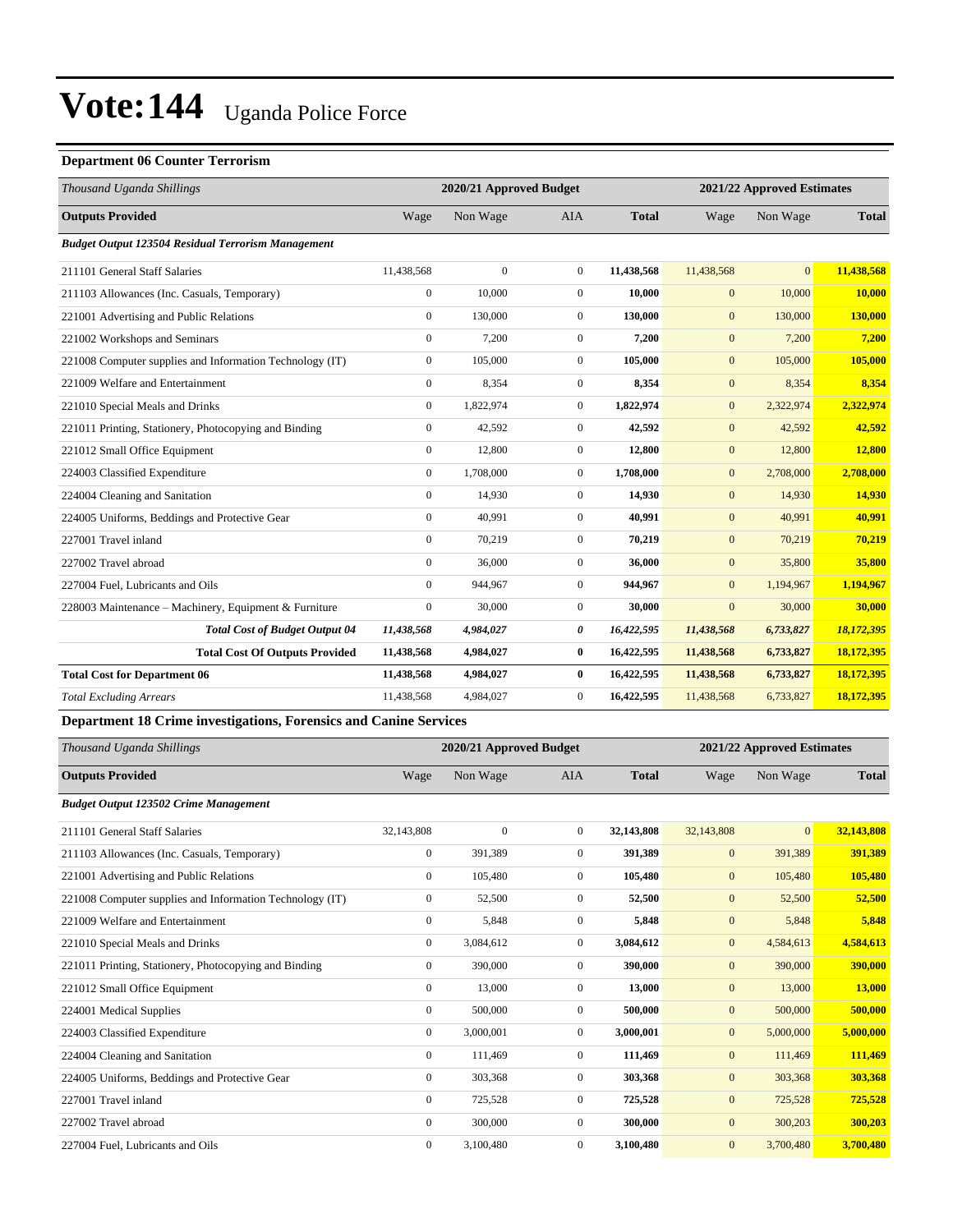#### **Department 06 Counter Terrorism**

| Thousand Uganda Shillings                                 |                | 2020/21 Approved Budget |                |              |              | 2021/22 Approved Estimates |              |  |
|-----------------------------------------------------------|----------------|-------------------------|----------------|--------------|--------------|----------------------------|--------------|--|
| <b>Outputs Provided</b>                                   | Wage           | Non Wage                | <b>AIA</b>     | <b>Total</b> | Wage         | Non Wage                   | <b>Total</b> |  |
| <b>Budget Output 123504 Residual Terrorism Management</b> |                |                         |                |              |              |                            |              |  |
| 211101 General Staff Salaries                             | 11,438,568     | $\mathbf{0}$            | $\overline{0}$ | 11,438,568   | 11,438,568   | $\overline{0}$             | 11,438,568   |  |
| 211103 Allowances (Inc. Casuals, Temporary)               | $\overline{0}$ | 10,000                  | $\overline{0}$ | 10.000       | $\mathbf{0}$ | 10,000                     | 10.000       |  |
| 221001 Advertising and Public Relations                   | $\mathbf{0}$   | 130,000                 | $\overline{0}$ | 130,000      | $\mathbf{0}$ | 130,000                    | 130,000      |  |
| 221002 Workshops and Seminars                             | $\mathbf{0}$   | 7,200                   | $\Omega$       | 7,200        | $\mathbf{0}$ | 7,200                      | 7,200        |  |
| 221008 Computer supplies and Information Technology (IT)  | $\mathbf{0}$   | 105,000                 | $\mathbf{0}$   | 105,000      | $\mathbf{0}$ | 105,000                    | 105,000      |  |
| 221009 Welfare and Entertainment                          | $\mathbf{0}$   | 8,354                   | $\overline{0}$ | 8,354        | $\mathbf{0}$ | 8,354                      | 8,354        |  |
| 221010 Special Meals and Drinks                           | $\overline{0}$ | 1,822,974               | $\overline{0}$ | 1,822,974    | $\mathbf{0}$ | 2,322,974                  | 2,322,974    |  |
| 221011 Printing, Stationery, Photocopying and Binding     | $\mathbf{0}$   | 42,592                  | $\overline{0}$ | 42,592       | $\mathbf{0}$ | 42,592                     | 42,592       |  |
| 221012 Small Office Equipment                             | $\mathbf{0}$   | 12,800                  | $\overline{0}$ | 12,800       | $\mathbf{0}$ | 12,800                     | 12,800       |  |
| 224003 Classified Expenditure                             | $\mathbf{0}$   | 1,708,000               | $\overline{0}$ | 1,708,000    | $\mathbf{0}$ | 2,708,000                  | 2,708,000    |  |
| 224004 Cleaning and Sanitation                            | $\mathbf{0}$   | 14,930                  | $\overline{0}$ | 14,930       | $\mathbf{0}$ | 14,930                     | 14,930       |  |
| 224005 Uniforms, Beddings and Protective Gear             | $\Omega$       | 40,991                  | $\overline{0}$ | 40,991       | $\mathbf{0}$ | 40,991                     | 40,991       |  |
| 227001 Travel inland                                      | $\Omega$       | 70,219                  | $\Omega$       | 70,219       | $\mathbf{0}$ | 70,219                     | 70,219       |  |
| 227002 Travel abroad                                      | $\mathbf{0}$   | 36,000                  | $\overline{0}$ | 36,000       | $\mathbf{0}$ | 35,800                     | 35,800       |  |
| 227004 Fuel. Lubricants and Oils                          | $\mathbf{0}$   | 944,967                 | $\overline{0}$ | 944,967      | $\mathbf{0}$ | 1,194,967                  | 1,194,967    |  |
| 228003 Maintenance - Machinery, Equipment & Furniture     | $\mathbf{0}$   | 30,000                  | $\overline{0}$ | 30,000       | $\mathbf{0}$ | 30,000                     | 30,000       |  |
| <b>Total Cost of Budget Output 04</b>                     | 11,438,568     | 4,984,027               | 0              | 16,422,595   | 11,438,568   | 6,733,827                  | 18,172,395   |  |
| <b>Total Cost Of Outputs Provided</b>                     | 11,438,568     | 4,984,027               | $\bf{0}$       | 16,422,595   | 11,438,568   | 6,733,827                  | 18,172,395   |  |
| <b>Total Cost for Department 06</b>                       | 11,438,568     | 4,984,027               | $\bf{0}$       | 16,422,595   | 11,438,568   | 6,733,827                  | 18,172,395   |  |
| <b>Total Excluding Arrears</b>                            | 11,438,568     | 4,984,027               | $\overline{0}$ | 16,422,595   | 11,438,568   | 6,733,827                  | 18,172,395   |  |

#### **Department 18 Crime investigations, Forensics and Canine Services**

| Thousand Uganda Shillings                                |                  | 2020/21 Approved Budget |                |              |              | 2021/22 Approved Estimates |               |
|----------------------------------------------------------|------------------|-------------------------|----------------|--------------|--------------|----------------------------|---------------|
| <b>Outputs Provided</b>                                  | Wage             | Non Wage                | <b>AIA</b>     | <b>Total</b> | Wage         | Non Wage                   | <b>Total</b>  |
| <b>Budget Output 123502 Crime Management</b>             |                  |                         |                |              |              |                            |               |
| 211101 General Staff Salaries                            | 32,143,808       | $\mathbf{0}$            | $\overline{0}$ | 32,143,808   | 32,143,808   | $\overline{0}$             | 32,143,808    |
| 211103 Allowances (Inc. Casuals, Temporary)              | 0                | 391,389                 | $\overline{0}$ | 391,389      | $\mathbf{0}$ | 391,389                    | 391,389       |
| 221001 Advertising and Public Relations                  | $\overline{0}$   | 105,480                 | $\overline{0}$ | 105,480      | $\mathbf{0}$ | 105,480                    | 105,480       |
| 221008 Computer supplies and Information Technology (IT) | 0                | 52,500                  | $\mathbf{0}$   | 52,500       | $\mathbf{0}$ | 52,500                     | 52,500        |
| 221009 Welfare and Entertainment                         | $\boldsymbol{0}$ | 5,848                   | $\mathbf{0}$   | 5,848        | $\mathbf{0}$ | 5,848                      | 5,848         |
| 221010 Special Meals and Drinks                          | $\overline{0}$   | 3,084,612               | $\mathbf{0}$   | 3,084,612    | $\mathbf{0}$ | 4,584,613                  | 4,584,613     |
| 221011 Printing, Stationery, Photocopying and Binding    | 0                | 390,000                 | $\mathbf{0}$   | 390,000      | $\mathbf{0}$ | 390,000                    | 390,000       |
| 221012 Small Office Equipment                            | $\overline{0}$   | 13,000                  | $\overline{0}$ | 13,000       | $\mathbf{0}$ | 13,000                     | <b>13,000</b> |
| 224001 Medical Supplies                                  | $\overline{0}$   | 500,000                 | $\overline{0}$ | 500,000      | $\mathbf{0}$ | 500,000                    | 500,000       |
| 224003 Classified Expenditure                            | 0                | 3,000,001               | $\mathbf{0}$   | 3,000,001    | $\mathbf{0}$ | 5,000,000                  | 5,000,000     |
| 224004 Cleaning and Sanitation                           | 0                | 111,469                 | $\overline{0}$ | 111,469      | $\mathbf{0}$ | 111,469                    | 111,469       |
| 224005 Uniforms, Beddings and Protective Gear            | 0                | 303,368                 | $\mathbf{0}$   | 303,368      | $\mathbf{0}$ | 303,368                    | 303,368       |
| 227001 Travel inland                                     | $\overline{0}$   | 725,528                 | $\mathbf{0}$   | 725,528      | $\mathbf{0}$ | 725,528                    | 725,528       |
| 227002 Travel abroad                                     | $\overline{0}$   | 300,000                 | $\mathbf{0}$   | 300,000      | $\mathbf{0}$ | 300,203                    | 300,203       |
| 227004 Fuel, Lubricants and Oils                         | $\mathbf{0}$     | 3,100,480               | $\mathbf{0}$   | 3,100,480    | $\mathbf{0}$ | 3,700,480                  | 3,700,480     |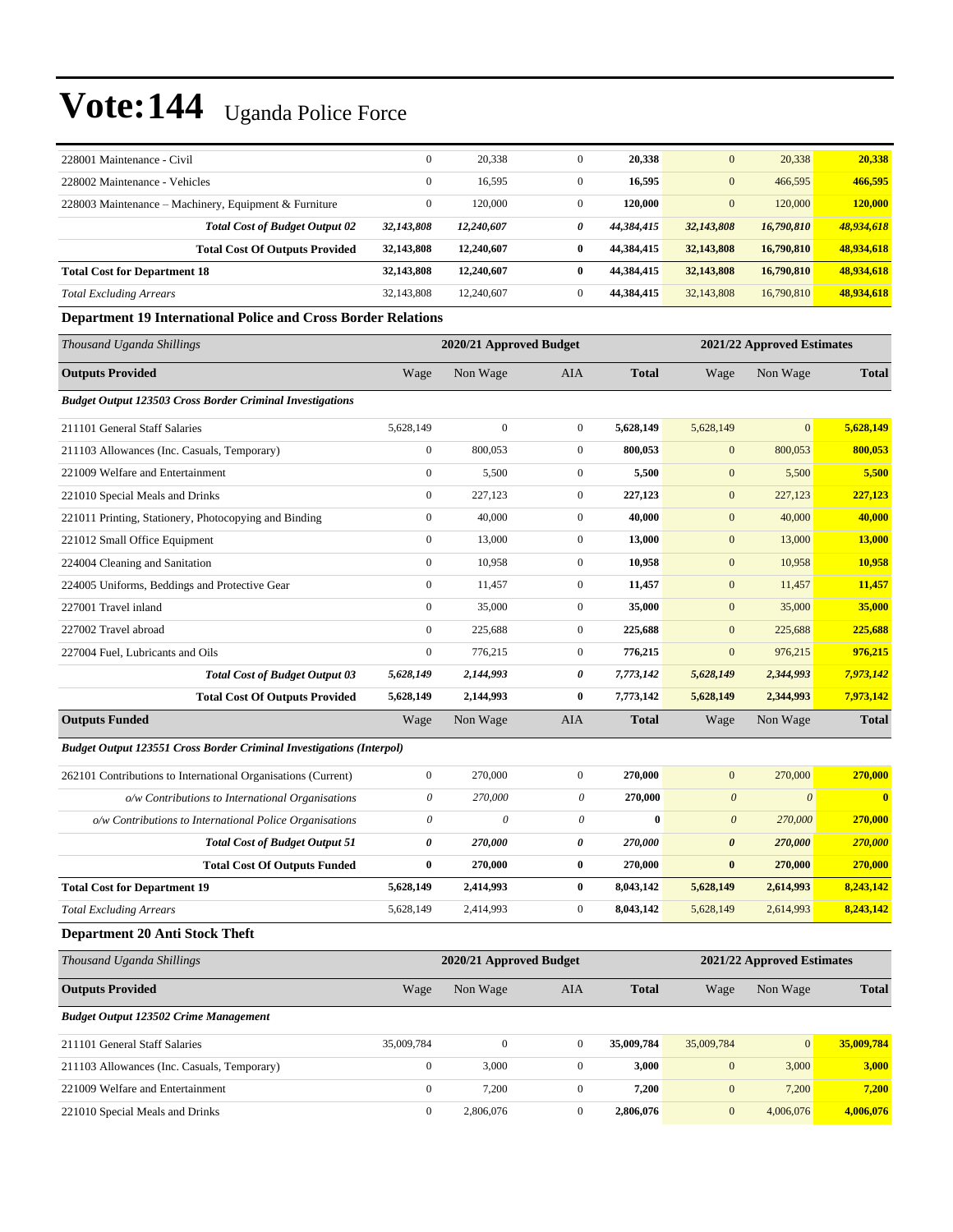| 228001 Maintenance - Civil                            | $\mathbf{0}$ | 20,338     |              | 20,338     | $\mathbf{0}$ | 20,338     | 20,338     |
|-------------------------------------------------------|--------------|------------|--------------|------------|--------------|------------|------------|
| 228002 Maintenance - Vehicles                         | $\mathbf{0}$ | 16,595     |              | 16,595     | $\mathbf{0}$ | 466,595    | 466,595    |
| 228003 Maintenance – Machinery, Equipment & Furniture | $\mathbf{0}$ | 120,000    |              | 120,000    | $\mathbf{0}$ | 120,000    | 120,000    |
| <b>Total Cost of Budget Output 02</b>                 | 32,143,808   | 12,240,607 | 0            | 44.384.415 | 32,143,808   | 16,790,810 | 48,934,618 |
| <b>Total Cost Of Outputs Provided</b>                 | 32,143,808   | 12,240,607 | 0            | 44.384.415 | 32,143,808   | 16,790,810 | 48.934.618 |
| <b>Total Cost for Department 18</b>                   | 32,143,808   | 12,240,607 | 0            | 44.384.415 | 32,143,808   | 16,790,810 | 48.934.618 |
| <b>Total Excluding Arrears</b>                        | 32,143,808   | 12,240,607 | $\mathbf{0}$ | 44,384,415 | 32,143,808   | 16,790,810 | 48,934,618 |

#### **Department 19 International Police and Cross Border Relations**

| Thousand Uganda Shillings                                                   | 2020/21 Approved Budget |                         |                           |              | 2021/22 Approved Estimates |                            |              |
|-----------------------------------------------------------------------------|-------------------------|-------------------------|---------------------------|--------------|----------------------------|----------------------------|--------------|
| <b>Outputs Provided</b>                                                     | Wage                    | Non Wage                | <b>AIA</b>                | <b>Total</b> | Wage                       | Non Wage                   | <b>Total</b> |
| <b>Budget Output 123503 Cross Border Criminal Investigations</b>            |                         |                         |                           |              |                            |                            |              |
| 211101 General Staff Salaries                                               | 5,628,149               | $\mathbf{0}$            | $\boldsymbol{0}$          | 5,628,149    | 5,628,149                  | $\overline{0}$             | 5,628,149    |
| 211103 Allowances (Inc. Casuals, Temporary)                                 | $\boldsymbol{0}$        | 800,053                 | $\boldsymbol{0}$          | 800,053      | $\boldsymbol{0}$           | 800,053                    | 800,053      |
| 221009 Welfare and Entertainment                                            | $\boldsymbol{0}$        | 5,500                   | $\boldsymbol{0}$          | 5,500        | $\mathbf{0}$               | 5,500                      | 5,500        |
| 221010 Special Meals and Drinks                                             | $\overline{0}$          | 227,123                 | $\boldsymbol{0}$          | 227,123      | $\overline{0}$             | 227,123                    | 227,123      |
| 221011 Printing, Stationery, Photocopying and Binding                       | $\overline{0}$          | 40,000                  | $\boldsymbol{0}$          | 40,000       | $\mathbf{0}$               | 40,000                     | 40,000       |
| 221012 Small Office Equipment                                               | $\overline{0}$          | 13,000                  | $\boldsymbol{0}$          | 13,000       | $\mathbf{0}$               | 13,000                     | 13,000       |
| 224004 Cleaning and Sanitation                                              | $\overline{0}$          | 10,958                  | $\boldsymbol{0}$          | 10,958       | $\mathbf{0}$               | 10,958                     | 10,958       |
| 224005 Uniforms, Beddings and Protective Gear                               | $\overline{0}$          | 11,457                  | $\boldsymbol{0}$          | 11,457       | $\mathbf{0}$               | 11,457                     | 11,457       |
| 227001 Travel inland                                                        | $\overline{0}$          | 35,000                  | $\boldsymbol{0}$          | 35,000       | $\mathbf{0}$               | 35,000                     | 35,000       |
| 227002 Travel abroad                                                        | $\boldsymbol{0}$        | 225,688                 | $\boldsymbol{0}$          | 225,688      | $\mathbf{0}$               | 225,688                    | 225,688      |
| 227004 Fuel, Lubricants and Oils                                            | $\overline{0}$          | 776,215                 | $\boldsymbol{0}$          | 776,215      | $\mathbf{0}$               | 976,215                    | 976,215      |
| <b>Total Cost of Budget Output 03</b>                                       | 5,628,149               | 2,144,993               | 0                         | 7,773,142    | 5,628,149                  | 2,344,993                  | 7,973,142    |
| <b>Total Cost Of Outputs Provided</b>                                       | 5,628,149               | 2,144,993               | $\bf{0}$                  | 7,773,142    | 5,628,149                  | 2,344,993                  | 7,973,142    |
| <b>Outputs Funded</b>                                                       | Wage                    | Non Wage                | AIA                       | <b>Total</b> | Wage                       | Non Wage                   | <b>Total</b> |
| <b>Budget Output 123551 Cross Border Criminal Investigations (Interpol)</b> |                         |                         |                           |              |                            |                            |              |
| 262101 Contributions to International Organisations (Current)               | $\overline{0}$          | 270,000                 | $\boldsymbol{0}$          | 270,000      | $\overline{0}$             | 270,000                    | 270,000      |
| o/w Contributions to International Organisations                            | 0                       | 270,000                 | $\boldsymbol{\mathit{0}}$ | 270,000      | $\boldsymbol{\theta}$      | $\boldsymbol{\theta}$      | $\mathbf{0}$ |
| o/w Contributions to International Police Organisations                     | 0                       | $\theta$                | 0                         | $\bf{0}$     | $\boldsymbol{0}$           | 270,000                    | 270,000      |
| <b>Total Cost of Budget Output 51</b>                                       | 0                       | 270,000                 | 0                         | 270,000      | $\boldsymbol{\theta}$      | 270,000                    | 270,000      |
| <b>Total Cost Of Outputs Funded</b>                                         | 0                       | 270,000                 | $\bf{0}$                  | 270,000      | $\bf{0}$                   | 270,000                    | 270,000      |
| <b>Total Cost for Department 19</b>                                         | 5,628,149               | 2,414,993               | $\bf{0}$                  | 8,043,142    | 5,628,149                  | 2,614,993                  | 8,243,142    |
| <b>Total Excluding Arrears</b>                                              | 5,628,149               | 2,414,993               | $\boldsymbol{0}$          | 8,043,142    | 5,628,149                  | 2,614,993                  | 8,243,142    |
| <b>Department 20 Anti Stock Theft</b>                                       |                         |                         |                           |              |                            |                            |              |
| Thousand Uganda Shillings                                                   |                         | 2020/21 Approved Budget |                           |              |                            | 2021/22 Approved Estimates |              |
| <b>Outputs Provided</b>                                                     | Wage                    | Non Wage                | <b>AIA</b>                | <b>Total</b> | Wage                       | Non Wage                   | <b>Total</b> |
| <b>Budget Output 123502 Crime Management</b>                                |                         |                         |                           |              |                            |                            |              |
| 211101 General Staff Salaries                                               | 35,009,784              | $\boldsymbol{0}$        | $\boldsymbol{0}$          | 35,009,784   | 35,009,784                 | $\mathbf{0}$               | 35,009,784   |

211103 Allowances (Inc. Casuals, Temporary) 0 3,000 0 **3,000** 0 3,000 **3,000** 221009 Welfare and Entertainment 0 7,200 0 **7,200** 0 7,200 **7,200** 221010 Special Meals and Drinks 0 2,806,076 0 **2,806,076** 0 4,006,076 **4,006,076**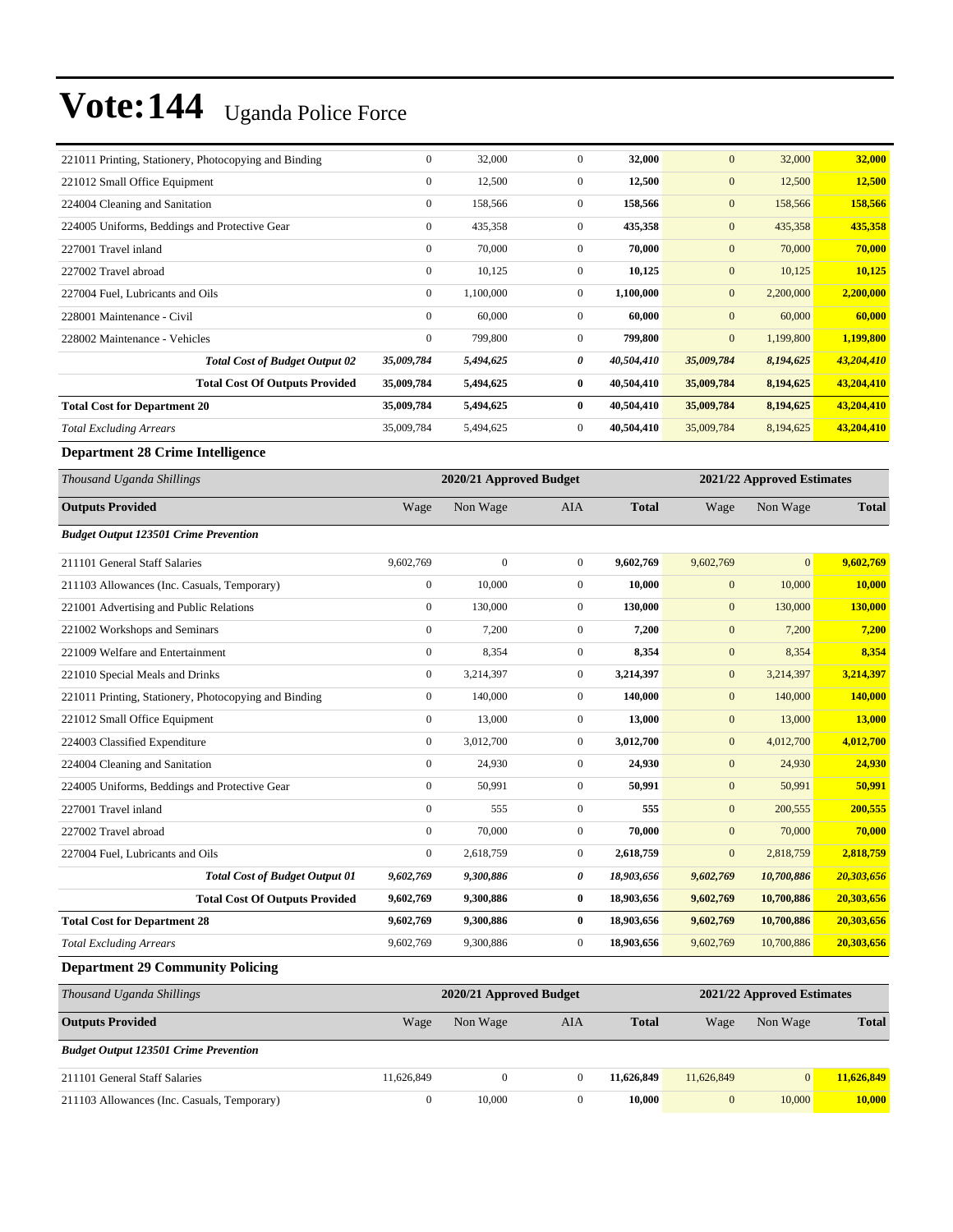| 221011 Printing, Stationery, Photocopying and Binding | $\boldsymbol{0}$ | 32,000                  | $\mathbf{0}$     | 32,000       | $\mathbf{0}$     | 32,000                     | 32,000       |
|-------------------------------------------------------|------------------|-------------------------|------------------|--------------|------------------|----------------------------|--------------|
| 221012 Small Office Equipment                         | $\boldsymbol{0}$ | 12,500                  | $\boldsymbol{0}$ | 12,500       | $\mathbf{0}$     | 12,500                     | 12,500       |
| 224004 Cleaning and Sanitation                        | $\boldsymbol{0}$ | 158,566                 | $\overline{0}$   | 158,566      | $\boldsymbol{0}$ | 158,566                    | 158,566      |
| 224005 Uniforms, Beddings and Protective Gear         | $\boldsymbol{0}$ | 435,358                 | $\mathbf{0}$     | 435,358      | $\mathbf{0}$     | 435,358                    | 435,358      |
| 227001 Travel inland                                  | $\boldsymbol{0}$ | 70,000                  | $\mathbf{0}$     | 70,000       | $\mathbf{0}$     | 70,000                     | 70,000       |
| 227002 Travel abroad                                  | $\mathbf{0}$     | 10,125                  | $\overline{0}$   | 10,125       | $\mathbf{0}$     | 10,125                     | 10,125       |
| 227004 Fuel, Lubricants and Oils                      | $\boldsymbol{0}$ | 1,100,000               | $\mathbf{0}$     | 1,100,000    | $\mathbf{0}$     | 2,200,000                  | 2,200,000    |
| 228001 Maintenance - Civil                            | $\boldsymbol{0}$ | 60,000                  | $\overline{0}$   | 60,000       | $\boldsymbol{0}$ | 60,000                     | 60,000       |
| 228002 Maintenance - Vehicles                         | $\boldsymbol{0}$ | 799,800                 | $\mathbf{0}$     | 799,800      | $\mathbf{0}$     | 1,199,800                  | 1,199,800    |
| <b>Total Cost of Budget Output 02</b>                 | 35,009,784       | 5,494,625               | 0                | 40,504,410   | 35,009,784       | 8,194,625                  | 43,204,410   |
| <b>Total Cost Of Outputs Provided</b>                 | 35,009,784       | 5,494,625               | 0                | 40,504,410   | 35,009,784       | 8,194,625                  | 43,204,410   |
| <b>Total Cost for Department 20</b>                   | 35,009,784       | 5,494,625               | $\bf{0}$         | 40,504,410   | 35,009,784       | 8,194,625                  | 43,204,410   |
| <b>Total Excluding Arrears</b>                        | 35,009,784       | 5,494,625               | $\overline{0}$   | 40,504,410   | 35,009,784       | 8,194,625                  | 43,204,410   |
| <b>Department 28 Crime Intelligence</b>               |                  |                         |                  |              |                  |                            |              |
| Thousand Uganda Shillings                             |                  | 2020/21 Approved Budget |                  |              |                  | 2021/22 Approved Estimates |              |
| <b>Outputs Provided</b>                               | Wage             | Non Wage                | AIA              | <b>Total</b> | Wage             | Non Wage                   | <b>Total</b> |
| <b>Budget Output 123501 Crime Prevention</b>          |                  |                         |                  |              |                  |                            |              |
| 211101 General Staff Salaries                         | 9,602,769        | $\mathbf{0}$            | $\overline{0}$   | 9,602,769    | 9,602,769        | $\mathbf{0}$               | 9,602,769    |
| 211103 Allowances (Inc. Casuals, Temporary)           | $\boldsymbol{0}$ | 10,000                  | $\mathbf{0}$     | 10,000       | $\mathbf{0}$     | 10,000                     | 10,000       |
| 221001 Advertising and Public Relations               | $\boldsymbol{0}$ | 130,000                 | $\overline{0}$   | 130,000      | $\mathbf{0}$     | 130,000                    | 130,000      |
| 221002 Workshops and Seminars                         | $\boldsymbol{0}$ | 7,200                   | $\mathbf{0}$     | 7,200        | $\mathbf{0}$     | 7,200                      | 7,200        |
| 221009 Welfare and Entertainment                      | $\boldsymbol{0}$ | 8,354                   | $\overline{0}$   | 8,354        | $\boldsymbol{0}$ | 8,354                      | 8,354        |
| 221010 Special Meals and Drinks                       | $\boldsymbol{0}$ | 3,214,397               | $\mathbf{0}$     | 3,214,397    | $\mathbf{0}$     | 3,214,397                  | 3,214,397    |
| 221011 Printing, Stationery, Photocopying and Binding | $\boldsymbol{0}$ | 140,000                 | $\mathbf{0}$     | 140,000      | $\mathbf{0}$     | 140,000                    | 140,000      |
| 221012 Small Office Equipment                         | $\boldsymbol{0}$ | 13,000                  | $\overline{0}$   | 13,000       | $\mathbf{0}$     | 13,000                     | 13,000       |
| 224003 Classified Expenditure                         | $\boldsymbol{0}$ | 3,012,700               | $\mathbf{0}$     | 3,012,700    | $\mathbf{0}$     | 4,012,700                  | 4,012,700    |
| 224004 Cleaning and Sanitation                        | $\boldsymbol{0}$ | 24,930                  | $\overline{0}$   | 24,930       | $\boldsymbol{0}$ | 24,930                     | 24,930       |
| 224005 Uniforms, Beddings and Protective Gear         | $\boldsymbol{0}$ | 50,991                  | $\mathbf{0}$     | 50,991       | $\mathbf{0}$     | 50,991                     | 50,991       |
| 227001 Travel inland                                  | $\boldsymbol{0}$ | 555                     | $\mathbf{0}$     | 555          | $\mathbf{0}$     | 200,555                    | 200,555      |
| 227002 Travel abroad                                  | $\boldsymbol{0}$ | 70,000                  | $\boldsymbol{0}$ | 70,000       | $\mathbf{0}$     | 70,000                     | 70,000       |
| 227004 Fuel, Lubricants and Oils                      | $\boldsymbol{0}$ | 2,618,759               | $\boldsymbol{0}$ | 2,618,759    | $\mathbf{0}$     | 2,818,759                  | 2,818,759    |
| <b>Total Cost of Budget Output 01</b>                 | 9,602,769        | 9,300,886               | 0                | 18,903,656   | 9,602,769        | 10,700,886                 | 20,303,656   |
| <b>Total Cost Of Outputs Provided</b>                 | 9,602,769        | 9,300,886               | $\bf{0}$         | 18,903,656   | 9,602,769        | 10,700,886                 | 20,303,656   |
| <b>Total Cost for Department 28</b>                   | 9,602,769        | 9,300,886               | $\bf{0}$         | 18,903,656   | 9,602,769        | 10,700,886                 | 20,303,656   |
| <b>Total Excluding Arrears</b>                        | 9,602,769        | 9,300,886               | $\boldsymbol{0}$ | 18,903,656   | 9,602,769        | 10,700,886                 | 20,303,656   |
| <b>Department 29 Community Policing</b>               |                  |                         |                  |              |                  |                            |              |
| Thousand Uganda Shillings                             |                  | 2020/21 Approved Budget |                  |              |                  | 2021/22 Approved Estimates |              |
| <b>Outputs Provided</b>                               | Wage             | Non Wage                | AIA              | <b>Total</b> | Wage             | Non Wage                   | <b>Total</b> |
| <b>Budget Output 123501 Crime Prevention</b>          |                  |                         |                  |              |                  |                            |              |
| 211101 General Staff Salaries                         | 11,626,849       | $\boldsymbol{0}$        | $\mathbf{0}$     | 11,626,849   | 11,626,849       | $\mathbf{0}$               | 11,626,849   |
| 211103 Allowances (Inc. Casuals, Temporary)           | $\boldsymbol{0}$ | 10,000                  | $\boldsymbol{0}$ | 10,000       | $\boldsymbol{0}$ | 10,000                     | 10,000       |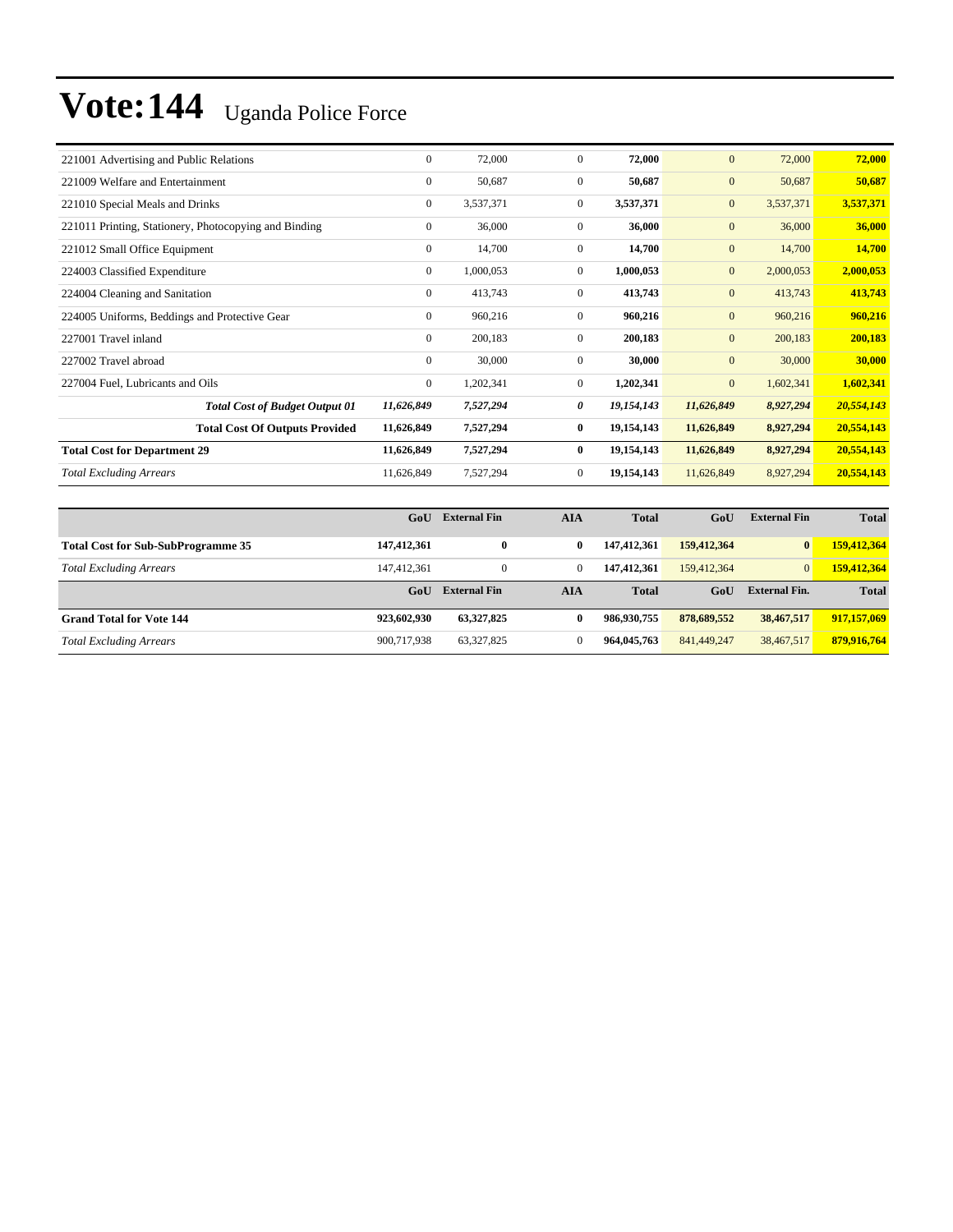| 221001 Advertising and Public Relations               | $\mathbf{0}$ | 72,000    | $\Omega$       | 72,000     | $\mathbf{0}$     | 72,000    | 72,000     |
|-------------------------------------------------------|--------------|-----------|----------------|------------|------------------|-----------|------------|
| 221009 Welfare and Entertainment                      | $\mathbf{0}$ | 50,687    | $\overline{0}$ | 50,687     | $\boldsymbol{0}$ | 50,687    | 50,687     |
| 221010 Special Meals and Drinks                       | $\mathbf{0}$ | 3,537,371 | $\overline{0}$ | 3,537,371  | $\mathbf{0}$     | 3,537,371 | 3,537,371  |
| 221011 Printing, Stationery, Photocopying and Binding | $\mathbf{0}$ | 36,000    | $\Omega$       | 36,000     | $\mathbf{0}$     | 36,000    | 36,000     |
| 221012 Small Office Equipment                         | $\mathbf{0}$ | 14,700    | $\overline{0}$ | 14,700     | $\mathbf{0}$     | 14,700    | 14,700     |
| 224003 Classified Expenditure                         | $\mathbf{0}$ | 1,000,053 | $\overline{0}$ | 1,000,053  | $\mathbf{0}$     | 2,000,053 | 2,000,053  |
| 224004 Cleaning and Sanitation                        | $\mathbf{0}$ | 413,743   | $\overline{0}$ | 413,743    | $\mathbf{0}$     | 413,743   | 413,743    |
| 224005 Uniforms, Beddings and Protective Gear         | $\mathbf{0}$ | 960,216   | $\overline{0}$ | 960,216    | $\mathbf{0}$     | 960,216   | 960,216    |
| 227001 Travel inland                                  | $\mathbf{0}$ | 200,183   | $\overline{0}$ | 200,183    | $\mathbf{0}$     | 200,183   | 200,183    |
| 227002 Travel abroad                                  | $\mathbf{0}$ | 30,000    | $\overline{0}$ | 30,000     | $\mathbf{0}$     | 30,000    | 30,000     |
| 227004 Fuel, Lubricants and Oils                      | $\mathbf{0}$ | 1,202,341 | $\overline{0}$ | 1,202,341  | $\overline{0}$   | 1,602,341 | 1,602,341  |
| <b>Total Cost of Budget Output 01</b>                 | 11,626,849   | 7,527,294 | 0              | 19,154,143 | 11,626,849       | 8,927,294 | 20,554,143 |
| <b>Total Cost Of Outputs Provided</b>                 | 11,626,849   | 7,527,294 | $\bf{0}$       | 19,154,143 | 11,626,849       | 8,927,294 | 20,554,143 |
| <b>Total Cost for Department 29</b>                   | 11,626,849   | 7,527,294 | $\bf{0}$       | 19,154,143 | 11,626,849       | 8,927,294 | 20,554,143 |
| <b>Total Excluding Arrears</b>                        | 11,626,849   | 7,527,294 | $\overline{0}$ | 19,154,143 | 11,626,849       | 8,927,294 | 20,554,143 |

|                                           | GoU         | <b>External Fin</b> | AIA          | <b>Total</b> | GoU         | <b>External Fin</b>  | <b>Total</b> |
|-------------------------------------------|-------------|---------------------|--------------|--------------|-------------|----------------------|--------------|
| <b>Total Cost for Sub-SubProgramme 35</b> | 147,412,361 | $\bf{0}$            | 0            | 147,412,361  | 159,412,364 | $\bf{0}$             | 159,412,364  |
| <b>Total Excluding Arrears</b>            | 147.412.361 | $\overline{0}$      | $\bf{0}$     | 147,412,361  | 159,412,364 | $\overline{0}$       | 159,412,364  |
|                                           | GoU         | <b>External Fin</b> | AIA          | <b>Total</b> | GoU         | <b>External Fin.</b> | <b>Total</b> |
| <b>Grand Total for Vote 144</b>           | 923,602,930 | 63,327,825          | $\mathbf{0}$ | 986,930,755  | 878,689,552 | 38,467,517           | 917,157,069  |
| <b>Total Excluding Arrears</b>            | 900,717,938 | 63,327,825          | $\mathbf{0}$ | 964,045,763  | 841,449,247 | 38,467,517           | 879,916,764  |